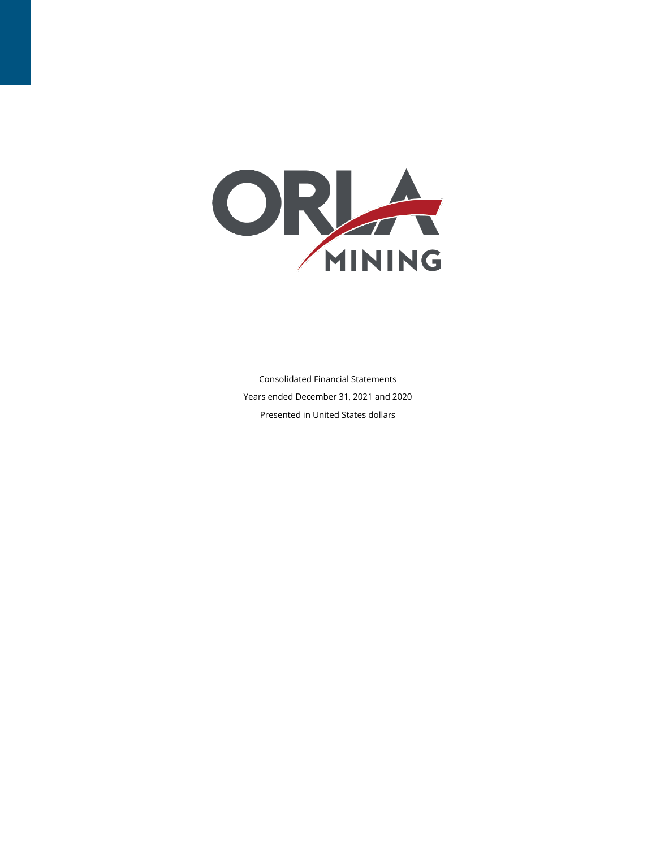

Consolidated Financial Statements Years ended December 31, 2021 and 2020 Presented in United States dollars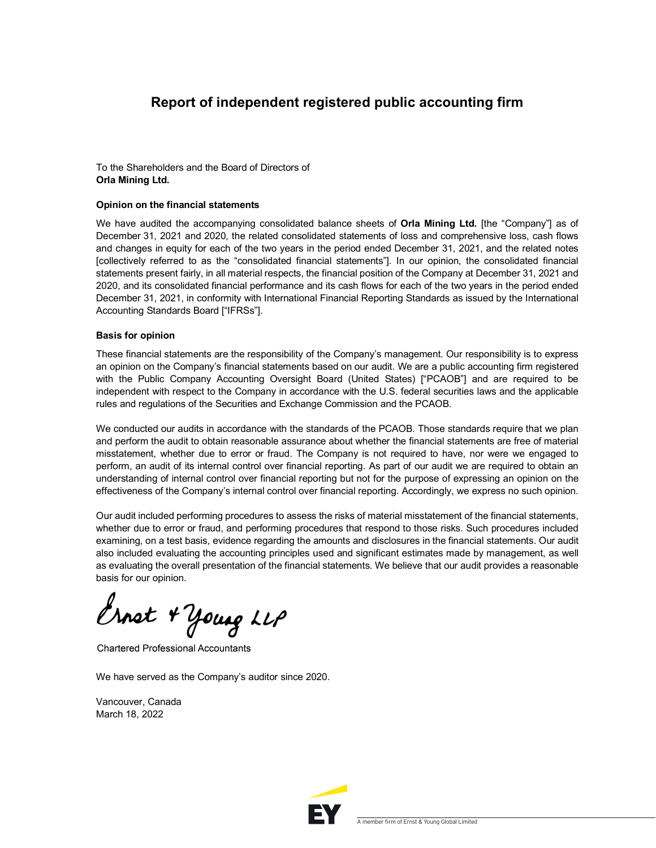# **Report of independent registered public accounting firm**

To the Shareholders and the Board of Directors of **Orla Mining Ltd.**

### **Opinion on the financial statements**

We have audited the accompanying consolidated balance sheets of **Orla Mining Ltd.** [the "Company"] as of December 31, 2021 and 2020, the related consolidated statements of loss and comprehensive loss, cash flows and changes in equity for each of the two years in the period ended December 31, 2021, and the related notes [collectively referred to as the "consolidated financial statements"]. In our opinion, the consolidated financial statements present fairly, in all material respects, the financial position of the Company at December 31, 2021 and 2020, and its consolidated financial performance and its cash flows for each of the two years in the period ended December 31, 2021, in conformity with International Financial Reporting Standards as issued by the International Accounting Standards Board ["IFRSs"].

### **Basis for opinion**

These financial statements are the responsibility of the Company's management. Our responsibility is to express an opinion on the Company's financial statements based on our audit. We are a public accounting firm registered with the Public Company Accounting Oversight Board (United States) ["PCAOB"] and are required to be independent with respect to the Company in accordance with the U.S. federal securities laws and the applicable rules and regulations of the Securities and Exchange Commission and the PCAOB.

We conducted our audits in accordance with the standards of the PCAOB. Those standards require that we plan and perform the audit to obtain reasonable assurance about whether the financial statements are free of material misstatement, whether due to error or fraud. The Company is not required to have, nor were we engaged to perform, an audit of its internal control over financial reporting. As part of our audit we are required to obtain an understanding of internal control over financial reporting but not for the purpose of expressing an opinion on the effectiveness of the Company's internal control over financial reporting. Accordingly, we express no such opinion.

Our audit included performing procedures to assess the risks of material misstatement of the financial statements, whether due to error or fraud, and performing procedures that respond to those risks. Such procedures included examining, on a test basis, evidence regarding the amounts and disclosures in the financial statements. Our audit also included evaluating the accounting principles used and significant estimates made by management, as well as evaluating the overall presentation of the financial statements. We believe that our audit provides a reasonable basis for our opinion.

Crost + young LLP

**Chartered Professional Accountants** 

We have served as the Company's auditor since 2020.

Vancouver, Canada March 18, 2022

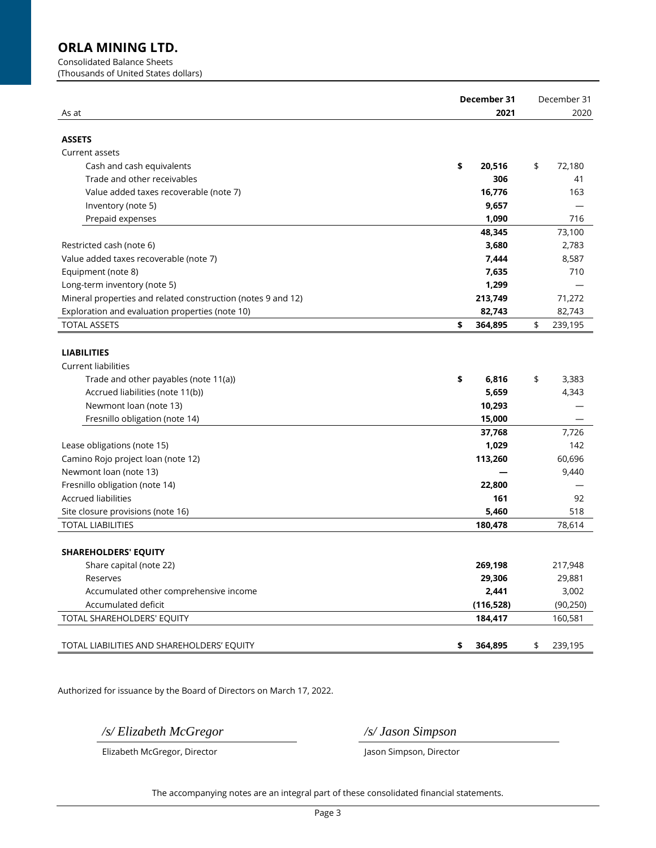### Consolidated Balance Sheets (Thousands of United States dollars)

|                                                              | December 31   | December 31   |
|--------------------------------------------------------------|---------------|---------------|
| As at                                                        | 2021          | 2020          |
|                                                              |               |               |
| <b>ASSETS</b>                                                |               |               |
| Current assets                                               |               |               |
| Cash and cash equivalents                                    | \$<br>20,516  | \$<br>72,180  |
| Trade and other receivables                                  | 306           | 41            |
| Value added taxes recoverable (note 7)                       | 16,776        | 163           |
| Inventory (note 5)                                           | 9,657         |               |
| Prepaid expenses                                             | 1,090         | 716           |
|                                                              | 48,345        | 73,100        |
| Restricted cash (note 6)                                     | 3,680         | 2,783         |
| Value added taxes recoverable (note 7)                       | 7,444         | 8,587         |
| Equipment (note 8)                                           | 7,635         | 710           |
| Long-term inventory (note 5)                                 | 1,299         |               |
| Mineral properties and related construction (notes 9 and 12) | 213,749       | 71,272        |
| Exploration and evaluation properties (note 10)              | 82,743        | 82,743        |
| <b>TOTAL ASSETS</b>                                          | \$<br>364,895 | \$<br>239,195 |
|                                                              |               |               |
| <b>LIABILITIES</b>                                           |               |               |
| <b>Current liabilities</b>                                   |               |               |
| Trade and other payables (note 11(a))                        | \$<br>6,816   | \$<br>3,383   |
| Accrued liabilities (note 11(b))                             | 5,659         | 4,343         |
| Newmont loan (note 13)                                       | 10,293        |               |
| Fresnillo obligation (note 14)                               | 15,000        |               |
|                                                              | 37,768        | 7,726         |
| Lease obligations (note 15)                                  | 1,029         | 142           |
| Camino Rojo project loan (note 12)                           | 113,260       | 60,696        |
| Newmont loan (note 13)                                       |               | 9,440         |
| Fresnillo obligation (note 14)                               | 22,800        |               |
| <b>Accrued liabilities</b>                                   | 161           | 92            |
|                                                              | 5,460         | 518           |
| Site closure provisions (note 16)                            |               |               |
| <b>TOTAL LIABILITIES</b>                                     | 180,478       | 78,614        |
|                                                              |               |               |
| <b>SHAREHOLDERS' EQUITY</b>                                  |               |               |
| Share capital (note 22)                                      | 269,198       | 217,948       |
| Reserves                                                     | 29,306        | 29,881        |
| Accumulated other comprehensive income                       | 2,441         | 3,002         |
| Accumulated deficit                                          | (116, 528)    | (90, 250)     |
| TOTAL SHAREHOLDERS' EQUITY                                   | 184,417       | 160,581       |
|                                                              |               |               |
| TOTAL LIABILITIES AND SHAREHOLDERS' EQUITY                   | \$<br>364,895 | \$<br>239,195 |

Authorized for issuance by the Board of Directors on March 17, 2022.

*/s/ Elizabeth McGregor /s/ Jason Simpson*

Elizabeth McGregor, Director **Jason Simpson, Director** Jason Simpson, Director

The accompanying notes are an integral part of these consolidated financial statements.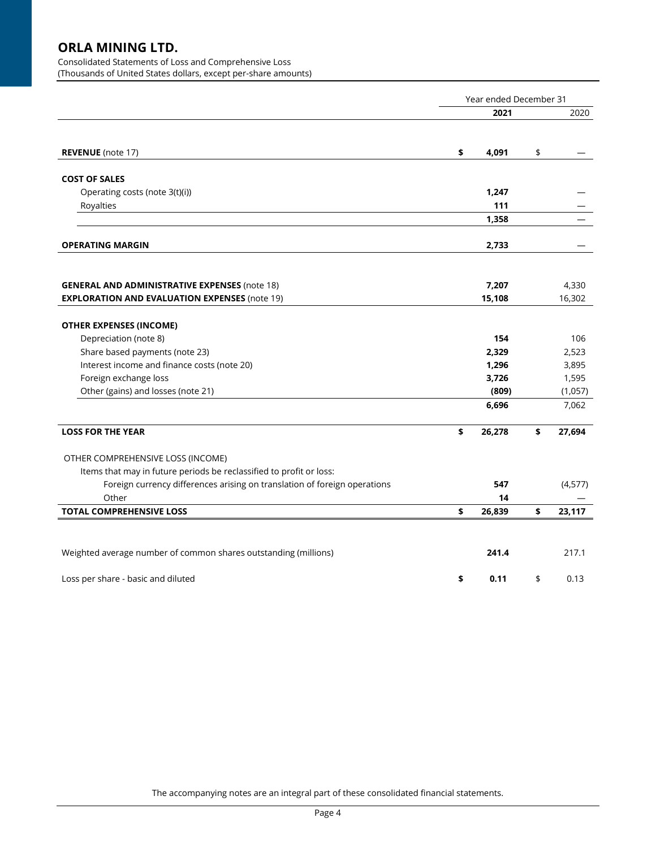# Consolidated Statements of Loss and Comprehensive Loss

(Thousands of United States dollars, except per-share amounts)

|                                                                           | Year ended December 31 |              |
|---------------------------------------------------------------------------|------------------------|--------------|
|                                                                           | 2021                   | 2020         |
|                                                                           |                        |              |
| <b>REVENUE</b> (note 17)                                                  | \$<br>4,091            | \$           |
| <b>COST OF SALES</b>                                                      |                        |              |
| Operating costs (note 3(t)(i))                                            | 1,247                  |              |
| Royalties                                                                 | 111                    |              |
|                                                                           | 1,358                  |              |
| <b>OPERATING MARGIN</b>                                                   | 2,733                  |              |
|                                                                           |                        |              |
| <b>GENERAL AND ADMINISTRATIVE EXPENSES (note 18)</b>                      | 7,207                  | 4,330        |
| <b>EXPLORATION AND EVALUATION EXPENSES (note 19)</b>                      | 15,108                 | 16,302       |
| <b>OTHER EXPENSES (INCOME)</b>                                            |                        |              |
| Depreciation (note 8)                                                     | 154                    | 106          |
| Share based payments (note 23)                                            | 2,329                  | 2,523        |
| Interest income and finance costs (note 20)                               | 1,296                  | 3,895        |
| Foreign exchange loss                                                     | 3,726                  | 1,595        |
| Other (gains) and losses (note 21)                                        | (809)                  | (1,057)      |
|                                                                           | 6,696                  | 7,062        |
| <b>LOSS FOR THE YEAR</b>                                                  | \$<br>26,278           | \$<br>27,694 |
| OTHER COMPREHENSIVE LOSS (INCOME)                                         |                        |              |
| Items that may in future periods be reclassified to profit or loss:       |                        |              |
| Foreign currency differences arising on translation of foreign operations | 547                    | (4, 577)     |
| Other                                                                     | 14                     |              |
| <b>TOTAL COMPREHENSIVE LOSS</b>                                           | \$<br>26,839           | \$<br>23,117 |
|                                                                           |                        |              |
| Weighted average number of common shares outstanding (millions)           | 241.4                  | 217.1        |
| Loss per share - basic and diluted                                        | \$<br>0.11             | \$<br>0.13   |

The accompanying notes are an integral part of these consolidated financial statements.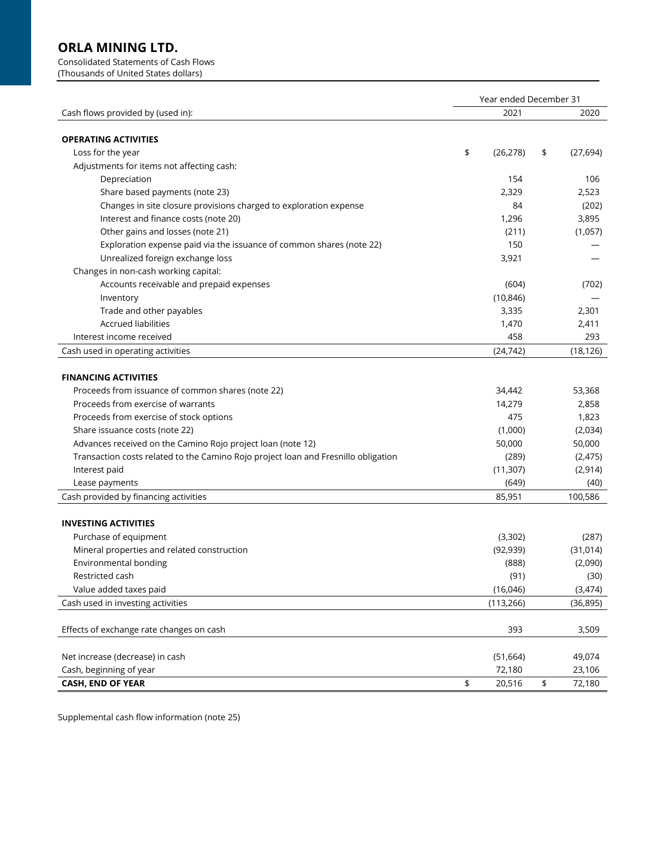## Consolidated Statements of Cash Flows

(Thousands of United States dollars)

|                                                                                               | Year ended December 31 |                   |
|-----------------------------------------------------------------------------------------------|------------------------|-------------------|
| Cash flows provided by (used in):                                                             | 2021                   | 2020              |
|                                                                                               |                        |                   |
| <b>OPERATING ACTIVITIES</b>                                                                   |                        |                   |
| Loss for the year                                                                             | \$<br>(26, 278)        | \$<br>(27, 694)   |
| Adjustments for items not affecting cash:                                                     |                        |                   |
| Depreciation                                                                                  | 154                    | 106               |
| Share based payments (note 23)                                                                | 2,329                  | 2,523             |
| Changes in site closure provisions charged to exploration expense                             | 84                     | (202)             |
| Interest and finance costs (note 20)                                                          | 1,296                  | 3,895             |
| Other gains and losses (note 21)                                                              | (211)                  | (1,057)           |
| Exploration expense paid via the issuance of common shares (note 22)                          | 150                    |                   |
| Unrealized foreign exchange loss                                                              | 3,921                  |                   |
| Changes in non-cash working capital:                                                          |                        |                   |
| Accounts receivable and prepaid expenses                                                      | (604)                  | (702)             |
| Inventory                                                                                     | (10, 846)              |                   |
| Trade and other payables                                                                      | 3,335                  | 2,301             |
| <b>Accrued liabilities</b>                                                                    | 1,470                  | 2,411             |
| Interest income received                                                                      | 458                    | 293               |
| Cash used in operating activities                                                             | (24, 742)              | (18, 126)         |
| <b>FINANCING ACTIVITIES</b>                                                                   |                        |                   |
| Proceeds from issuance of common shares (note 22)                                             | 34,442                 | 53,368            |
| Proceeds from exercise of warrants                                                            | 14,279                 | 2,858             |
|                                                                                               |                        |                   |
| Proceeds from exercise of stock options                                                       | 475                    | 1,823             |
| Share issuance costs (note 22)<br>Advances received on the Camino Rojo project loan (note 12) | (1,000)<br>50,000      | (2,034)<br>50,000 |
|                                                                                               |                        |                   |
| Transaction costs related to the Camino Rojo project loan and Fresnillo obligation            | (289)                  | (2, 475)          |
| Interest paid                                                                                 | (11, 307)              | (2,914)           |
| Lease payments                                                                                | (649)                  | (40)              |
| Cash provided by financing activities                                                         | 85,951                 | 100,586           |
| <b>INVESTING ACTIVITIES</b>                                                                   |                        |                   |
| Purchase of equipment                                                                         | (3,302)                | (287)             |
| Mineral properties and related construction                                                   | (92, 939)              | (31, 014)         |
| Environmental bonding                                                                         | (888)                  | (2,090)           |
| Restricted cash                                                                               | (91)                   | (30)              |
| Value added taxes paid                                                                        | (16,046)               | (3, 474)          |
| Cash used in investing activities                                                             | (113, 266)             | (36, 895)         |
|                                                                                               |                        |                   |
| Effects of exchange rate changes on cash                                                      | 393                    | 3,509             |
|                                                                                               |                        |                   |
| Net increase (decrease) in cash                                                               | (51,664)               | 49,074            |
| Cash, beginning of year                                                                       | 72,180                 | 23,106            |
| <b>CASH, END OF YEAR</b>                                                                      | \$<br>20,516           | \$<br>72,180      |

Supplemental cash flow information (note 25)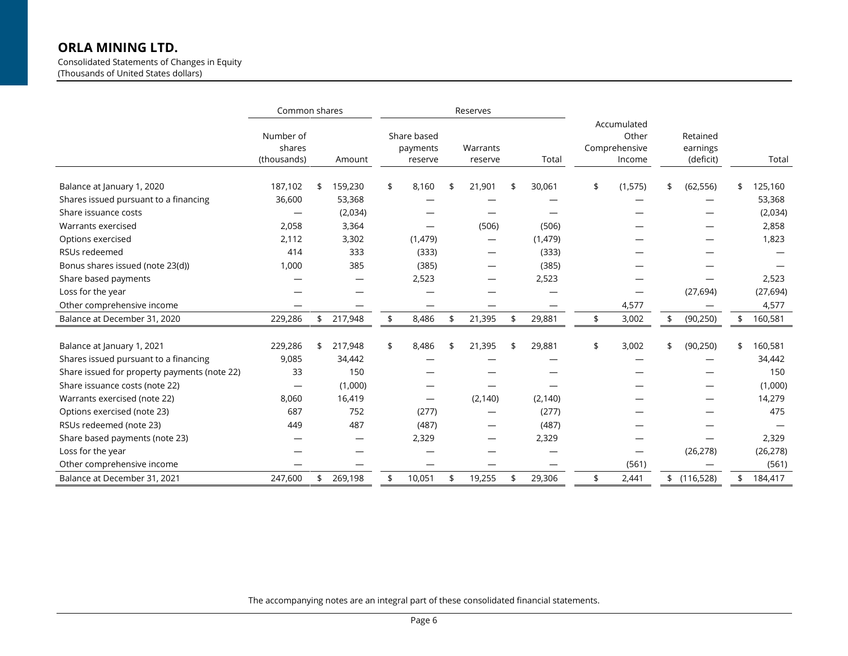Consolidated Statements of Changes in Equity

(Thousands of United States dollars)

|                                              | Common shares                      |               | Reserves |                                    |    |                     |              |                                                 |                                   |               |
|----------------------------------------------|------------------------------------|---------------|----------|------------------------------------|----|---------------------|--------------|-------------------------------------------------|-----------------------------------|---------------|
|                                              | Number of<br>shares<br>(thousands) | Amount        |          | Share based<br>payments<br>reserve |    | Warrants<br>reserve | Total        | Accumulated<br>Other<br>Comprehensive<br>Income | Retained<br>earnings<br>(deficit) | Total         |
| Balance at January 1, 2020                   | 187,102                            | \$<br>159,230 | \$       | 8,160                              | \$ | 21,901              | \$<br>30,061 | \$<br>(1, 575)                                  | \$<br>(62, 556)                   | \$<br>125,160 |
| Shares issued pursuant to a financing        | 36,600                             | 53,368        |          |                                    |    |                     |              |                                                 |                                   | 53,368        |
| Share issuance costs                         |                                    | (2,034)       |          |                                    |    |                     |              |                                                 |                                   | (2,034)       |
| Warrants exercised                           | 2,058                              | 3,364         |          |                                    |    | (506)               | (506)        |                                                 |                                   | 2,858         |
| Options exercised                            | 2,112                              | 3,302         |          | (1,479)                            |    |                     | (1,479)      |                                                 |                                   | 1,823         |
| RSUs redeemed                                | 414                                | 333           |          | (333)                              |    | —                   | (333)        |                                                 |                                   |               |
| Bonus shares issued (note 23(d))             | 1,000                              | 385           |          | (385)                              |    |                     | (385)        |                                                 |                                   |               |
| Share based payments                         |                                    |               |          | 2,523                              |    |                     | 2,523        |                                                 |                                   | 2,523         |
| Loss for the year                            |                                    |               |          |                                    |    |                     |              |                                                 | (27, 694)                         | (27, 694)     |
| Other comprehensive income                   |                                    |               |          |                                    |    |                     |              | 4,577                                           |                                   | 4,577         |
| Balance at December 31, 2020                 | 229,286                            | \$<br>217,948 | \$       | 8,486                              | \$ | 21,395              | \$<br>29,881 | \$<br>3,002                                     | \$<br>(90, 250)                   | \$<br>160,581 |
| Balance at January 1, 2021                   | 229,286                            | \$<br>217,948 | \$       | 8,486                              | \$ | 21,395              | 29,881       | \$<br>3,002                                     | \$<br>(90, 250)                   | \$<br>160,581 |
| Shares issued pursuant to a financing        | 9,085                              | 34,442        |          |                                    |    |                     |              |                                                 |                                   | 34,442        |
| Share issued for property payments (note 22) | 33                                 | 150           |          |                                    |    |                     |              |                                                 |                                   | 150           |
| Share issuance costs (note 22)               |                                    | (1,000)       |          |                                    |    |                     |              |                                                 |                                   | (1,000)       |
| Warrants exercised (note 22)                 | 8,060                              | 16,419        |          |                                    |    | (2, 140)            | (2, 140)     |                                                 |                                   | 14,279        |
| Options exercised (note 23)                  | 687                                | 752           |          | (277)                              |    |                     | (277)        |                                                 |                                   | 475           |
| RSUs redeemed (note 23)                      | 449                                | 487           |          | (487)                              |    |                     | (487)        |                                                 |                                   |               |
| Share based payments (note 23)               |                                    |               |          | 2,329                              |    |                     | 2,329        |                                                 |                                   | 2,329         |
| Loss for the year                            |                                    |               |          |                                    |    |                     |              |                                                 | (26, 278)                         | (26, 278)     |
| Other comprehensive income                   |                                    |               |          |                                    |    |                     |              | (561)                                           |                                   | (561)         |
| Balance at December 31, 2021                 | 247,600                            | \$<br>269,198 | \$       | 10,051                             | \$ | 19,255              | \$<br>29,306 | \$<br>2,441                                     | \$(116,528)                       | \$<br>184,417 |

The accompanying notes are an integral part of these consolidated financial statements.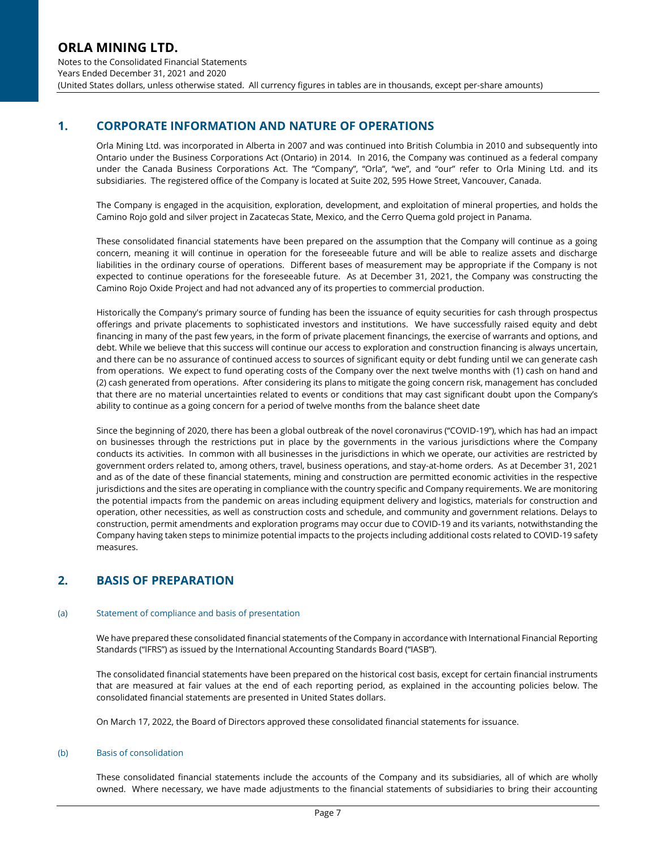## **1. CORPORATE INFORMATION AND NATURE OF OPERATIONS**

Orla Mining Ltd. was incorporated in Alberta in 2007 and was continued into British Columbia in 2010 and subsequently into Ontario under the Business Corporations Act (Ontario) in 2014. In 2016, the Company was continued as a federal company under the Canada Business Corporations Act. The "Company", "Orla", "we", and "our" refer to Orla Mining Ltd. and its subsidiaries. The registered office of the Company is located at Suite 202, 595 Howe Street, Vancouver, Canada.

The Company is engaged in the acquisition, exploration, development, and exploitation of mineral properties, and holds the Camino Rojo gold and silver project in Zacatecas State, Mexico, and the Cerro Quema gold project in Panama.

These consolidated financial statements have been prepared on the assumption that the Company will continue as a going concern, meaning it will continue in operation for the foreseeable future and will be able to realize assets and discharge liabilities in the ordinary course of operations. Different bases of measurement may be appropriate if the Company is not expected to continue operations for the foreseeable future. As at December 31, 2021, the Company was constructing the Camino Rojo Oxide Project and had not advanced any of its properties to commercial production.

Historically the Company's primary source of funding has been the issuance of equity securities for cash through prospectus offerings and private placements to sophisticated investors and institutions. We have successfully raised equity and debt financing in many of the past few years, in the form of private placement financings, the exercise of warrants and options, and debt. While we believe that this success will continue our access to exploration and construction financing is always uncertain, and there can be no assurance of continued access to sources of significant equity or debt funding until we can generate cash from operations. We expect to fund operating costs of the Company over the next twelve months with (1) cash on hand and (2) cash generated from operations. After considering its plans to mitigate the going concern risk, management has concluded that there are no material uncertainties related to events or conditions that may cast significant doubt upon the Company's ability to continue as a going concern for a period of twelve months from the balance sheet date

Since the beginning of 2020, there has been a global outbreak of the novel coronavirus ("COVID-19"), which has had an impact on businesses through the restrictions put in place by the governments in the various jurisdictions where the Company conducts its activities. In common with all businesses in the jurisdictions in which we operate, our activities are restricted by government orders related to, among others, travel, business operations, and stay-at-home orders. As at December 31, 2021 and as of the date of these financial statements, mining and construction are permitted economic activities in the respective jurisdictions and the sites are operating in compliance with the country specific and Company requirements. We are monitoring the potential impacts from the pandemic on areas including equipment delivery and logistics, materials for construction and operation, other necessities, as well as construction costs and schedule, and community and government relations. Delays to construction, permit amendments and exploration programs may occur due to COVID-19 and its variants, notwithstanding the Company having taken steps to minimize potential impacts to the projects including additional costs related to COVID-19 safety measures.

## **2. BASIS OF PREPARATION**

#### (a) Statement of compliance and basis of presentation

We have prepared these consolidated financial statements of the Company in accordance with International Financial Reporting Standards ("IFRS") as issued by the International Accounting Standards Board ("IASB").

The consolidated financial statements have been prepared on the historical cost basis, except for certain financial instruments that are measured at fair values at the end of each reporting period, as explained in the accounting policies below. The consolidated financial statements are presented in United States dollars.

On March 17, 2022, the Board of Directors approved these consolidated financial statements for issuance.

#### (b) Basis of consolidation

These consolidated financial statements include the accounts of the Company and its subsidiaries, all of which are wholly owned. Where necessary, we have made adjustments to the financial statements of subsidiaries to bring their accounting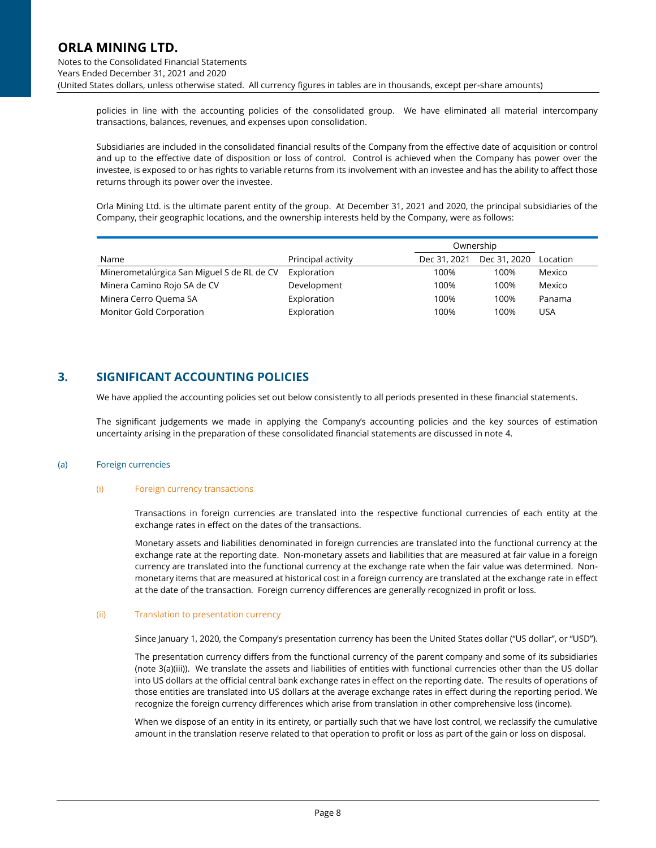policies in line with the accounting policies of the consolidated group. We have eliminated all material intercompany transactions, balances, revenues, and expenses upon consolidation.

Subsidiaries are included in the consolidated financial results of the Company from the effective date of acquisition or control and up to the effective date of disposition or loss of control. Control is achieved when the Company has power over the investee, is exposed to or has rights to variable returns from its involvement with an investee and has the ability to affect those returns through its power over the investee.

Orla Mining Ltd. is the ultimate parent entity of the group. At December 31, 2021 and 2020, the principal subsidiaries of the Company, their geographic locations, and the ownership interests held by the Company, were as follows:

|                                            |                    | Ownership    |              |            |
|--------------------------------------------|--------------------|--------------|--------------|------------|
| Name                                       | Principal activity | Dec 31, 2021 | Dec 31, 2020 | Location   |
| Minerometalúrgica San Miguel S de RL de CV | Exploration        | 100%         | 100%         | Mexico     |
| Minera Camino Rojo SA de CV                | Development        | 100%         | 100%         | Mexico     |
| Minera Cerro Quema SA                      | Exploration        | 100%         | 100%         | Panama     |
| Monitor Gold Corporation                   | Exploration        | 100%         | 100%         | <b>USA</b> |

## **3. SIGNIFICANT ACCOUNTING POLICIES**

We have applied the accounting policies set out below consistently to all periods presented in these financial statements.

The significant judgements we made in applying the Company's accounting policies and the key sources of estimation uncertainty arising in the preparation of these consolidated financial statements are discussed in note [4.](#page-19-0)

### (a) Foreign currencies

#### (i) Foreign currency transactions

Transactions in foreign currencies are translated into the respective functional currencies of each entity at the exchange rates in effect on the dates of the transactions.

Monetary assets and liabilities denominated in foreign currencies are translated into the functional currency at the exchange rate at the reporting date. Non-monetary assets and liabilities that are measured at fair value in a foreign currency are translated into the functional currency at the exchange rate when the fair value was determined. Nonmonetary items that are measured at historical cost in a foreign currency are translated at the exchange rate in effect at the date of the transaction. Foreign currency differences are generally recognized in profit or loss.

### (ii) Translation to presentation currency

Since January 1, 2020, the Company's presentation currency has been the United States dollar ("US dollar", or "USD").

The presentation currency differs from the functional currency of the parent company and some of its subsidiaries (note 3(a[\)\(iii\)\)](#page-8-0). We translate the assets and liabilities of entities with functional currencies other than the US dollar into US dollars at the official central bank exchange rates in effect on the reporting date. The results of operations of those entities are translated into US dollars at the average exchange rates in effect during the reporting period. We recognize the foreign currency differences which arise from translation in other comprehensive loss (income).

When we dispose of an entity in its entirety, or partially such that we have lost control, we reclassify the cumulative amount in the translation reserve related to that operation to profit or loss as part of the gain or loss on disposal.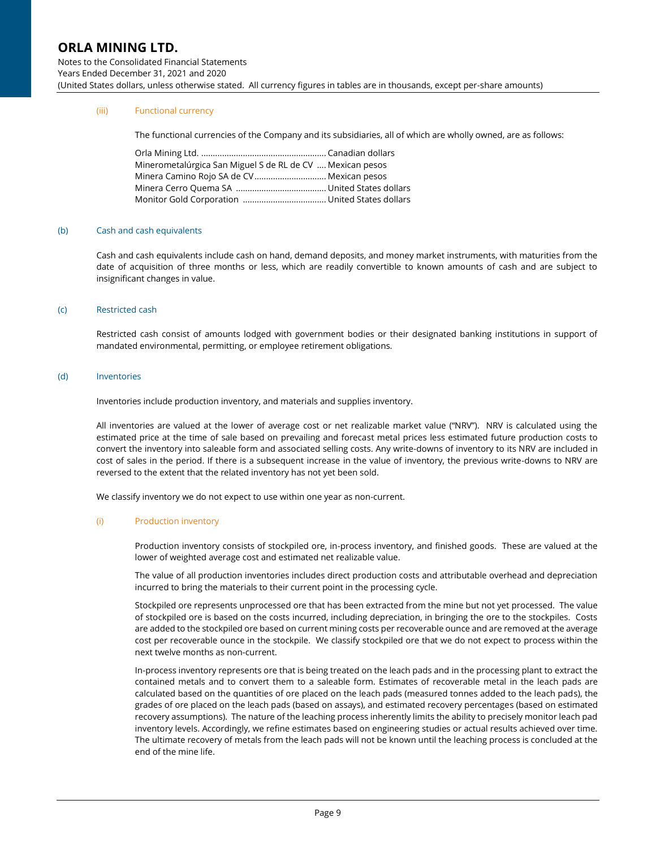Notes to the Consolidated Financial Statements Years Ended December 31, 2021 and 2020 (United States dollars, unless otherwise stated. All currency figures in tables are in thousands, except per-share amounts)

### <span id="page-8-0"></span>(iii) Functional currency

The functional currencies of the Company and its subsidiaries, all of which are wholly owned, are as follows:

| Minerometalúrgica San Miguel S de RL de CV  Mexican pesos |  |
|-----------------------------------------------------------|--|
| Minera Camino Rojo SA de CV Mexican pesos                 |  |
|                                                           |  |
|                                                           |  |

#### (b) Cash and cash equivalents

Cash and cash equivalents include cash on hand, demand deposits, and money market instruments, with maturities from the date of acquisition of three months or less, which are readily convertible to known amounts of cash and are subject to insignificant changes in value.

#### (c) Restricted cash

Restricted cash consist of amounts lodged with government bodies or their designated banking institutions in support of mandated environmental, permitting, or employee retirement obligations.

### (d) Inventories

Inventories include production inventory, and materials and supplies inventory.

All inventories are valued at the lower of average cost or net realizable market value ("NRV"). NRV is calculated using the estimated price at the time of sale based on prevailing and forecast metal prices less estimated future production costs to convert the inventory into saleable form and associated selling costs. Any write-downs of inventory to its NRV are included in cost of sales in the period. If there is a subsequent increase in the value of inventory, the previous write-downs to NRV are reversed to the extent that the related inventory has not yet been sold.

We classify inventory we do not expect to use within one year as non-current.

#### (i) Production inventory

Production inventory consists of stockpiled ore, in-process inventory, and finished goods. These are valued at the lower of weighted average cost and estimated net realizable value.

The value of all production inventories includes direct production costs and attributable overhead and depreciation incurred to bring the materials to their current point in the processing cycle.

Stockpiled ore represents unprocessed ore that has been extracted from the mine but not yet processed. The value of stockpiled ore is based on the costs incurred, including depreciation, in bringing the ore to the stockpiles. Costs are added to the stockpiled ore based on current mining costs per recoverable ounce and are removed at the average cost per recoverable ounce in the stockpile. We classify stockpiled ore that we do not expect to process within the next twelve months as non-current.

In-process inventory represents ore that is being treated on the leach pads and in the processing plant to extract the contained metals and to convert them to a saleable form. Estimates of recoverable metal in the leach pads are calculated based on the quantities of ore placed on the leach pads (measured tonnes added to the leach pads), the grades of ore placed on the leach pads (based on assays), and estimated recovery percentages (based on estimated recovery assumptions). The nature of the leaching process inherently limits the ability to precisely monitor leach pad inventory levels. Accordingly, we refine estimates based on engineering studies or actual results achieved over time. The ultimate recovery of metals from the leach pads will not be known until the leaching process is concluded at the end of the mine life.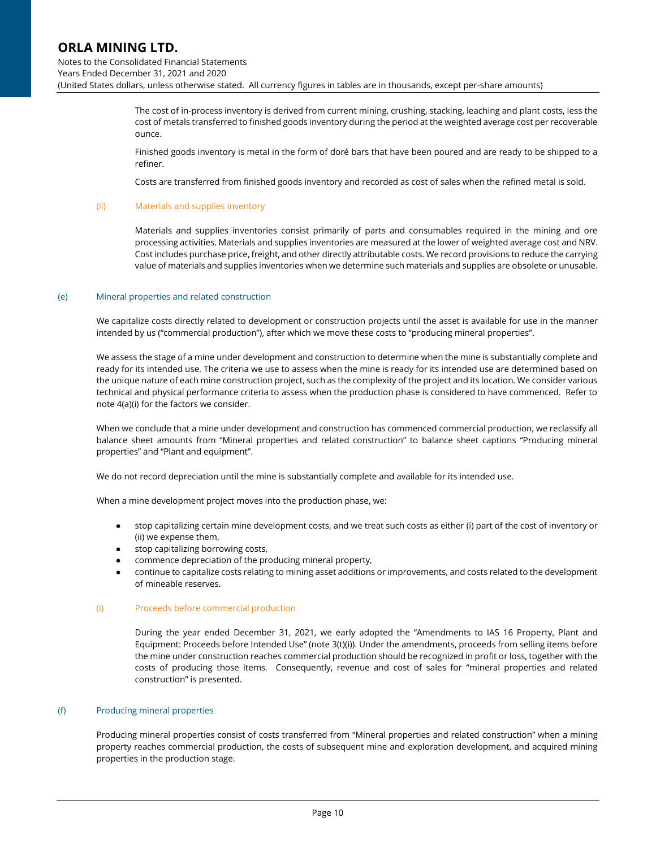Notes to the Consolidated Financial Statements Years Ended December 31, 2021 and 2020 (United States dollars, unless otherwise stated. All currency figures in tables are in thousands, except per-share amounts)

> The cost of in-process inventory is derived from current mining, crushing, stacking, leaching and plant costs, less the cost of metals transferred to finished goods inventory during the period at the weighted average cost per recoverable ounce.

> Finished goods inventory is metal in the form of doré bars that have been poured and are ready to be shipped to a refiner.

Costs are transferred from finished goods inventory and recorded as cost of sales when the refined metal is sold.

#### (ii) Materials and supplies inventory

Materials and supplies inventories consist primarily of parts and consumables required in the mining and ore processing activities. Materials and supplies inventories are measured at the lower of weighted average cost and NRV. Cost includes purchase price, freight, and other directly attributable costs. We record provisions to reduce the carrying value of materials and supplies inventories when we determine such materials and supplies are obsolete or unusable.

#### (e) Mineral properties and related construction

We capitalize costs directly related to development or construction projects until the asset is available for use in the manner intended by us ("commercial production"), after which we move these costs to "producing mineral properties".

We assess the stage of a mine under development and construction to determine when the mine is substantially complete and ready for its intended use. The criteria we use to assess when the mine is ready for its intended use are determined based on the unique nature of each mine construction project, such as the complexity of the project and its location. We consider various technical and physical performance criteria to assess when the production phase is considered to have commenced. Refer to note 4(a)(i) for the factors we consider.

When we conclude that a mine under development and construction has commenced commercial production, we reclassify all balance sheet amounts from "Mineral properties and related construction" to balance sheet captions "Producing mineral properties" and "Plant and equipment".

We do not record depreciation until the mine is substantially complete and available for its intended use.

When a mine development project moves into the production phase, we:

- stop capitalizing certain mine development costs, and we treat such costs as either (i) part of the cost of inventory or (ii) we expense them,
- stop capitalizing borrowing costs,
- commence depreciation of the producing mineral property,
- continue to capitalize costs relating to mining asset additions or improvements, and costs related to the development of mineable reserves.

#### (i) Proceeds before commercial production

During the year ended December 31, 2021, we early adopted the "Amendments to IAS 16 Property, Plant and Equipment: Proceeds before Intended Use" (note [3\(t\)\(i\)\)](#page-17-0). Under the amendments, proceeds from selling items before the mine under construction reaches commercial production should be recognized in profit or loss, together with the costs of producing those items. Consequently, revenue and cost of sales for "mineral properties and related construction" is presented.

#### (f) Producing mineral properties

Producing mineral properties consist of costs transferred from "Mineral properties and related construction" when a mining property reaches commercial production, the costs of subsequent mine and exploration development, and acquired mining properties in the production stage.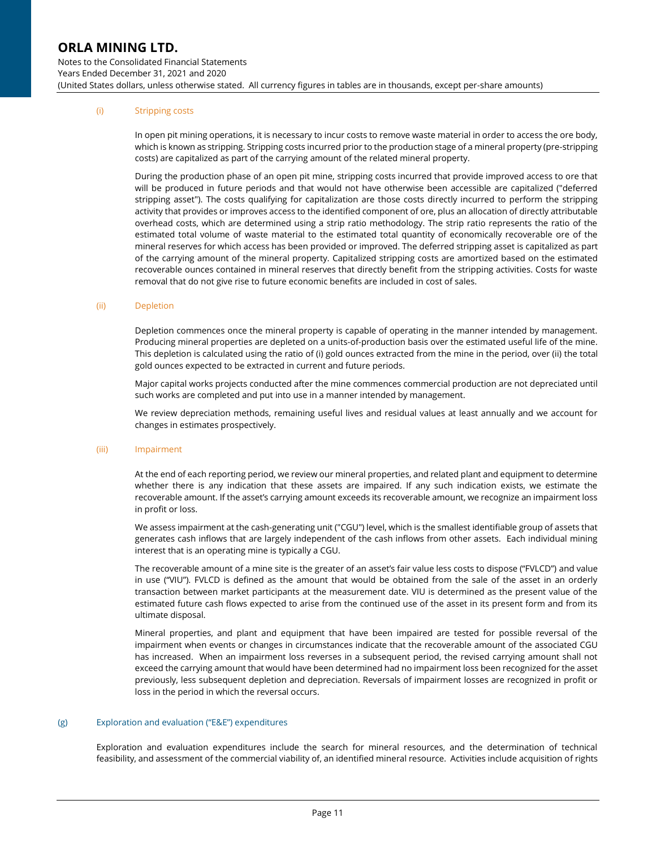Notes to the Consolidated Financial Statements Years Ended December 31, 2021 and 2020 (United States dollars, unless otherwise stated. All currency figures in tables are in thousands, except per-share amounts)

### (i) Stripping costs

In open pit mining operations, it is necessary to incur costs to remove waste material in order to access the ore body, which is known as stripping. Stripping costs incurred prior to the production stage of a mineral property (pre-stripping costs) are capitalized as part of the carrying amount of the related mineral property.

During the production phase of an open pit mine, stripping costs incurred that provide improved access to ore that will be produced in future periods and that would not have otherwise been accessible are capitalized ("deferred stripping asset"). The costs qualifying for capitalization are those costs directly incurred to perform the stripping activity that provides or improves access to the identified component of ore, plus an allocation of directly attributable overhead costs, which are determined using a strip ratio methodology. The strip ratio represents the ratio of the estimated total volume of waste material to the estimated total quantity of economically recoverable ore of the mineral reserves for which access has been provided or improved. The deferred stripping asset is capitalized as part of the carrying amount of the mineral property. Capitalized stripping costs are amortized based on the estimated recoverable ounces contained in mineral reserves that directly benefit from the stripping activities. Costs for waste removal that do not give rise to future economic benefits are included in cost of sales.

### (ii) Depletion

Depletion commences once the mineral property is capable of operating in the manner intended by management. Producing mineral properties are depleted on a units-of-production basis over the estimated useful life of the mine. This depletion is calculated using the ratio of (i) gold ounces extracted from the mine in the period, over (ii) the total gold ounces expected to be extracted in current and future periods.

Major capital works projects conducted after the mine commences commercial production are not depreciated until such works are completed and put into use in a manner intended by management.

We review depreciation methods, remaining useful lives and residual values at least annually and we account for changes in estimates prospectively.

#### (iii) Impairment

At the end of each reporting period, we review our mineral properties, and related plant and equipment to determine whether there is any indication that these assets are impaired. If any such indication exists, we estimate the recoverable amount. If the asset's carrying amount exceeds its recoverable amount, we recognize an impairment loss in profit or loss.

We assess impairment at the cash-generating unit ("CGU") level, which is the smallest identifiable group of assets that generates cash inflows that are largely independent of the cash inflows from other assets. Each individual mining interest that is an operating mine is typically a CGU.

The recoverable amount of a mine site is the greater of an asset's fair value less costs to dispose ("FVLCD") and value in use ("VIU"). FVLCD is defined as the amount that would be obtained from the sale of the asset in an orderly transaction between market participants at the measurement date. VIU is determined as the present value of the estimated future cash flows expected to arise from the continued use of the asset in its present form and from its ultimate disposal.

Mineral properties, and plant and equipment that have been impaired are tested for possible reversal of the impairment when events or changes in circumstances indicate that the recoverable amount of the associated CGU has increased. When an impairment loss reverses in a subsequent period, the revised carrying amount shall not exceed the carrying amount that would have been determined had no impairment loss been recognized for the asset previously, less subsequent depletion and depreciation. Reversals of impairment losses are recognized in profit or loss in the period in which the reversal occurs.

#### (g) Exploration and evaluation ("E&E") expenditures

Exploration and evaluation expenditures include the search for mineral resources, and the determination of technical feasibility, and assessment of the commercial viability of, an identified mineral resource. Activities include acquisition of rights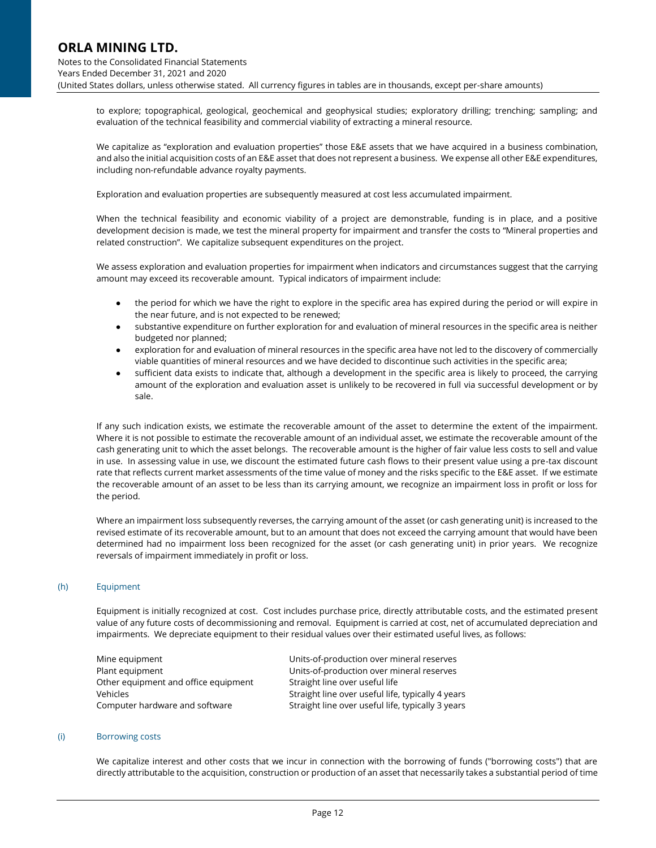to explore; topographical, geological, geochemical and geophysical studies; exploratory drilling; trenching; sampling; and evaluation of the technical feasibility and commercial viability of extracting a mineral resource.

We capitalize as "exploration and evaluation properties" those E&E assets that we have acquired in a business combination, and also the initial acquisition costs of an E&E asset that does not represent a business. We expense all other E&E expenditures, including non-refundable advance royalty payments.

Exploration and evaluation properties are subsequently measured at cost less accumulated impairment.

When the technical feasibility and economic viability of a project are demonstrable, funding is in place, and a positive development decision is made, we test the mineral property for impairment and transfer the costs to "Mineral properties and related construction". We capitalize subsequent expenditures on the project.

We assess exploration and evaluation properties for impairment when indicators and circumstances suggest that the carrying amount may exceed its recoverable amount. Typical indicators of impairment include:

- the period for which we have the right to explore in the specific area has expired during the period or will expire in the near future, and is not expected to be renewed;
- substantive expenditure on further exploration for and evaluation of mineral resources in the specific area is neither budgeted nor planned;
- exploration for and evaluation of mineral resources in the specific area have not led to the discovery of commercially viable quantities of mineral resources and we have decided to discontinue such activities in the specific area;
- sufficient data exists to indicate that, although a development in the specific area is likely to proceed, the carrying amount of the exploration and evaluation asset is unlikely to be recovered in full via successful development or by sale.

If any such indication exists, we estimate the recoverable amount of the asset to determine the extent of the impairment. Where it is not possible to estimate the recoverable amount of an individual asset, we estimate the recoverable amount of the cash generating unit to which the asset belongs. The recoverable amount is the higher of fair value less costs to sell and value in use. In assessing value in use, we discount the estimated future cash flows to their present value using a pre‐tax discount rate that reflects current market assessments of the time value of money and the risks specific to the E&E asset. If we estimate the recoverable amount of an asset to be less than its carrying amount, we recognize an impairment loss in profit or loss for the period.

Where an impairment loss subsequently reverses, the carrying amount of the asset (or cash generating unit) is increased to the revised estimate of its recoverable amount, but to an amount that does not exceed the carrying amount that would have been determined had no impairment loss been recognized for the asset (or cash generating unit) in prior years. We recognize reversals of impairment immediately in profit or loss.

#### (h) Equipment

Equipment is initially recognized at cost. Cost includes purchase price, directly attributable costs, and the estimated present value of any future costs of decommissioning and removal. Equipment is carried at cost, net of accumulated depreciation and impairments. We depreciate equipment to their residual values over their estimated useful lives, as follows:

Other equipment and office equipment Straight line over useful life

Mine equipment **Mine equipment** Units-of-production over mineral reserves Plant equipment **National Exercise Server Control** Units-of-production over mineral reserves Vehicles Straight line over useful life, typically 4 years Computer hardware and software Straight line over useful life, typically 3 years

#### (i) Borrowing costs

We capitalize interest and other costs that we incur in connection with the borrowing of funds ("borrowing costs") that are directly attributable to the acquisition, construction or production of an asset that necessarily takes a substantial period of time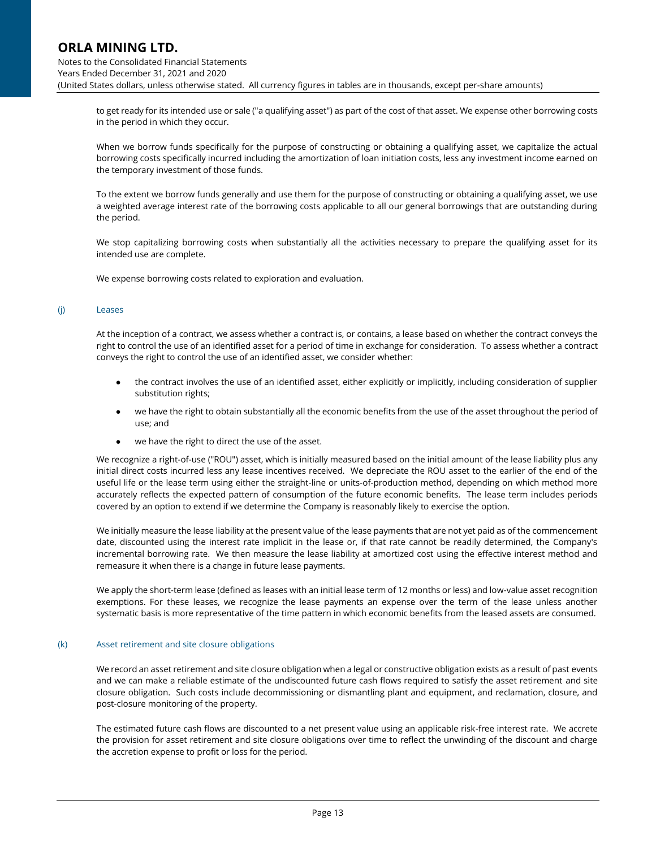to get ready for its intended use or sale ("a qualifying asset") as part of the cost of that asset. We expense other borrowing costs in the period in which they occur.

When we borrow funds specifically for the purpose of constructing or obtaining a qualifying asset, we capitalize the actual borrowing costs specifically incurred including the amortization of loan initiation costs, less any investment income earned on the temporary investment of those funds.

To the extent we borrow funds generally and use them for the purpose of constructing or obtaining a qualifying asset, we use a weighted average interest rate of the borrowing costs applicable to all our general borrowings that are outstanding during the period.

We stop capitalizing borrowing costs when substantially all the activities necessary to prepare the qualifying asset for its intended use are complete.

We expense borrowing costs related to exploration and evaluation.

### (j) Leases

At the inception of a contract, we assess whether a contract is, or contains, a lease based on whether the contract conveys the right to control the use of an identified asset for a period of time in exchange for consideration. To assess whether a contract conveys the right to control the use of an identified asset, we consider whether:

- the contract involves the use of an identified asset, either explicitly or implicitly, including consideration of supplier substitution rights;
- we have the right to obtain substantially all the economic benefits from the use of the asset throughout the period of use; and
- we have the right to direct the use of the asset.

We recognize a right-of-use ("ROU") asset, which is initially measured based on the initial amount of the lease liability plus any initial direct costs incurred less any lease incentives received. We depreciate the ROU asset to the earlier of the end of the useful life or the lease term using either the straight-line or units-of-production method, depending on which method more accurately reflects the expected pattern of consumption of the future economic benefits. The lease term includes periods covered by an option to extend if we determine the Company is reasonably likely to exercise the option.

We initially measure the lease liability at the present value of the lease payments that are not yet paid as of the commencement date, discounted using the interest rate implicit in the lease or, if that rate cannot be readily determined, the Company's incremental borrowing rate. We then measure the lease liability at amortized cost using the effective interest method and remeasure it when there is a change in future lease payments.

We apply the short-term lease (defined as leases with an initial lease term of 12 months or less) and low-value asset recognition exemptions. For these leases, we recognize the lease payments an expense over the term of the lease unless another systematic basis is more representative of the time pattern in which economic benefits from the leased assets are consumed.

#### (k) Asset retirement and site closure obligations

We record an asset retirement and site closure obligation when a legal or constructive obligation exists as a result of past events and we can make a reliable estimate of the undiscounted future cash flows required to satisfy the asset retirement and site closure obligation. Such costs include decommissioning or dismantling plant and equipment, and reclamation, closure, and post-closure monitoring of the property.

The estimated future cash flows are discounted to a net present value using an applicable risk-free interest rate. We accrete the provision for asset retirement and site closure obligations over time to reflect the unwinding of the discount and charge the accretion expense to profit or loss for the period.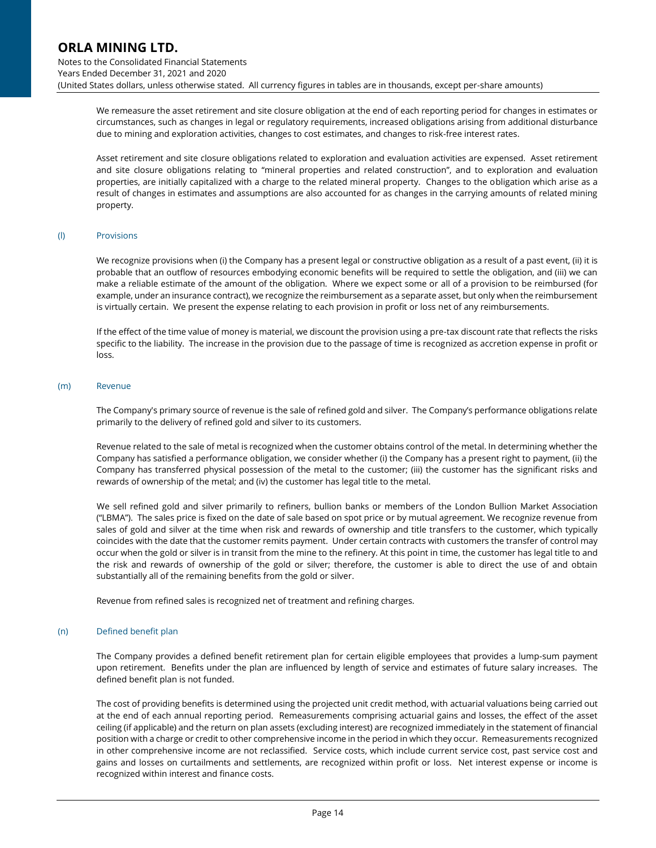We remeasure the asset retirement and site closure obligation at the end of each reporting period for changes in estimates or circumstances, such as changes in legal or regulatory requirements, increased obligations arising from additional disturbance due to mining and exploration activities, changes to cost estimates, and changes to risk-free interest rates.

Asset retirement and site closure obligations related to exploration and evaluation activities are expensed. Asset retirement and site closure obligations relating to "mineral properties and related construction", and to exploration and evaluation properties, are initially capitalized with a charge to the related mineral property. Changes to the obligation which arise as a result of changes in estimates and assumptions are also accounted for as changes in the carrying amounts of related mining property.

#### (l) Provisions

We recognize provisions when (i) the Company has a present legal or constructive obligation as a result of a past event, (ii) it is probable that an outflow of resources embodying economic benefits will be required to settle the obligation, and (iii) we can make a reliable estimate of the amount of the obligation. Where we expect some or all of a provision to be reimbursed (for example, under an insurance contract), we recognize the reimbursement as a separate asset, but only when the reimbursement is virtually certain. We present the expense relating to each provision in profit or loss net of any reimbursements.

If the effect of the time value of money is material, we discount the provision using a pre-tax discount rate that reflects the risks specific to the liability. The increase in the provision due to the passage of time is recognized as accretion expense in profit or loss.

#### (m) Revenue

The Company's primary source of revenue is the sale of refined gold and silver. The Company's performance obligations relate primarily to the delivery of refined gold and silver to its customers.

Revenue related to the sale of metal is recognized when the customer obtains control of the metal. In determining whether the Company has satisfied a performance obligation, we consider whether (i) the Company has a present right to payment, (ii) the Company has transferred physical possession of the metal to the customer; (iii) the customer has the significant risks and rewards of ownership of the metal; and (iv) the customer has legal title to the metal.

We sell refined gold and silver primarily to refiners, bullion banks or members of the London Bullion Market Association ("LBMA"). The sales price is fixed on the date of sale based on spot price or by mutual agreement. We recognize revenue from sales of gold and silver at the time when risk and rewards of ownership and title transfers to the customer, which typically coincides with the date that the customer remits payment. Under certain contracts with customers the transfer of control may occur when the gold or silver is in transit from the mine to the refinery. At this point in time, the customer has legal title to and the risk and rewards of ownership of the gold or silver; therefore, the customer is able to direct the use of and obtain substantially all of the remaining benefits from the gold or silver.

Revenue from refined sales is recognized net of treatment and refining charges.

#### (n) Defined benefit plan

The Company provides a defined benefit retirement plan for certain eligible employees that provides a lump-sum payment upon retirement. Benefits under the plan are influenced by length of service and estimates of future salary increases. The defined benefit plan is not funded.

The cost of providing benefits is determined using the projected unit credit method, with actuarial valuations being carried out at the end of each annual reporting period. Remeasurements comprising actuarial gains and losses, the effect of the asset ceiling (if applicable) and the return on plan assets (excluding interest) are recognized immediately in the statement of financial position with a charge or credit to other comprehensive income in the period in which they occur. Remeasurements recognized in other comprehensive income are not reclassified. Service costs, which include current service cost, past service cost and gains and losses on curtailments and settlements, are recognized within profit or loss. Net interest expense or income is recognized within interest and finance costs.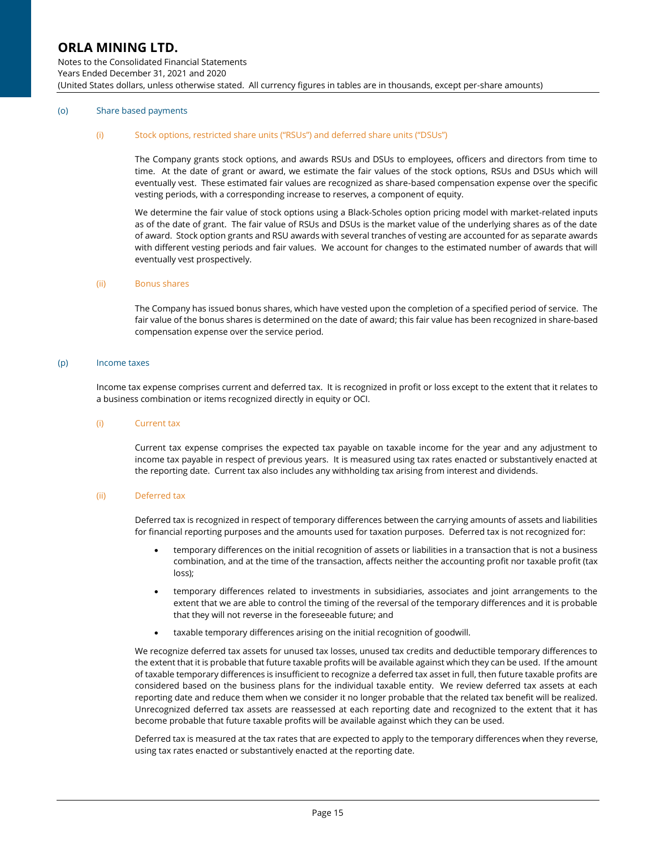### (o) Share based payments

#### (i) Stock options, restricted share units ("RSUs") and deferred share units ("DSUs")

The Company grants stock options, and awards RSUs and DSUs to employees, officers and directors from time to time. At the date of grant or award, we estimate the fair values of the stock options, RSUs and DSUs which will eventually vest. These estimated fair values are recognized as share-based compensation expense over the specific vesting periods, with a corresponding increase to reserves, a component of equity.

We determine the fair value of stock options using a Black-Scholes option pricing model with market-related inputs as of the date of grant. The fair value of RSUs and DSUs is the market value of the underlying shares as of the date of award. Stock option grants and RSU awards with several tranches of vesting are accounted for as separate awards with different vesting periods and fair values. We account for changes to the estimated number of awards that will eventually vest prospectively.

### (ii) Bonus shares

The Company has issued bonus shares, which have vested upon the completion of a specified period of service. The fair value of the bonus shares is determined on the date of award; this fair value has been recognized in share-based compensation expense over the service period.

#### (p) Income taxes

Income tax expense comprises current and deferred tax. It is recognized in profit or loss except to the extent that it relates to a business combination or items recognized directly in equity or OCI.

#### (i) Current tax

Current tax expense comprises the expected tax payable on taxable income for the year and any adjustment to income tax payable in respect of previous years. It is measured using tax rates enacted or substantively enacted at the reporting date. Current tax also includes any withholding tax arising from interest and dividends.

#### (ii) Deferred tax

Deferred tax is recognized in respect of temporary differences between the carrying amounts of assets and liabilities for financial reporting purposes and the amounts used for taxation purposes. Deferred tax is not recognized for:

- temporary differences on the initial recognition of assets or liabilities in a transaction that is not a business combination, and at the time of the transaction, affects neither the accounting profit nor taxable profit (tax loss);
- temporary differences related to investments in subsidiaries, associates and joint arrangements to the extent that we are able to control the timing of the reversal of the temporary differences and it is probable that they will not reverse in the foreseeable future; and
- taxable temporary differences arising on the initial recognition of goodwill.

We recognize deferred tax assets for unused tax losses, unused tax credits and deductible temporary differences to the extent that it is probable that future taxable profits will be available against which they can be used. If the amount of taxable temporary differences is insufficient to recognize a deferred tax asset in full, then future taxable profits are considered based on the business plans for the individual taxable entity. We review deferred tax assets at each reporting date and reduce them when we consider it no longer probable that the related tax benefit will be realized. Unrecognized deferred tax assets are reassessed at each reporting date and recognized to the extent that it has become probable that future taxable profits will be available against which they can be used.

Deferred tax is measured at the tax rates that are expected to apply to the temporary differences when they reverse, using tax rates enacted or substantively enacted at the reporting date.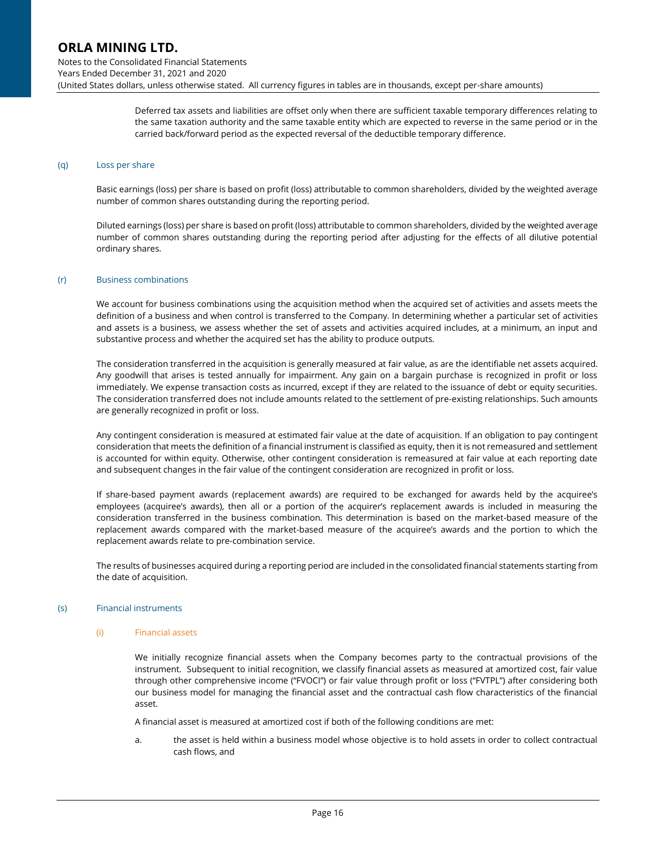Notes to the Consolidated Financial Statements Years Ended December 31, 2021 and 2020 (United States dollars, unless otherwise stated. All currency figures in tables are in thousands, except per-share amounts)

> Deferred tax assets and liabilities are offset only when there are sufficient taxable temporary differences relating to the same taxation authority and the same taxable entity which are expected to reverse in the same period or in the carried back/forward period as the expected reversal of the deductible temporary difference.

#### (q) Loss per share

Basic earnings (loss) per share is based on profit (loss) attributable to common shareholders, divided by the weighted average number of common shares outstanding during the reporting period.

Diluted earnings (loss) per share is based on profit (loss) attributable to common shareholders, divided by the weighted average number of common shares outstanding during the reporting period after adjusting for the effects of all dilutive potential ordinary shares.

#### (r) Business combinations

We account for business combinations using the acquisition method when the acquired set of activities and assets meets the definition of a business and when control is transferred to the Company. In determining whether a particular set of activities and assets is a business, we assess whether the set of assets and activities acquired includes, at a minimum, an input and substantive process and whether the acquired set has the ability to produce outputs.

The consideration transferred in the acquisition is generally measured at fair value, as are the identifiable net assets acquired. Any goodwill that arises is tested annually for impairment. Any gain on a bargain purchase is recognized in profit or loss immediately. We expense transaction costs as incurred, except if they are related to the issuance of debt or equity securities. The consideration transferred does not include amounts related to the settlement of pre-existing relationships. Such amounts are generally recognized in profit or loss.

Any contingent consideration is measured at estimated fair value at the date of acquisition. If an obligation to pay contingent consideration that meets the definition of a financial instrument is classified as equity, then it is not remeasured and settlement is accounted for within equity. Otherwise, other contingent consideration is remeasured at fair value at each reporting date and subsequent changes in the fair value of the contingent consideration are recognized in profit or loss.

If share-based payment awards (replacement awards) are required to be exchanged for awards held by the acquiree's employees (acquiree's awards), then all or a portion of the acquirer's replacement awards is included in measuring the consideration transferred in the business combination. This determination is based on the market-based measure of the replacement awards compared with the market-based measure of the acquiree's awards and the portion to which the replacement awards relate to pre-combination service.

The results of businesses acquired during a reporting period are included in the consolidated financial statements starting from the date of acquisition.

#### (s) Financial instruments

#### (i) Financial assets

We initially recognize financial assets when the Company becomes party to the contractual provisions of the instrument. Subsequent to initial recognition, we classify financial assets as measured at amortized cost, fair value through other comprehensive income ("FVOCI") or fair value through profit or loss ("FVTPL") after considering both our business model for managing the financial asset and the contractual cash flow characteristics of the financial asset.

A financial asset is measured at amortized cost if both of the following conditions are met:

a. the asset is held within a business model whose objective is to hold assets in order to collect contractual cash flows, and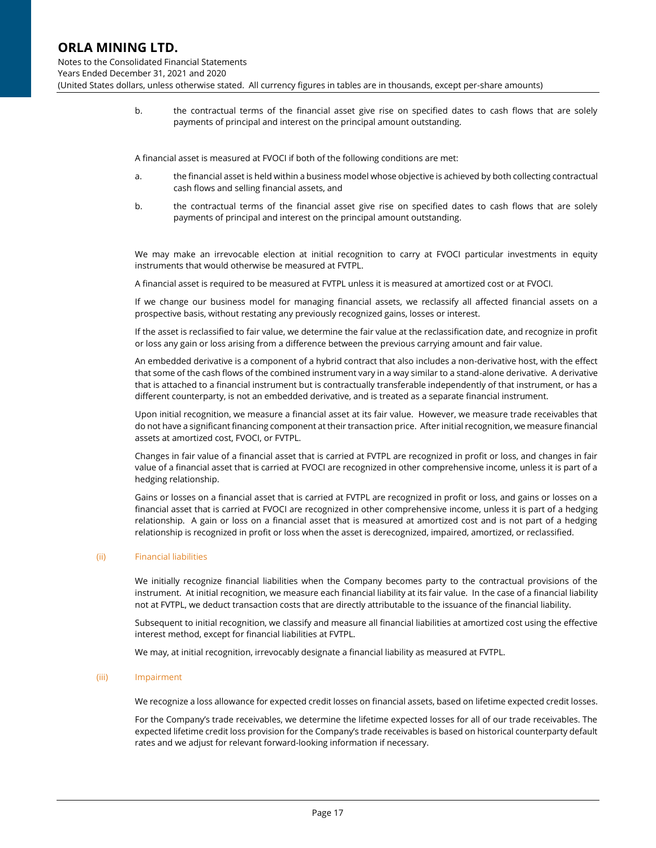b. the contractual terms of the financial asset give rise on specified dates to cash flows that are solely payments of principal and interest on the principal amount outstanding.

A financial asset is measured at FVOCI if both of the following conditions are met:

- a. the financial asset is held within a business model whose objective is achieved by both collecting contractual cash flows and selling financial assets, and
- b. the contractual terms of the financial asset give rise on specified dates to cash flows that are solely payments of principal and interest on the principal amount outstanding.

We may make an irrevocable election at initial recognition to carry at FVOCI particular investments in equity instruments that would otherwise be measured at FVTPL.

A financial asset is required to be measured at FVTPL unless it is measured at amortized cost or at FVOCI.

If we change our business model for managing financial assets, we reclassify all affected financial assets on a prospective basis, without restating any previously recognized gains, losses or interest.

If the asset is reclassified to fair value, we determine the fair value at the reclassification date, and recognize in profit or loss any gain or loss arising from a difference between the previous carrying amount and fair value.

An embedded derivative is a component of a hybrid contract that also includes a non-derivative host, with the effect that some of the cash flows of the combined instrument vary in a way similar to a stand-alone derivative. A derivative that is attached to a financial instrument but is contractually transferable independently of that instrument, or has a different counterparty, is not an embedded derivative, and is treated as a separate financial instrument.

Upon initial recognition, we measure a financial asset at its fair value. However, we measure trade receivables that do not have a significant financing component at their transaction price. After initial recognition, we measure financial assets at amortized cost, FVOCI, or FVTPL.

Changes in fair value of a financial asset that is carried at FVTPL are recognized in profit or loss, and changes in fair value of a financial asset that is carried at FVOCI are recognized in other comprehensive income, unless it is part of a hedging relationship.

Gains or losses on a financial asset that is carried at FVTPL are recognized in profit or loss, and gains or losses on a financial asset that is carried at FVOCI are recognized in other comprehensive income, unless it is part of a hedging relationship. A gain or loss on a financial asset that is measured at amortized cost and is not part of a hedging relationship is recognized in profit or loss when the asset is derecognized, impaired, amortized, or reclassified.

### (ii) Financial liabilities

We initially recognize financial liabilities when the Company becomes party to the contractual provisions of the instrument. At initial recognition, we measure each financial liability at its fair value. In the case of a financial liability not at FVTPL, we deduct transaction costs that are directly attributable to the issuance of the financial liability.

Subsequent to initial recognition, we classify and measure all financial liabilities at amortized cost using the effective interest method, except for financial liabilities at FVTPL.

We may, at initial recognition, irrevocably designate a financial liability as measured at FVTPL.

#### (iii) Impairment

We recognize a loss allowance for expected credit losses on financial assets, based on lifetime expected credit losses.

For the Company's trade receivables, we determine the lifetime expected losses for all of our trade receivables. The expected lifetime credit loss provision for the Company's trade receivables is based on historical counterparty default rates and we adjust for relevant forward-looking information if necessary.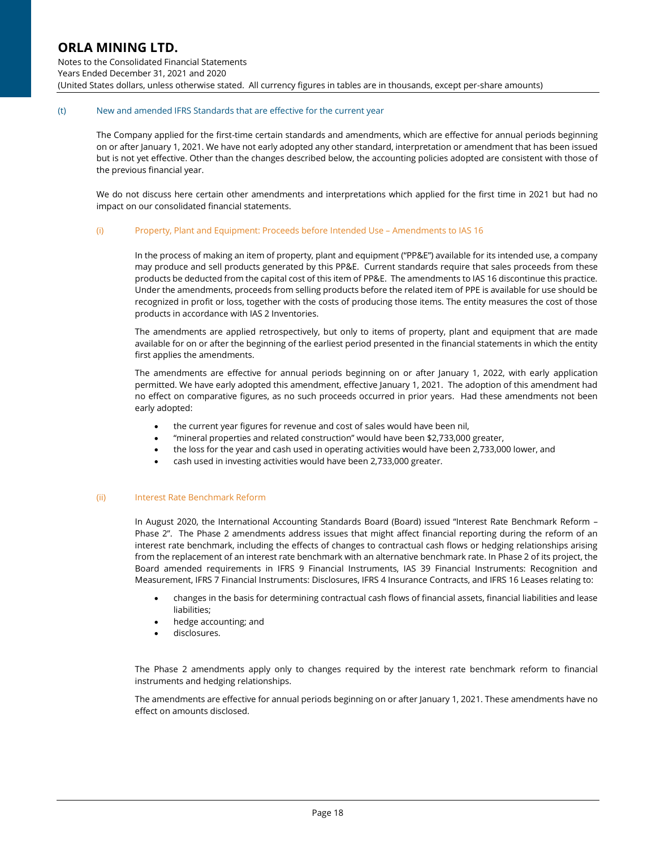#### (t) New and amended IFRS Standards that are effective for the current year

The Company applied for the first-time certain standards and amendments, which are effective for annual periods beginning on or after January 1, 2021. We have not early adopted any other standard, interpretation or amendment that has been issued but is not yet effective. Other than the changes described below, the accounting policies adopted are consistent with those of the previous financial year.

We do not discuss here certain other amendments and interpretations which applied for the first time in 2021 but had no impact on our consolidated financial statements.

#### <span id="page-17-0"></span>(i) Property, Plant and Equipment: Proceeds before Intended Use – Amendments to IAS 16

In the process of making an item of property, plant and equipment ("PP&E") available for its intended use, a company may produce and sell products generated by this PP&E. Current standards require that sales proceeds from these products be deducted from the capital cost of this item of PP&E. The amendments to IAS 16 discontinue this practice. Under the amendments, proceeds from selling products before the related item of PPE is available for use should be recognized in profit or loss, together with the costs of producing those items. The entity measures the cost of those products in accordance with IAS 2 Inventories.

The amendments are applied retrospectively, but only to items of property, plant and equipment that are made available for on or after the beginning of the earliest period presented in the financial statements in which the entity first applies the amendments.

The amendments are effective for annual periods beginning on or after January 1, 2022, with early application permitted. We have early adopted this amendment, effective January 1, 2021. The adoption of this amendment had no effect on comparative figures, as no such proceeds occurred in prior years. Had these amendments not been early adopted:

- the current year figures for revenue and cost of sales would have been nil,
- "mineral properties and related construction" would have been \$2,733,000 greater,
- the loss for the year and cash used in operating activities would have been 2,733,000 lower, and
- cash used in investing activities would have been 2,733,000 greater.

#### (ii) Interest Rate Benchmark Reform

In August 2020, the International Accounting Standards Board (Board) issued "Interest Rate Benchmark Reform – Phase 2". The Phase 2 amendments address issues that might affect financial reporting during the reform of an interest rate benchmark, including the effects of changes to contractual cash flows or hedging relationships arising from the replacement of an interest rate benchmark with an alternative benchmark rate. In Phase 2 of its project, the Board amended requirements in IFRS 9 Financial Instruments, IAS 39 Financial Instruments: Recognition and Measurement, IFRS 7 Financial Instruments: Disclosures, IFRS 4 Insurance Contracts, and IFRS 16 Leases relating to:

- changes in the basis for determining contractual cash flows of financial assets, financial liabilities and lease liabilities;
- hedge accounting; and
- disclosures.

The Phase 2 amendments apply only to changes required by the interest rate benchmark reform to financial instruments and hedging relationships.

The amendments are effective for annual periods beginning on or after January 1, 2021. These amendments have no effect on amounts disclosed.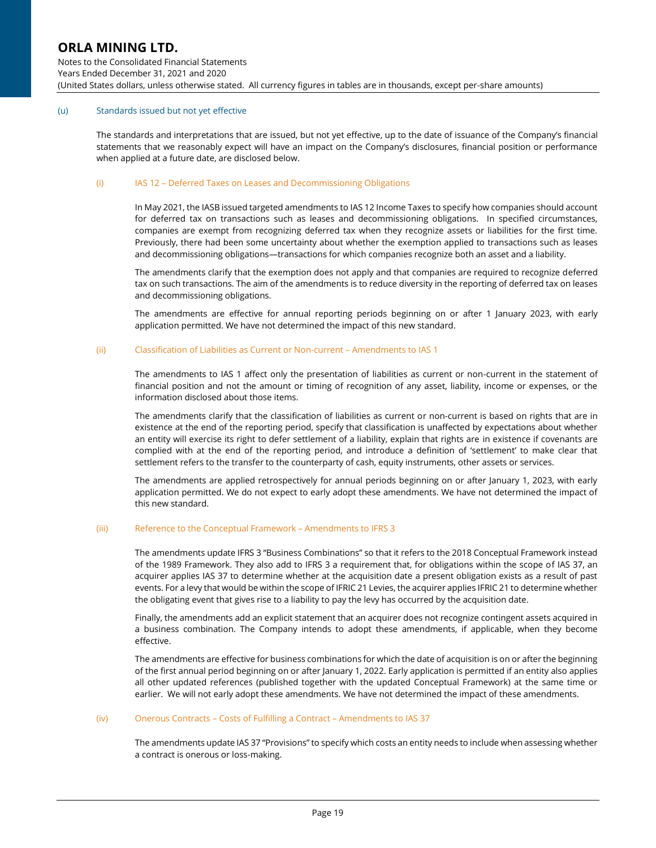#### (u) Standards issued but not yet effective

The standards and interpretations that are issued, but not yet effective, up to the date of issuance of the Company's financial statements that we reasonably expect will have an impact on the Company's disclosures, financial position or performance when applied at a future date, are disclosed below.

#### (i) IAS 12 – Deferred Taxes on Leases and Decommissioning Obligations

In May 2021, the IASB issued targeted amendments to IAS 12 Income Taxes to specify how companies should account for deferred tax on transactions such as leases and decommissioning obligations. In specified circumstances, companies are exempt from recognizing deferred tax when they recognize assets or liabilities for the first time. Previously, there had been some uncertainty about whether the exemption applied to transactions such as leases and decommissioning obligations—transactions for which companies recognize both an asset and a liability.

The amendments clarify that the exemption does not apply and that companies are required to recognize deferred tax on such transactions. The aim of the amendments is to reduce diversity in the reporting of deferred tax on leases and decommissioning obligations.

The amendments are effective for annual reporting periods beginning on or after 1 January 2023, with early application permitted. We have not determined the impact of this new standard.

#### (ii) Classification of Liabilities as Current or Non-current – Amendments to IAS 1

The amendments to IAS 1 affect only the presentation of liabilities as current or non-current in the statement of financial position and not the amount or timing of recognition of any asset, liability, income or expenses, or the information disclosed about those items.

The amendments clarify that the classification of liabilities as current or non-current is based on rights that are in existence at the end of the reporting period, specify that classification is unaffected by expectations about whether an entity will exercise its right to defer settlement of a liability, explain that rights are in existence if covenants are complied with at the end of the reporting period, and introduce a definition of 'settlement' to make clear that settlement refers to the transfer to the counterparty of cash, equity instruments, other assets or services.

The amendments are applied retrospectively for annual periods beginning on or after January 1, 2023, with early application permitted. We do not expect to early adopt these amendments. We have not determined the impact of this new standard.

### (iii) Reference to the Conceptual Framework – Amendments to IFRS 3

The amendments update IFRS 3 "Business Combinations" so that it refers to the 2018 Conceptual Framework instead of the 1989 Framework. They also add to IFRS 3 a requirement that, for obligations within the scope of IAS 37, an acquirer applies IAS 37 to determine whether at the acquisition date a present obligation exists as a result of past events. For a levy that would be within the scope of IFRIC 21 Levies, the acquirer applies IFRIC 21 to determine whether the obligating event that gives rise to a liability to pay the levy has occurred by the acquisition date.

Finally, the amendments add an explicit statement that an acquirer does not recognize contingent assets acquired in a business combination. The Company intends to adopt these amendments, if applicable, when they become effective.

The amendments are effective for business combinations for which the date of acquisition is on or after the beginning of the first annual period beginning on or after January 1, 2022. Early application is permitted if an entity also applies all other updated references (published together with the updated Conceptual Framework) at the same time or earlier. We will not early adopt these amendments. We have not determined the impact of these amendments.

#### (iv) Onerous Contracts – Costs of Fulfilling a Contract – Amendments to IAS 37

The amendments update IAS 37 "Provisions" to specify which costs an entity needs to include when assessing whether a contract is onerous or loss-making.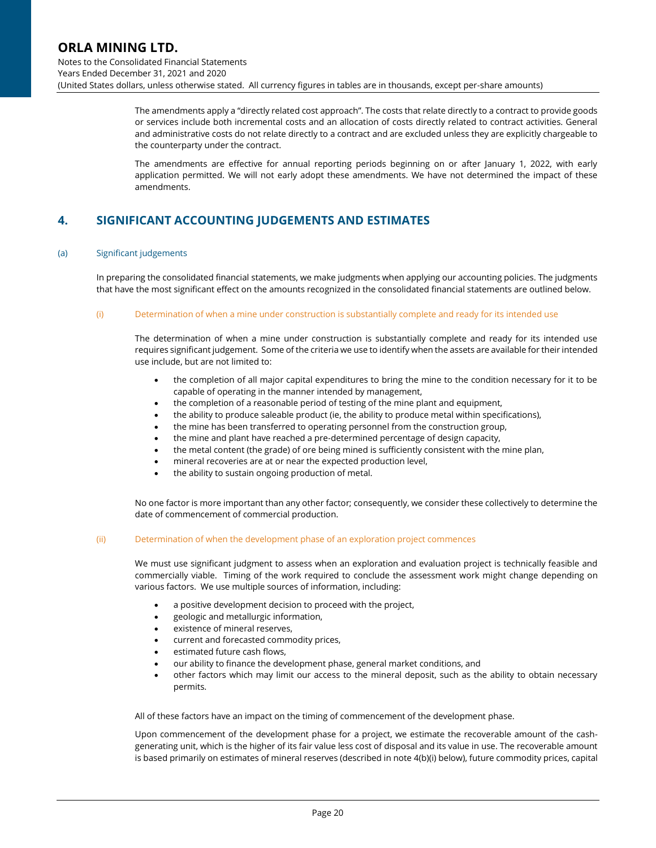The amendments apply a "directly related cost approach". The costs that relate directly to a contract to provide goods or services include both incremental costs and an allocation of costs directly related to contract activities. General and administrative costs do not relate directly to a contract and are excluded unless they are explicitly chargeable to the counterparty under the contract.

The amendments are effective for annual reporting periods beginning on or after January 1, 2022, with early application permitted. We will not early adopt these amendments. We have not determined the impact of these amendments.

## <span id="page-19-0"></span>**4. SIGNIFICANT ACCOUNTING JUDGEMENTS AND ESTIMATES**

### (a) Significant judgements

In preparing the consolidated financial statements, we make judgments when applying our accounting policies. The judgments that have the most significant effect on the amounts recognized in the consolidated financial statements are outlined below.

### (i) Determination of when a mine under construction is substantially complete and ready for its intended use

The determination of when a mine under construction is substantially complete and ready for its intended use requires significant judgement. Some of the criteria we use to identify when the assets are available for their intended use include, but are not limited to:

- the completion of all major capital expenditures to bring the mine to the condition necessary for it to be capable of operating in the manner intended by management,
- the completion of a reasonable period of testing of the mine plant and equipment,
- the ability to produce saleable product (ie, the ability to produce metal within specifications),
- the mine has been transferred to operating personnel from the construction group,
- the mine and plant have reached a pre-determined percentage of design capacity,
- the metal content (the grade) of ore being mined is sufficiently consistent with the mine plan,
- mineral recoveries are at or near the expected production level,
- the ability to sustain ongoing production of metal.

No one factor is more important than any other factor; consequently, we consider these collectively to determine the date of commencement of commercial production.

### (ii) Determination of when the development phase of an exploration project commences

We must use significant judgment to assess when an exploration and evaluation project is technically feasible and commercially viable. Timing of the work required to conclude the assessment work might change depending on various factors. We use multiple sources of information, including:

- a positive development decision to proceed with the project,
- geologic and metallurgic information,
- existence of mineral reserves,
- current and forecasted commodity prices,
- estimated future cash flows,
- our ability to finance the development phase, general market conditions, and
- other factors which may limit our access to the mineral deposit, such as the ability to obtain necessary permits.

All of these factors have an impact on the timing of commencement of the development phase.

Upon commencement of the development phase for a project, we estimate the recoverable amount of the cashgenerating unit, which is the higher of its fair value less cost of disposal and its value in use. The recoverable amount is based primarily on estimates of mineral reserves (described in note [4\(b\)\(i\)](#page-21-0) below), future commodity prices, capital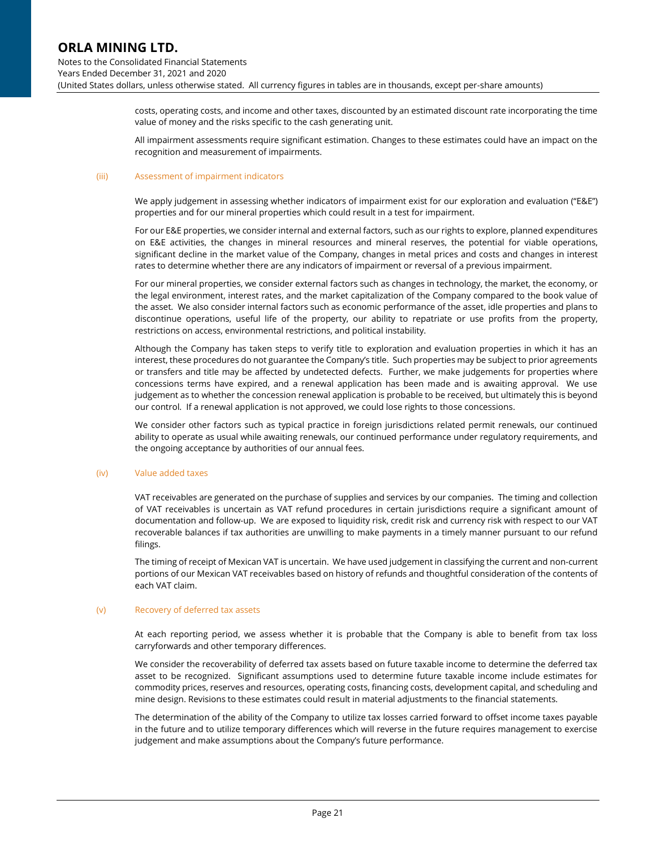costs, operating costs, and income and other taxes, discounted by an estimated discount rate incorporating the time value of money and the risks specific to the cash generating unit.

All impairment assessments require significant estimation. Changes to these estimates could have an impact on the recognition and measurement of impairments.

#### (iii) Assessment of impairment indicators

We apply judgement in assessing whether indicators of impairment exist for our exploration and evaluation ("E&E") properties and for our mineral properties which could result in a test for impairment.

For our E&E properties, we consider internal and external factors, such as our rights to explore, planned expenditures on E&E activities, the changes in mineral resources and mineral reserves, the potential for viable operations, significant decline in the market value of the Company, changes in metal prices and costs and changes in interest rates to determine whether there are any indicators of impairment or reversal of a previous impairment.

For our mineral properties, we consider external factors such as changes in technology, the market, the economy, or the legal environment, interest rates, and the market capitalization of the Company compared to the book value of the asset. We also consider internal factors such as economic performance of the asset, idle properties and plans to discontinue operations, useful life of the property, our ability to repatriate or use profits from the property, restrictions on access, environmental restrictions, and political instability.

Although the Company has taken steps to verify title to exploration and evaluation properties in which it has an interest, these procedures do not guarantee the Company's title. Such properties may be subject to prior agreements or transfers and title may be affected by undetected defects. Further, we make judgements for properties where concessions terms have expired, and a renewal application has been made and is awaiting approval. We use judgement as to whether the concession renewal application is probable to be received, but ultimately this is beyond our control. If a renewal application is not approved, we could lose rights to those concessions.

We consider other factors such as typical practice in foreign jurisdictions related permit renewals, our continued ability to operate as usual while awaiting renewals, our continued performance under regulatory requirements, and the ongoing acceptance by authorities of our annual fees.

### (iv) Value added taxes

VAT receivables are generated on the purchase of supplies and services by our companies. The timing and collection of VAT receivables is uncertain as VAT refund procedures in certain jurisdictions require a significant amount of documentation and follow-up. We are exposed to liquidity risk, credit risk and currency risk with respect to our VAT recoverable balances if tax authorities are unwilling to make payments in a timely manner pursuant to our refund filings.

The timing of receipt of Mexican VAT is uncertain. We have used judgement in classifying the current and non-current portions of our Mexican VAT receivables based on history of refunds and thoughtful consideration of the contents of each VAT claim.

#### (v) Recovery of deferred tax assets

At each reporting period, we assess whether it is probable that the Company is able to benefit from tax loss carryforwards and other temporary differences.

We consider the recoverability of deferred tax assets based on future taxable income to determine the deferred tax asset to be recognized. Significant assumptions used to determine future taxable income include estimates for commodity prices, reserves and resources, operating costs, financing costs, development capital, and scheduling and mine design. Revisions to these estimates could result in material adjustments to the financial statements.

The determination of the ability of the Company to utilize tax losses carried forward to offset income taxes payable in the future and to utilize temporary differences which will reverse in the future requires management to exercise judgement and make assumptions about the Company's future performance.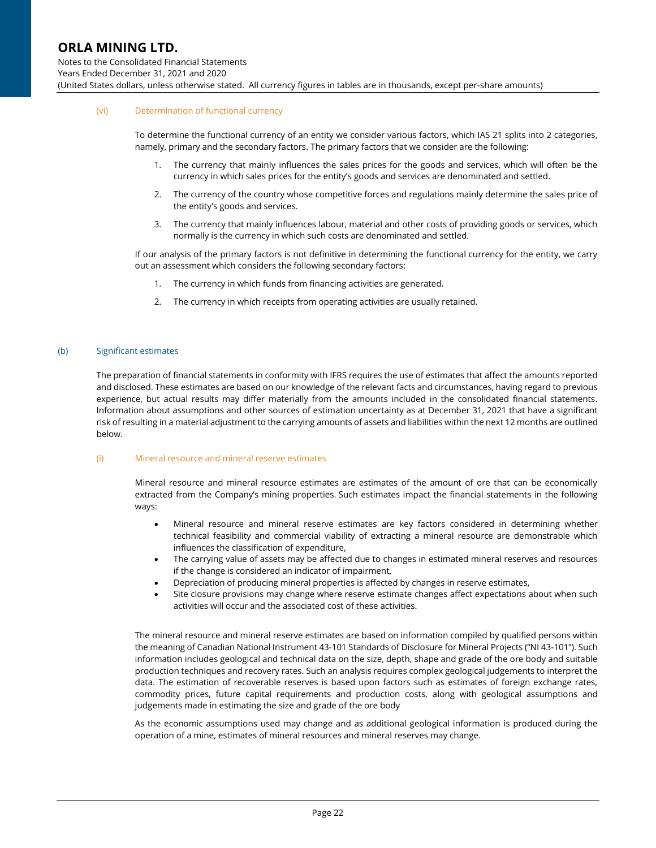#### (vi) Determination of functional currency

To determine the functional currency of an entity we consider various factors, which IAS 21 splits into 2 categories, namely, primary and the secondary factors. The primary factors that we consider are the following:

- 1. The currency that mainly influences the sales prices for the goods and services, which will often be the currency in which sales prices for the entity's goods and services are denominated and settled.
- 2. The currency of the country whose competitive forces and regulations mainly determine the sales price of the entity's goods and services.
- 3. The currency that mainly influences labour, material and other costs of providing goods or services, which normally is the currency in which such costs are denominated and settled.

If our analysis of the primary factors is not definitive in determining the functional currency for the entity, we carry out an assessment which considers the following secondary factors:

- 1. The currency in which funds from financing activities are generated.
- 2. The currency in which receipts from operating activities are usually retained.

#### (b) Significant estimates

The preparation of financial statements in conformity with IFRS requires the use of estimates that affect the amounts reported and disclosed. These estimates are based on our knowledge of the relevant facts and circumstances, having regard to previous experience, but actual results may differ materially from the amounts included in the consolidated financial statements. Information about assumptions and other sources of estimation uncertainty as at December 31, 2021 that have a significant risk of resulting in a material adjustment to the carrying amounts of assets and liabilities within the next 12 months are outlined below.

#### <span id="page-21-0"></span>(i) Mineral resource and mineral reserve estimates

Mineral resource and mineral resource estimates are estimates of the amount of ore that can be economically extracted from the Company's mining properties. Such estimates impact the financial statements in the following ways:

- Mineral resource and mineral reserve estimates are key factors considered in determining whether technical feasibility and commercial viability of extracting a mineral resource are demonstrable which influences the classification of expenditure,
- The carrying value of assets may be affected due to changes in estimated mineral reserves and resources if the change is considered an indicator of impairment,
- Depreciation of producing mineral properties is affected by changes in reserve estimates,
- Site closure provisions may change where reserve estimate changes affect expectations about when such activities will occur and the associated cost of these activities.

The mineral resource and mineral reserve estimates are based on information compiled by qualified persons within the meaning of Canadian National Instrument 43-101 Standards of Disclosure for Mineral Projects ("NI 43-101"). Such information includes geological and technical data on the size, depth, shape and grade of the ore body and suitable production techniques and recovery rates. Such an analysis requires complex geological judgements to interpret the data. The estimation of recoverable reserves is based upon factors such as estimates of foreign exchange rates, commodity prices, future capital requirements and production costs, along with geological assumptions and judgements made in estimating the size and grade of the ore body

As the economic assumptions used may change and as additional geological information is produced during the operation of a mine, estimates of mineral resources and mineral reserves may change.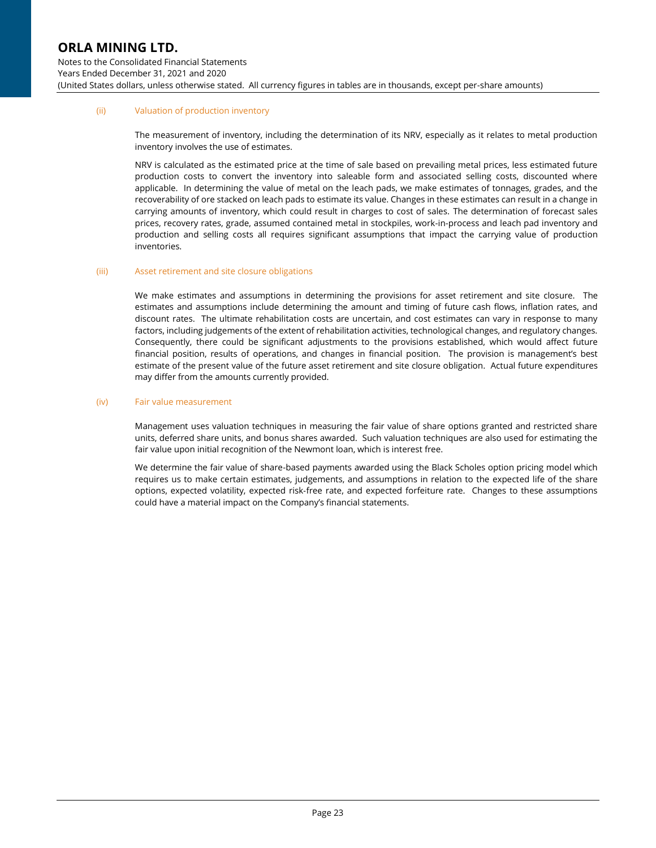### (ii) Valuation of production inventory

The measurement of inventory, including the determination of its NRV, especially as it relates to metal production inventory involves the use of estimates.

NRV is calculated as the estimated price at the time of sale based on prevailing metal prices, less estimated future production costs to convert the inventory into saleable form and associated selling costs, discounted where applicable. In determining the value of metal on the leach pads, we make estimates of tonnages, grades, and the recoverability of ore stacked on leach pads to estimate its value. Changes in these estimates can result in a change in carrying amounts of inventory, which could result in charges to cost of sales. The determination of forecast sales prices, recovery rates, grade, assumed contained metal in stockpiles, work-in-process and leach pad inventory and production and selling costs all requires significant assumptions that impact the carrying value of production inventories.

#### (iii) Asset retirement and site closure obligations

We make estimates and assumptions in determining the provisions for asset retirement and site closure. The estimates and assumptions include determining the amount and timing of future cash flows, inflation rates, and discount rates. The ultimate rehabilitation costs are uncertain, and cost estimates can vary in response to many factors, including judgements of the extent of rehabilitation activities, technological changes, and regulatory changes. Consequently, there could be significant adjustments to the provisions established, which would affect future financial position, results of operations, and changes in financial position. The provision is management's best estimate of the present value of the future asset retirement and site closure obligation. Actual future expenditures may differ from the amounts currently provided.

#### (iv) Fair value measurement

Management uses valuation techniques in measuring the fair value of share options granted and restricted share units, deferred share units, and bonus shares awarded. Such valuation techniques are also used for estimating the fair value upon initial recognition of the Newmont loan, which is interest free.

We determine the fair value of share-based payments awarded using the Black Scholes option pricing model which requires us to make certain estimates, judgements, and assumptions in relation to the expected life of the share options, expected volatility, expected risk‐free rate, and expected forfeiture rate. Changes to these assumptions could have a material impact on the Company's financial statements.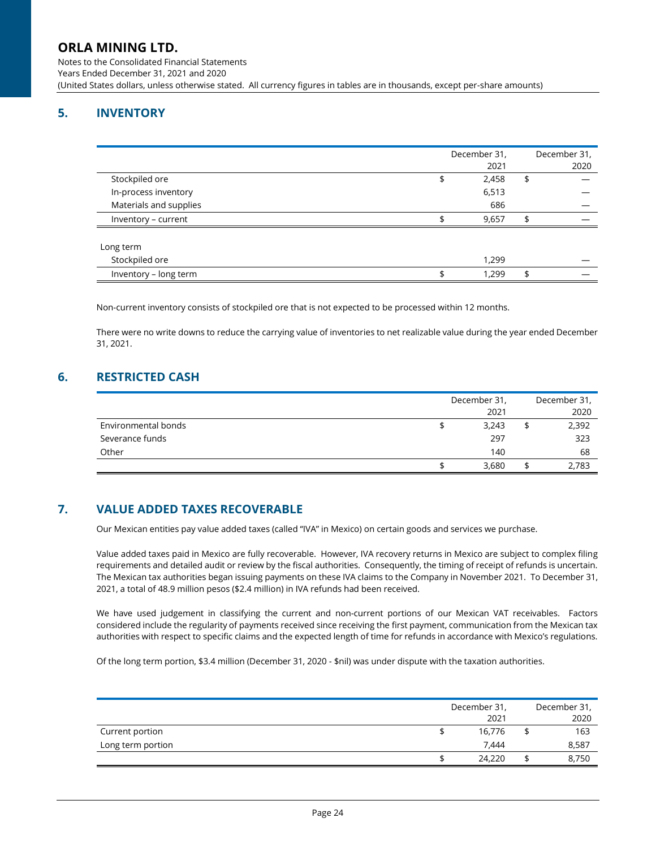Notes to the Consolidated Financial Statements Years Ended December 31, 2021 and 2020 (United States dollars, unless otherwise stated. All currency figures in tables are in thousands, except per-share amounts)

## **5. INVENTORY**

|                        | December 31,<br>2021 | December 31,<br>2020 |
|------------------------|----------------------|----------------------|
|                        |                      |                      |
| Stockpiled ore         | \$<br>2,458          | \$                   |
| In-process inventory   | 6,513                |                      |
| Materials and supplies | 686                  |                      |
| Inventory - current    | 9,657                | \$                   |
|                        |                      |                      |
| Long term              |                      |                      |
| Stockpiled ore         | 1,299                |                      |
| Inventory - long term  | 1,299                | \$                   |

Non-current inventory consists of stockpiled ore that is not expected to be processed within 12 months.

There were no write downs to reduce the carrying value of inventories to net realizable value during the year ended December 31, 2021.

## **6. RESTRICTED CASH**

|                     | December 31, | December 31, |
|---------------------|--------------|--------------|
|                     | 2021         | 2020         |
| Environmental bonds | 3,243        | 2,392        |
| Severance funds     | 297          | 323          |
| Other               | 140          | 68           |
|                     | 3.680        | 2,783        |

## **7. VALUE ADDED TAXES RECOVERABLE**

Our Mexican entities pay value added taxes (called "IVA" in Mexico) on certain goods and services we purchase.

Value added taxes paid in Mexico are fully recoverable. However, IVA recovery returns in Mexico are subject to complex filing requirements and detailed audit or review by the fiscal authorities. Consequently, the timing of receipt of refunds is uncertain. The Mexican tax authorities began issuing payments on these IVA claims to the Company in November 2021. To December 31, 2021, a total of 48.9 million pesos (\$2.4 million) in IVA refunds had been received.

We have used judgement in classifying the current and non-current portions of our Mexican VAT receivables. Factors considered include the regularity of payments received since receiving the first payment, communication from the Mexican tax authorities with respect to specific claims and the expected length of time for refunds in accordance with Mexico's regulations.

Of the long term portion, \$3.4 million (December 31, 2020 - \$nil) was under dispute with the taxation authorities.

|                   | December 31,<br>2021 | December 31,<br>2020 |
|-------------------|----------------------|----------------------|
| Current portion   | 16,776               | 163                  |
| Long term portion | 7.444                | 8,587                |
|                   | 24,220               | 8,750                |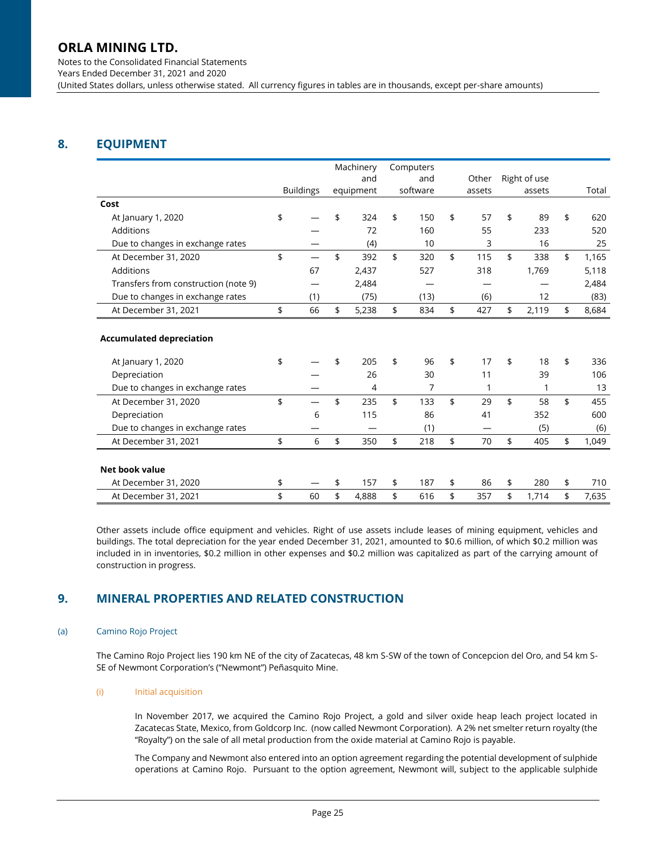Notes to the Consolidated Financial Statements Years Ended December 31, 2021 and 2020 (United States dollars, unless otherwise stated. All currency figures in tables are in thousands, except per-share amounts)

# <span id="page-24-0"></span>**8. EQUIPMENT**

|                                      |                  | Machinery   | Computers |           |              |             |
|--------------------------------------|------------------|-------------|-----------|-----------|--------------|-------------|
|                                      |                  | and         | and       | Other     | Right of use |             |
|                                      | <b>Buildings</b> | equipment   | software  | assets    | assets       | Total       |
| Cost                                 |                  |             |           |           |              |             |
| At January 1, 2020                   | \$               | \$<br>324   | \$<br>150 | \$<br>57  | \$<br>89     | \$<br>620   |
| Additions                            |                  | 72          | 160       | 55        | 233          | 520         |
| Due to changes in exchange rates     |                  | (4)         | 10        | 3         | 16           | 25          |
| At December 31, 2020                 | \$               | \$<br>392   | \$<br>320 | \$<br>115 | \$<br>338    | \$<br>1,165 |
| Additions                            | 67               | 2,437       | 527       | 318       | 1,769        | 5,118       |
| Transfers from construction (note 9) |                  | 2,484       |           |           |              | 2,484       |
| Due to changes in exchange rates     | (1)              | (75)        | (13)      | (6)       | 12           | (83)        |
| At December 31, 2021                 | \$<br>66         | \$<br>5,238 | \$<br>834 | \$<br>427 | \$<br>2,119  | \$<br>8,684 |
| <b>Accumulated depreciation</b>      |                  |             |           |           |              |             |
| At January 1, 2020                   | \$               | \$<br>205   | \$<br>96  | \$<br>17  | \$<br>18     | \$<br>336   |
| Depreciation                         |                  | 26          | 30        | 11        | 39           | 106         |
| Due to changes in exchange rates     |                  | 4           | 7         | 1         | 1            | 13          |
| At December 31, 2020                 | \$               | \$<br>235   | \$<br>133 | \$<br>29  | \$<br>58     | \$<br>455   |
| Depreciation                         | 6                | 115         | 86        | 41        | 352          | 600         |
| Due to changes in exchange rates     |                  |             | (1)       |           | (5)          | (6)         |
| At December 31, 2021                 | \$<br>6          | \$<br>350   | \$<br>218 | \$<br>70  | \$<br>405    | \$<br>1,049 |
|                                      |                  |             |           |           |              |             |
| Net book value                       |                  |             |           |           |              |             |
| At December 31, 2020                 | \$               | \$<br>157   | \$<br>187 | \$<br>86  | \$<br>280    | \$<br>710   |
| At December 31, 2021                 | \$<br>60         | \$<br>4,888 | \$<br>616 | \$<br>357 | \$<br>1,714  | \$<br>7,635 |

Other assets include office equipment and vehicles. Right of use assets include leases of mining equipment, vehicles and buildings. The total depreciation for the year ended December 31, 2021, amounted to \$0.6 million, of which \$0.2 million was included in in inventories, \$0.2 million in other expenses and \$0.2 million was capitalized as part of the carrying amount of construction in progress.

## <span id="page-24-1"></span>**9. MINERAL PROPERTIES AND RELATED CONSTRUCTION**

### <span id="page-24-2"></span>(a) Camino Rojo Project

The Camino Rojo Project lies 190 km NE of the city of Zacatecas, 48 km S-SW of the town of Concepcion del Oro, and 54 km S-SE of Newmont Corporation's ("Newmont") Peñasquito Mine.

### (i) Initial acquisition

In November 2017, we acquired the Camino Rojo Project, a gold and silver oxide heap leach project located in Zacatecas State, Mexico, from Goldcorp Inc. (now called Newmont Corporation). A 2% net smelter return royalty (the "Royalty") on the sale of all metal production from the oxide material at Camino Rojo is payable.

The Company and Newmont also entered into an option agreement regarding the potential development of sulphide operations at Camino Rojo. Pursuant to the option agreement, Newmont will, subject to the applicable sulphide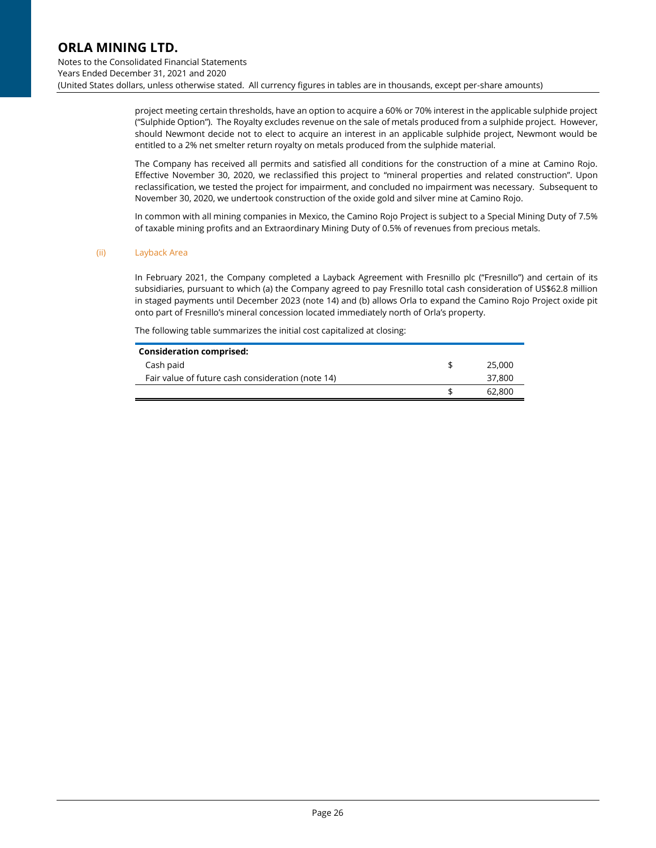project meeting certain thresholds, have an option to acquire a 60% or 70% interest in the applicable sulphide project ("Sulphide Option"). The Royalty excludes revenue on the sale of metals produced from a sulphide project. However, should Newmont decide not to elect to acquire an interest in an applicable sulphide project, Newmont would be entitled to a 2% net smelter return royalty on metals produced from the sulphide material.

The Company has received all permits and satisfied all conditions for the construction of a mine at Camino Rojo. Effective November 30, 2020, we reclassified this project to "mineral properties and related construction". Upon reclassification, we tested the project for impairment, and concluded no impairment was necessary. Subsequent to November 30, 2020, we undertook construction of the oxide gold and silver mine at Camino Rojo.

In common with all mining companies in Mexico, the Camino Rojo Project is subject to a Special Mining Duty of 7.5% of taxable mining profits and an Extraordinary Mining Duty of 0.5% of revenues from precious metals.

### (ii) Layback Area

In February 2021, the Company completed a Layback Agreement with Fresnillo plc ("Fresnillo") and certain of its subsidiaries, pursuant to which (a) the Company agreed to pay Fresnillo total cash consideration of US\$62.8 million in staged payments until December 2023 (note [14\)](#page-30-0) and (b) allows Orla to expand the Camino Rojo Project oxide pit onto part of Fresnillo's mineral concession located immediately north of Orla's property.

The following table summarizes the initial cost capitalized at closing:

| <b>Consideration comprised:</b>                   |        |
|---------------------------------------------------|--------|
| Cash paid                                         | 25,000 |
| Fair value of future cash consideration (note 14) | 37,800 |
|                                                   | 62.800 |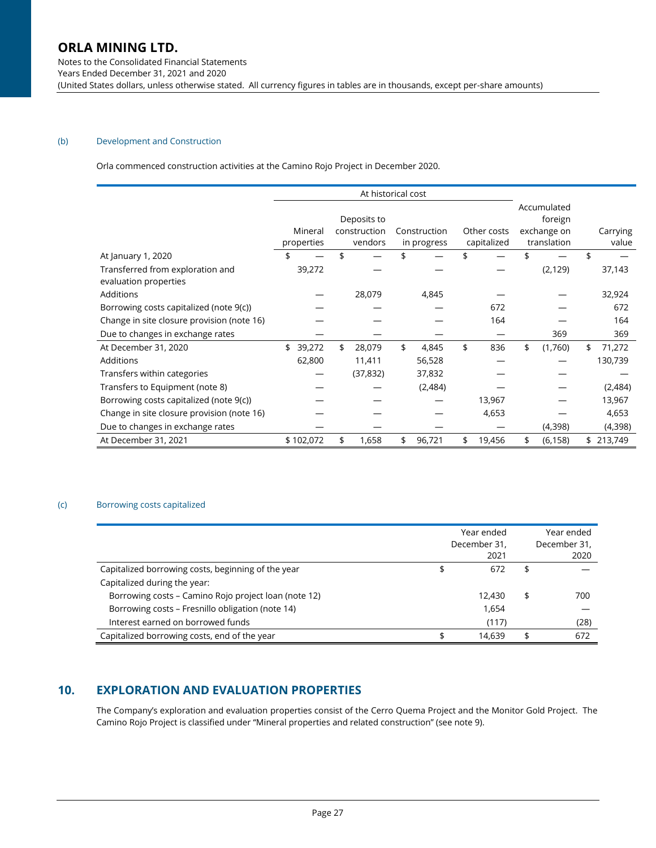### (b) Development and Construction

Orla commenced construction activities at the Camino Rojo Project in December 2020.

|                                                           | At historical cost    |                         |                             |                            |                            |                   |  |  |  |
|-----------------------------------------------------------|-----------------------|-------------------------|-----------------------------|----------------------------|----------------------------|-------------------|--|--|--|
|                                                           |                       | Deposits to             | Accumulated<br>foreign      |                            |                            |                   |  |  |  |
|                                                           | Mineral<br>properties | construction<br>vendors | Construction<br>in progress | Other costs<br>capitalized | exchange on<br>translation | Carrying<br>value |  |  |  |
| At January 1, 2020                                        | \$                    | \$                      |                             |                            |                            |                   |  |  |  |
| Transferred from exploration and<br>evaluation properties | 39,272                |                         |                             |                            | (2, 129)                   | 37,143            |  |  |  |
| Additions                                                 |                       | 28,079                  | 4,845                       |                            |                            | 32,924            |  |  |  |
| Borrowing costs capitalized (note 9(c))                   |                       |                         |                             | 672                        |                            | 672               |  |  |  |
| Change in site closure provision (note 16)                |                       |                         |                             | 164                        |                            | 164               |  |  |  |
| Due to changes in exchange rates                          |                       |                         |                             |                            | 369                        | 369               |  |  |  |
| At December 31, 2020                                      | 39,272<br>\$          | \$<br>28,079            | \$<br>4,845                 | \$<br>836                  | \$<br>(1,760)              | \$<br>71,272      |  |  |  |
| Additions                                                 | 62,800                | 11,411                  | 56,528                      |                            |                            | 130,739           |  |  |  |
| Transfers within categories                               |                       | (37, 832)               | 37,832                      |                            |                            |                   |  |  |  |
| Transfers to Equipment (note 8)                           |                       |                         | (2,484)                     |                            |                            | (2,484)           |  |  |  |
| Borrowing costs capitalized (note 9(c))                   |                       |                         |                             | 13,967                     |                            | 13,967            |  |  |  |
| Change in site closure provision (note 16)                |                       |                         |                             | 4,653                      |                            | 4,653             |  |  |  |
| Due to changes in exchange rates                          |                       |                         |                             |                            | (4,398)                    | (4,398)           |  |  |  |
| At December 31, 2021                                      | \$102,072             | \$<br>1,658             | \$<br>96,721                | 19,456<br>\$               | \$<br>(6, 158)             | \$213,749         |  |  |  |

### <span id="page-26-1"></span>(c) Borrowing costs capitalized

|                                                      | Year ended<br>December 31, |        |    | Year ended<br>December 31, |  |  |
|------------------------------------------------------|----------------------------|--------|----|----------------------------|--|--|
|                                                      |                            | 2021   |    | 2020                       |  |  |
| Capitalized borrowing costs, beginning of the year   | \$                         | 672    | \$ |                            |  |  |
| Capitalized during the year:                         |                            |        |    |                            |  |  |
| Borrowing costs - Camino Rojo project loan (note 12) |                            | 12,430 | \$ | 700                        |  |  |
| Borrowing costs - Fresnillo obligation (note 14)     |                            | 1,654  |    |                            |  |  |
| Interest earned on borrowed funds                    |                            | (117)  |    | (28)                       |  |  |
| Capitalized borrowing costs, end of the year         |                            | 14.639 |    | 672                        |  |  |

## <span id="page-26-0"></span>**10. EXPLORATION AND EVALUATION PROPERTIES**

The Company's exploration and evaluation properties consist of the Cerro Quema Project and the Monitor Gold Project. The Camino Rojo Project is classified under "Mineral properties and related construction" (see note [9\)](#page-24-1).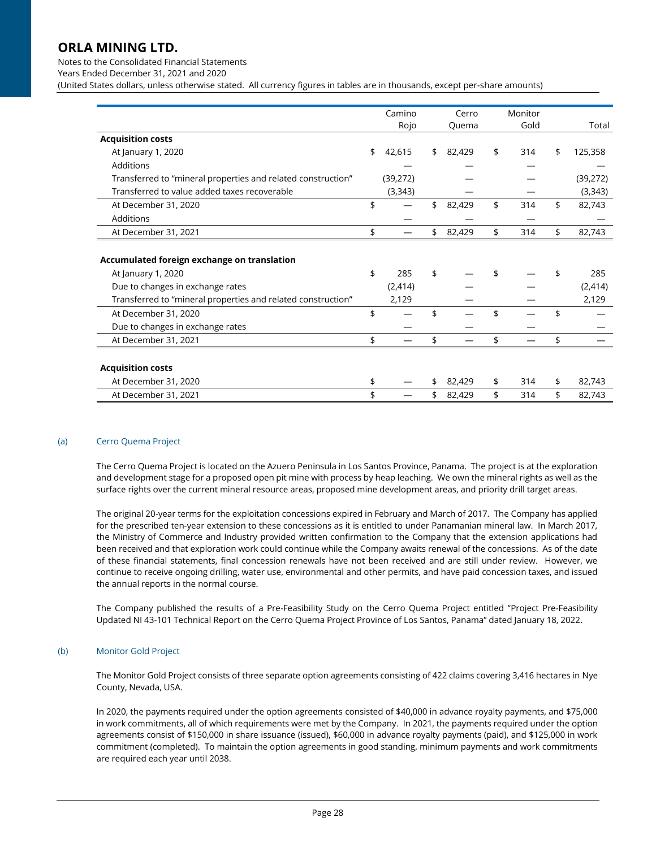Notes to the Consolidated Financial Statements

Years Ended December 31, 2021 and 2020

(United States dollars, unless otherwise stated. All currency figures in tables are in thousands, except per-share amounts)

|                                                              | Camino       | Cerro        | Monitor   |               |
|--------------------------------------------------------------|--------------|--------------|-----------|---------------|
|                                                              | Rojo         | Quema        | Gold      | Total         |
| <b>Acquisition costs</b>                                     |              |              |           |               |
| At January 1, 2020                                           | \$<br>42,615 | \$<br>82,429 | \$<br>314 | \$<br>125,358 |
| Additions                                                    |              |              |           |               |
| Transferred to "mineral properties and related construction" | (39, 272)    |              |           | (39, 272)     |
| Transferred to value added taxes recoverable                 | (3,343)      |              |           | (3,343)       |
| At December 31, 2020                                         | \$           | \$<br>82,429 | \$<br>314 | \$<br>82,743  |
| Additions                                                    |              |              |           |               |
| At December 31, 2021                                         | \$           | \$<br>82,429 | \$<br>314 | \$<br>82,743  |
| Accumulated foreign exchange on translation                  |              |              |           |               |
| At January 1, 2020                                           | \$<br>285    | \$           |           | 285           |
| Due to changes in exchange rates                             | (2, 414)     |              |           | (2, 414)      |
| Transferred to "mineral properties and related construction" | 2,129        |              |           | 2,129         |
| At December 31, 2020                                         | \$           | \$           | \$        | \$            |
| Due to changes in exchange rates                             |              |              |           |               |
| At December 31, 2021                                         | \$           | \$           | \$        | \$            |
| <b>Acquisition costs</b>                                     |              |              |           |               |
| At December 31, 2020                                         | \$           | \$<br>82,429 | \$<br>314 | \$<br>82,743  |
| At December 31, 2021                                         | \$           | \$<br>82,429 | \$<br>314 | \$<br>82,743  |

#### (a) Cerro Quema Project

The Cerro Quema Project is located on the Azuero Peninsula in Los Santos Province, Panama. The project is at the exploration and development stage for a proposed open pit mine with process by heap leaching. We own the mineral rights as well as the surface rights over the current mineral resource areas, proposed mine development areas, and priority drill target areas.

The original 20-year terms for the exploitation concessions expired in February and March of 2017. The Company has applied for the prescribed ten-year extension to these concessions as it is entitled to under Panamanian mineral law. In March 2017, the Ministry of Commerce and Industry provided written confirmation to the Company that the extension applications had been received and that exploration work could continue while the Company awaits renewal of the concessions. As of the date of these financial statements, final concession renewals have not been received and are still under review. However, we continue to receive ongoing drilling, water use, environmental and other permits, and have paid concession taxes, and issued the annual reports in the normal course.

The Company published the results of a Pre-Feasibility Study on the Cerro Quema Project entitled "Project Pre-Feasibility Updated NI 43-101 Technical Report on the Cerro Quema Project Province of Los Santos, Panama" dated January 18, 2022.

### (b) Monitor Gold Project

The Monitor Gold Project consists of three separate option agreements consisting of 422 claims covering 3,416 hectares in Nye County, Nevada, USA.

In 2020, the payments required under the option agreements consisted of \$40,000 in advance royalty payments, and \$75,000 in work commitments, all of which requirements were met by the Company. In 2021, the payments required under the option agreements consist of \$150,000 in share issuance (issued), \$60,000 in advance royalty payments (paid), and \$125,000 in work commitment (completed). To maintain the option agreements in good standing, minimum payments and work commitments are required each year until 2038.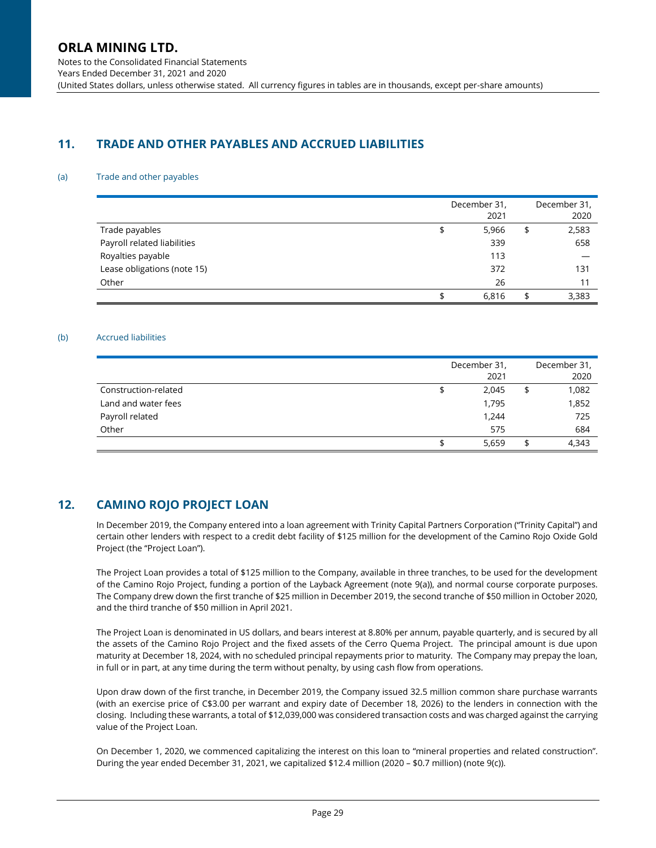# **11. TRADE AND OTHER PAYABLES AND ACCRUED LIABILITIES**

### <span id="page-28-0"></span>(a) Trade and other payables

|                             |   | December 31,<br>2021 | December 31,<br>2020 |
|-----------------------------|---|----------------------|----------------------|
| Trade payables              | ₽ | 5,966                | \$<br>2,583          |
| Payroll related liabilities |   | 339                  | 658                  |
| Royalties payable           |   | 113                  |                      |
| Lease obligations (note 15) |   | 372                  | 131                  |
| Other                       |   | 26                   | 11                   |
|                             |   | 6,816                | 3,383                |

### <span id="page-28-1"></span>(b) Accrued liabilities

|                      | December 31,<br>2021 | December 31,<br>2020 |
|----------------------|----------------------|----------------------|
| Construction-related | \$<br>2,045          | 1,082                |
| Land and water fees  | 1,795                | 1,852                |
| Payroll related      | 1,244                | 725                  |
| Other                | 575                  | 684                  |
|                      | 5,659                | 4,343                |

## <span id="page-28-2"></span>**12. CAMINO ROJO PROJECT LOAN**

In December 2019, the Company entered into a loan agreement with Trinity Capital Partners Corporation ("Trinity Capital") and certain other lenders with respect to a credit debt facility of \$125 million for the development of the Camino Rojo Oxide Gold Project (the "Project Loan").

The Project Loan provides a total of \$125 million to the Company, available in three tranches, to be used for the development of the Camino Rojo Project, funding a portion of the Layback Agreement (note [9\(a\)\)](#page-24-2), and normal course corporate purposes. The Company drew down the first tranche of \$25 million in December 2019, the second tranche of \$50 million in October 2020, and the third tranche of \$50 million in April 2021.

The Project Loan is denominated in US dollars, and bears interest at 8.80% per annum, payable quarterly, and is secured by all the assets of the Camino Rojo Project and the fixed assets of the Cerro Quema Project. The principal amount is due upon maturity at December 18, 2024, with no scheduled principal repayments prior to maturity. The Company may prepay the loan, in full or in part, at any time during the term without penalty, by using cash flow from operations.

Upon draw down of the first tranche, in December 2019, the Company issued 32.5 million common share purchase warrants (with an exercise price of C\$3.00 per warrant and expiry date of December 18, 2026) to the lenders in connection with the closing. Including these warrants, a total of \$12,039,000 was considered transaction costs and was charged against the carrying value of the Project Loan.

On December 1, 2020, we commenced capitalizing the interest on this loan to "mineral properties and related construction". During the year ended December 31, 2021, we capitalized \$12.4 million (2020 – \$0.7 million) (note 9(c)).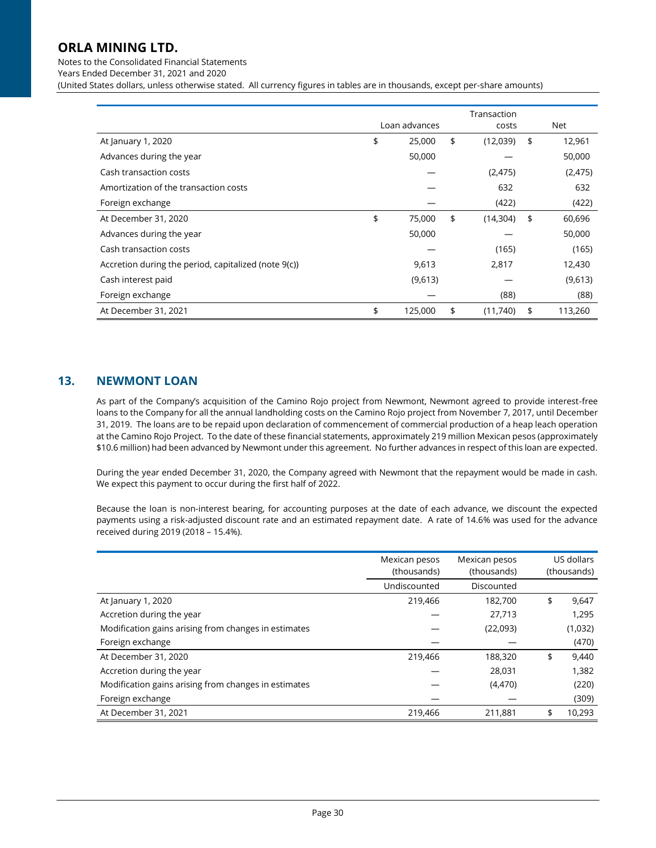Notes to the Consolidated Financial Statements

Years Ended December 31, 2021 and 2020

(United States dollars, unless otherwise stated. All currency figures in tables are in thousands, except per-share amounts)

|                                                      |               |       | Transaction |               |
|------------------------------------------------------|---------------|-------|-------------|---------------|
|                                                      | Loan advances | costs | Net         |               |
| At January 1, 2020                                   | \$<br>25,000  | \$    | (12,039)    | \$<br>12,961  |
| Advances during the year                             | 50,000        |       |             | 50,000        |
| Cash transaction costs                               |               |       | (2, 475)    | (2, 475)      |
| Amortization of the transaction costs                |               |       | 632         | 632           |
| Foreign exchange                                     |               |       | (422)       | (422)         |
| At December 31, 2020                                 | \$<br>75,000  | \$    | (14, 304)   | \$<br>60,696  |
| Advances during the year                             | 50,000        |       |             | 50,000        |
| Cash transaction costs                               |               |       | (165)       | (165)         |
| Accretion during the period, capitalized (note 9(c)) | 9,613         |       | 2,817       | 12,430        |
| Cash interest paid                                   | (9,613)       |       |             | (9,613)       |
| Foreign exchange                                     |               |       | (88)        | (88)          |
| At December 31, 2021                                 | \$<br>125,000 | \$    | (11,740)    | \$<br>113,260 |

## <span id="page-29-0"></span>**13. NEWMONT LOAN**

As part of the Company's acquisition of the Camino Rojo project from Newmont, Newmont agreed to provide interest-free loans to the Company for all the annual landholding costs on the Camino Rojo project from November 7, 2017, until December 31, 2019. The loans are to be repaid upon declaration of commencement of commercial production of a heap leach operation at the Camino Rojo Project. To the date of these financial statements, approximately 219 million Mexican pesos (approximately \$10.6 million) had been advanced by Newmont under this agreement. No further advances in respect of this loan are expected.

During the year ended December 31, 2020, the Company agreed with Newmont that the repayment would be made in cash. We expect this payment to occur during the first half of 2022.

Because the loan is non-interest bearing, for accounting purposes at the date of each advance, we discount the expected payments using a risk-adjusted discount rate and an estimated repayment date. A rate of 14.6% was used for the advance received during 2019 (2018 – 15.4%).

|                                                      | Mexican pesos<br>(thousands) | Mexican pesos<br>(thousands) | US dollars<br>(thousands) |
|------------------------------------------------------|------------------------------|------------------------------|---------------------------|
|                                                      | Undiscounted                 | Discounted                   |                           |
| At January 1, 2020                                   | 219,466                      | 182,700                      | \$<br>9,647               |
| Accretion during the year                            |                              | 27,713                       | 1,295                     |
| Modification gains arising from changes in estimates |                              | (22,093)                     | (1,032)                   |
| Foreign exchange                                     |                              |                              | (470)                     |
| At December 31, 2020                                 | 219,466                      | 188,320                      | \$<br>9,440               |
| Accretion during the year                            |                              | 28,031                       | 1,382                     |
| Modification gains arising from changes in estimates |                              | (4, 470)                     | (220)                     |
| Foreign exchange                                     |                              |                              | (309)                     |
| At December 31, 2021                                 | 219,466                      | 211,881                      | \$<br>10.293              |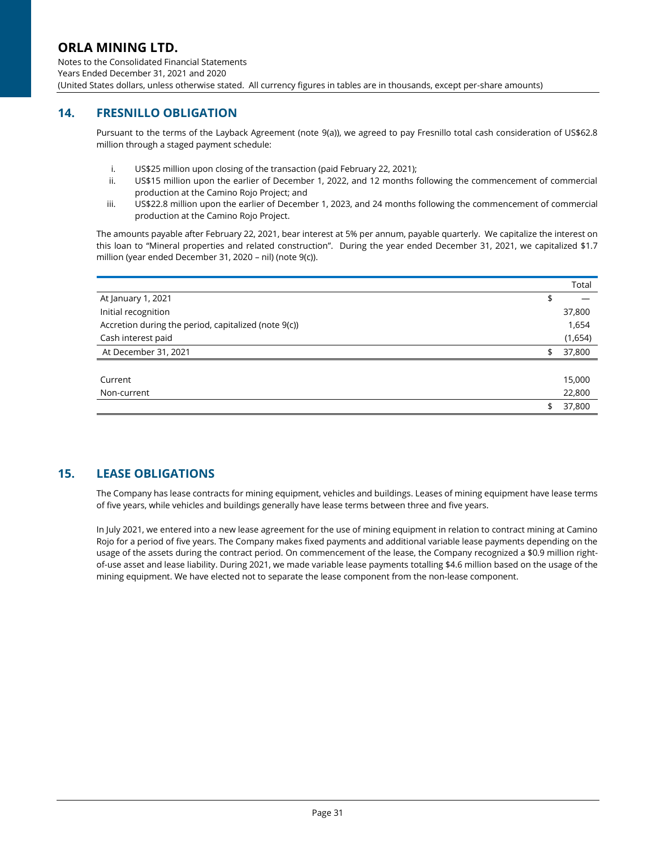Notes to the Consolidated Financial Statements Years Ended December 31, 2021 and 2020 (United States dollars, unless otherwise stated. All currency figures in tables are in thousands, except per-share amounts)

## <span id="page-30-0"></span>**14. FRESNILLO OBLIGATION**

Pursuant to the terms of the Layback Agreement (note [9\(a\)\)](#page-24-2), we agreed to pay Fresnillo total cash consideration of US\$62.8 million through a staged payment schedule:

- i. US\$25 million upon closing of the transaction (paid February 22, 2021);
- ii. US\$15 million upon the earlier of December 1, 2022, and 12 months following the commencement of commercial production at the Camino Rojo Project; and
- iii. US\$22.8 million upon the earlier of December 1, 2023, and 24 months following the commencement of commercial production at the Camino Rojo Project.

The amounts payable after February 22, 2021, bear interest at 5% per annum, payable quarterly. We capitalize the interest on this loan to "Mineral properties and related construction". During the year ended December 31, 2021, we capitalized \$1.7 million (year ended December 31, 2020 – nil) (note [9\(c\)\).](#page-26-1)

|                                                      | Total        |
|------------------------------------------------------|--------------|
| At January 1, 2021                                   | \$           |
| Initial recognition                                  | 37,800       |
| Accretion during the period, capitalized (note 9(c)) | 1,654        |
| Cash interest paid                                   | (1,654)      |
| At December 31, 2021                                 | \$<br>37,800 |
|                                                      |              |
| Current                                              | 15,000       |
| Non-current                                          | 22,800       |
|                                                      | \$<br>37,800 |

## <span id="page-30-1"></span>**15. LEASE OBLIGATIONS**

The Company has lease contracts for mining equipment, vehicles and buildings. Leases of mining equipment have lease terms of five years, while vehicles and buildings generally have lease terms between three and five years.

In July 2021, we entered into a new lease agreement for the use of mining equipment in relation to contract mining at Camino Rojo for a period of five years. The Company makes fixed payments and additional variable lease payments depending on the usage of the assets during the contract period. On commencement of the lease, the Company recognized a \$0.9 million rightof-use asset and lease liability. During 2021, we made variable lease payments totalling \$4.6 million based on the usage of the mining equipment. We have elected not to separate the lease component from the non-lease component.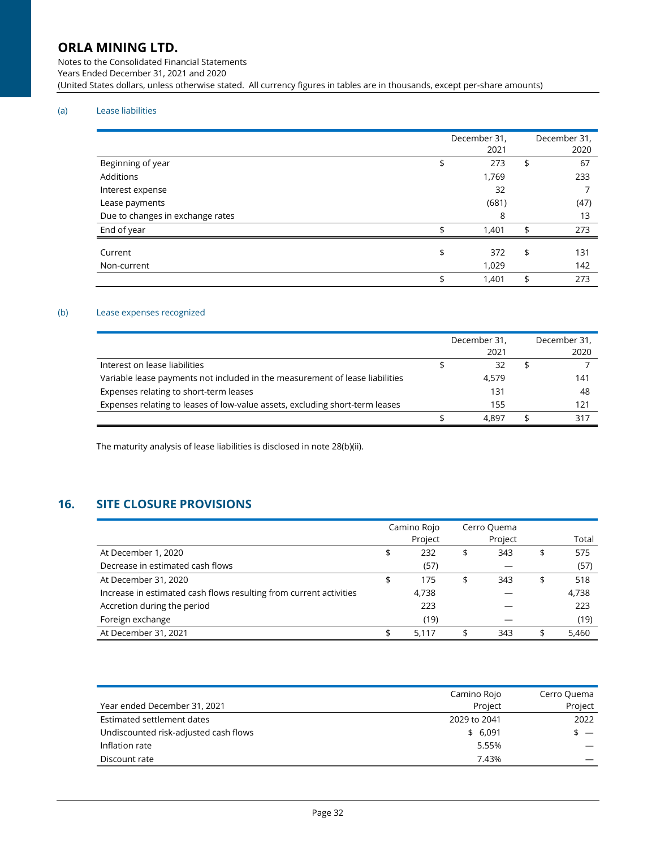Notes to the Consolidated Financial Statements Years Ended December 31, 2021 and 2020 (United States dollars, unless otherwise stated. All currency figures in tables are in thousands, except per-share amounts)

### (a) Lease liabilities

|                                  | December 31,<br>2021 | December 31,<br>2020 |
|----------------------------------|----------------------|----------------------|
| Beginning of year                | \$<br>273            | \$<br>67             |
| Additions                        | 1,769                | 233                  |
| Interest expense                 | 32                   |                      |
| Lease payments                   | (681)                | (47)                 |
| Due to changes in exchange rates | 8                    | 13                   |
| End of year                      | \$<br>1,401          | \$<br>273            |
| Current<br>Non-current           | \$<br>372<br>1,029   | \$<br>131<br>142     |
|                                  | \$<br>1,401          | \$<br>273            |

## (b) Lease expenses recognized

|                                                                              | December 31, | December 31, |
|------------------------------------------------------------------------------|--------------|--------------|
|                                                                              | 2021         | 2020         |
| Interest on lease liabilities                                                | 32           |              |
| Variable lease payments not included in the measurement of lease liabilities | 4.579        | 141          |
| Expenses relating to short-term leases                                       | 131          | 48           |
| Expenses relating to leases of low-value assets, excluding short-term leases | 155          | 121          |
|                                                                              | 4.897        | 317          |

The maturity analysis of lease liabilities is disclosed in note [28\(b\)\(ii\).](#page-44-0)

## <span id="page-31-0"></span>**16. SITE CLOSURE PROVISIONS**

|                                                                    | Camino Rojo | Cerro Quema |           |
|--------------------------------------------------------------------|-------------|-------------|-----------|
|                                                                    | Project     | Project     | Total     |
| At December 1, 2020                                                | \$<br>232   | \$<br>343   | \$<br>575 |
| Decrease in estimated cash flows                                   | (57)        |             | (57)      |
| At December 31, 2020                                               | \$<br>175   | \$<br>343   | \$<br>518 |
| Increase in estimated cash flows resulting from current activities | 4,738       |             | 4,738     |
| Accretion during the period                                        | 223         |             | 223       |
| Foreign exchange                                                   | (19)        |             | (19)      |
| At December 31, 2021                                               | 5,117       | 343         | 5,460     |

| Year ended December 31, 2021          | Camino Rojo<br>Project | Cerro Quema<br>Project |
|---------------------------------------|------------------------|------------------------|
| Estimated settlement dates            | 2029 to 2041           | 2022                   |
| Undiscounted risk-adjusted cash flows | \$6,091                |                        |
| Inflation rate                        | 5.55%                  |                        |
| Discount rate                         | 7.43%                  |                        |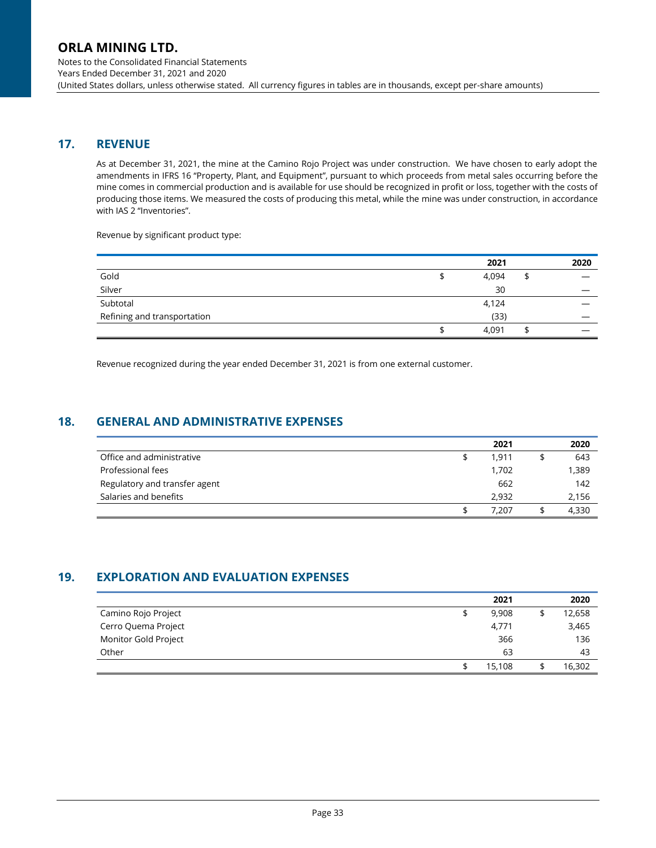## <span id="page-32-0"></span>**17. REVENUE**

As at December 31, 2021, the mine at the Camino Rojo Project was under construction. We have chosen to early adopt the amendments in IFRS 16 "Property, Plant, and Equipment", pursuant to which proceeds from metal sales occurring before the mine comes in commercial production and is available for use should be recognized in profit or loss, together with the costs of producing those items. We measured the costs of producing this metal, while the mine was under construction, in accordance with IAS 2 "Inventories".

Revenue by significant product type:

|                             | 2021  | 2020 |
|-----------------------------|-------|------|
| Gold                        | 4,094 | \$   |
| Silver                      | 30    |      |
| Subtotal                    | 4,124 |      |
| Refining and transportation | (33)  |      |
|                             | 4,091 |      |

Revenue recognized during the year ended December 31, 2021 is from one external customer.

## <span id="page-32-1"></span>**18. GENERAL AND ADMINISTRATIVE EXPENSES**

|                               | 2021  | 2020  |
|-------------------------------|-------|-------|
| Office and administrative     | 1.911 | 643   |
| Professional fees             | 1,702 | 1,389 |
| Regulatory and transfer agent | 662   | 142   |
| Salaries and benefits         | 2.932 | 2,156 |
|                               | 7.207 | 4,330 |

## <span id="page-32-2"></span>**19. EXPLORATION AND EVALUATION EXPENSES**

|                      | 2021   | 2020   |
|----------------------|--------|--------|
| Camino Rojo Project  | 9,908  | 12,658 |
| Cerro Quema Project  | 4,771  | 3,465  |
| Monitor Gold Project | 366    | 136    |
| Other                | 63     | 43     |
|                      | 15.108 | 16,302 |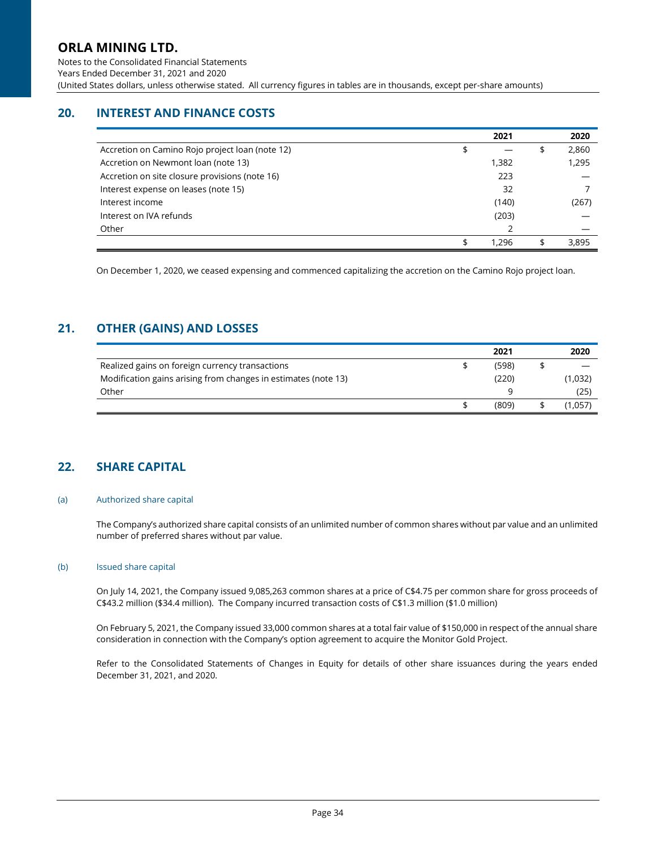Notes to the Consolidated Financial Statements Years Ended December 31, 2021 and 2020 (United States dollars, unless otherwise stated. All currency figures in tables are in thousands, except per-share amounts)

# <span id="page-33-1"></span>**20. INTEREST AND FINANCE COSTS**

|                                                 | 2021  | 2020  |
|-------------------------------------------------|-------|-------|
| Accretion on Camino Rojo project loan (note 12) |       | 2,860 |
| Accretion on Newmont loan (note 13)             | 1,382 | 1,295 |
| Accretion on site closure provisions (note 16)  | 223   |       |
| Interest expense on leases (note 15)            | 32    |       |
| Interest income                                 | (140) | (267) |
| Interest on IVA refunds                         | (203) |       |
| Other                                           |       |       |
|                                                 | 1.296 | 3.895 |

<span id="page-33-3"></span>On December 1, 2020, we ceased expensing and commenced capitalizing the accretion on the Camino Rojo project loan.

## <span id="page-33-2"></span>**21. OTHER (GAINS) AND LOSSES**

|                                                                | 2021  | 2020    |
|----------------------------------------------------------------|-------|---------|
| Realized gains on foreign currency transactions                | (598) |         |
| Modification gains arising from changes in estimates (note 13) | (220) | (1,032) |
| Other                                                          |       | (25)    |
|                                                                | (809) | (1,057) |

## <span id="page-33-0"></span>**22. SHARE CAPITAL**

### (a) Authorized share capital

The Company's authorized share capital consists of an unlimited number of common shares without par value and an unlimited number of preferred shares without par value.

### (b) Issued share capital

On July 14, 2021, the Company issued 9,085,263 common shares at a price of C\$4.75 per common share for gross proceeds of C\$43.2 million (\$34.4 million). The Company incurred transaction costs of C\$1.3 million (\$1.0 million)

On February 5, 2021, the Company issued 33,000 common shares at a total fair value of \$150,000 in respect of the annual share consideration in connection with the Company's option agreement to acquire the Monitor Gold Project.

Refer to the Consolidated Statements of Changes in Equity for details of other share issuances during the years ended December 31, 2021, and 2020.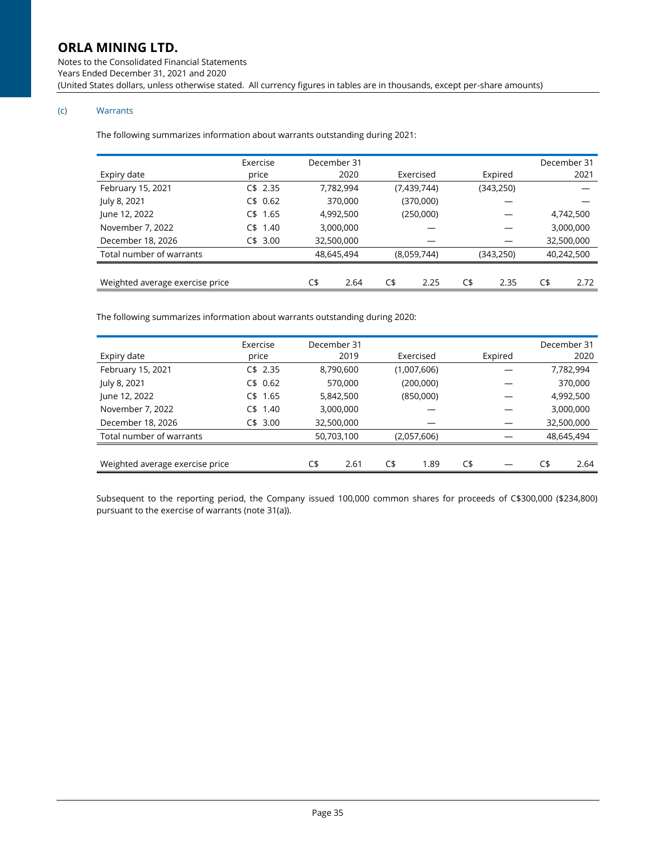Notes to the Consolidated Financial Statements Years Ended December 31, 2021 and 2020 (United States dollars, unless otherwise stated. All currency figures in tables are in thousands, except per-share amounts)

### <span id="page-34-0"></span>(c) Warrants

The following summarizes information about warrants outstanding during 2021:

| Expiry date                     | Exercise<br>price | December 31 | 2020       |     | Exercised   |     | Expired    |            | December 31<br>2021 |
|---------------------------------|-------------------|-------------|------------|-----|-------------|-----|------------|------------|---------------------|
| February 15, 2021               | C\$ 2.35          | 7,782,994   |            |     | (7,439,744) |     | (343, 250) |            |                     |
| July 8, 2021                    | 0.62<br>C\$       |             | 370,000    |     | (370,000)   |     |            |            |                     |
| June 12, 2022                   | 1.65<br>C\$       | 4,992,500   |            |     | (250,000)   |     |            |            | 4,742,500           |
| November 7, 2022                | 1.40<br>C\$       | 3,000,000   |            |     |             |     |            |            | 3,000,000           |
| December 18, 2026               | C\$ 3.00          |             | 32,500,000 |     |             |     |            | 32,500,000 |                     |
| Total number of warrants        |                   | 48,645,494  |            |     | (8,059,744) |     | (343,250)  |            | 40,242,500          |
|                                 |                   |             |            |     |             |     |            |            |                     |
| Weighted average exercise price |                   | C\$         | 2.64       | C\$ | 2.25        | C\$ | 2.35       | C\$        | 2.72                |

The following summarizes information about warrants outstanding during 2020:

|                                 | Exercise    | December 31 |             |         | December 31 |
|---------------------------------|-------------|-------------|-------------|---------|-------------|
| Expiry date                     | price       | 2019        | Exercised   | Expired | 2020        |
| February 15, 2021               | C\$ 2.35    | 8,790,600   | (1,007,606) |         | 7,782,994   |
| July 8, 2021                    | C\$ 0.62    | 570,000     | (200,000)   |         | 370,000     |
| June 12, 2022                   | 1.65<br>C\$ | 5,842,500   | (850,000)   |         | 4,992,500   |
| November 7, 2022                | C\$<br>1.40 | 3,000,000   |             |         | 3,000,000   |
| December 18, 2026               | C\$ 3.00    | 32,500,000  |             |         | 32,500,000  |
| Total number of warrants        |             | 50,703,100  | (2,057,606) |         | 48,645,494  |
|                                 |             |             |             |         |             |
| Weighted average exercise price |             | C\$<br>2.61 | C\$<br>1.89 | C\$     | C\$<br>2.64 |

Subsequent to the reporting period, the Company issued 100,000 common shares for proceeds of C\$300,000 (\$234,800) pursuant to the exercise of warrants (note [31\(a\)\)](#page-48-0).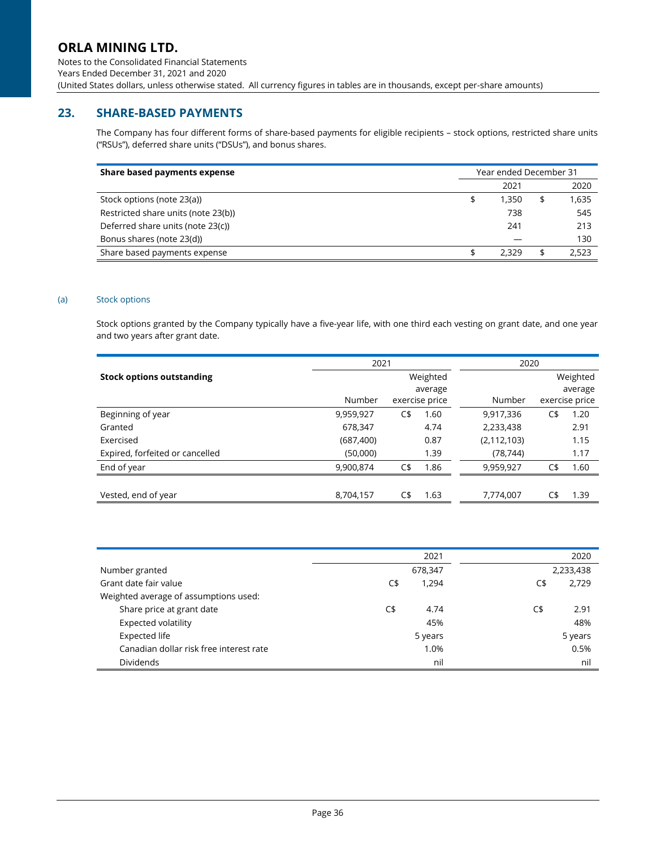<span id="page-35-1"></span>Notes to the Consolidated Financial Statements Years Ended December 31, 2021 and 2020 (United States dollars, unless otherwise stated. All currency figures in tables are in thousands, except per-share amounts)

## <span id="page-35-0"></span>**23. SHARE-BASED PAYMENTS**

The Company has four different forms of share-based payments for eligible recipients – stock options, restricted share units ("RSUs"), deferred share units ("DSUs"), and bonus shares.

| Share based payments expense        | Year ended December 31 |       |    |       |
|-------------------------------------|------------------------|-------|----|-------|
|                                     |                        | 2021  |    | 2020  |
| Stock options (note 23(a))          |                        | 1.350 | \$ | 1,635 |
| Restricted share units (note 23(b)) |                        | 738   |    | 545   |
| Deferred share units (note 23(c))   |                        | 241   |    | 213   |
| Bonus shares (note 23(d))           |                        |       |    | 130   |
| Share based payments expense        |                        | 2.329 | \$ | 2,523 |

### <span id="page-35-2"></span>(a) Stock options

Stock options granted by the Company typically have a five-year life, with one third each vesting on grant date, and one year and two years after grant date.

|                                  | 2021<br>Weighted |      |                | 2020          |      |                |  |
|----------------------------------|------------------|------|----------------|---------------|------|----------------|--|
| <b>Stock options outstanding</b> |                  |      |                |               |      | Weighted       |  |
|                                  |                  |      | average        |               |      | average        |  |
|                                  | Number           |      | exercise price | Number        |      | exercise price |  |
| Beginning of year                | 9,959,927        | C\$  | 1.60           | 9,917,336     | C\$  | 1.20           |  |
| Granted                          | 678,347          |      | 4.74           | 2,233,438     |      | 2.91           |  |
| Exercised                        | (687, 400)       |      | 0.87           | (2, 112, 103) |      | 1.15           |  |
| Expired, forfeited or cancelled  | (50,000)         |      | 1.39           | (78, 744)     |      | 1.17           |  |
| End of year                      | 9,900,874        | $C\$ | 1.86           | 9,959,927     | C\$  | 1.60           |  |
|                                  |                  |      |                |               |      |                |  |
| Vested, end of year              | 8,704,157        | $C\$ | 1.63           | 7,774,007     | $C\$ | 1.39           |  |

|                                         |     | 2021    |     | 2020      |
|-----------------------------------------|-----|---------|-----|-----------|
| Number granted                          |     | 678,347 |     | 2,233,438 |
| Grant date fair value                   | C\$ | 1.294   | C\$ | 2,729     |
| Weighted average of assumptions used:   |     |         |     |           |
| Share price at grant date               | C\$ | 4.74    | C\$ | 2.91      |
| Expected volatility                     |     | 45%     |     | 48%       |
| <b>Expected life</b>                    |     | 5 years |     | 5 years   |
| Canadian dollar risk free interest rate |     | 1.0%    |     | 0.5%      |
| <b>Dividends</b>                        |     | nil     |     | nil       |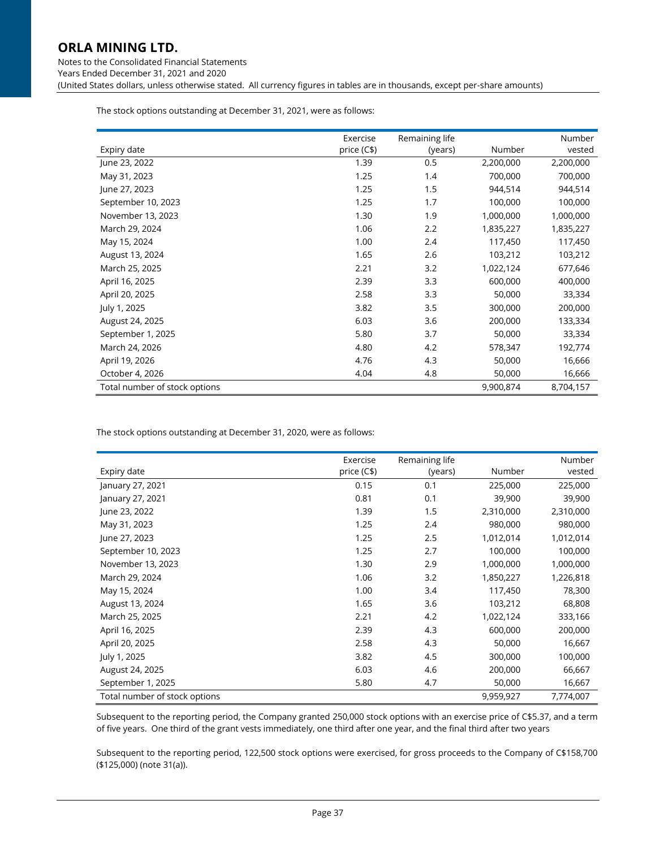Notes to the Consolidated Financial Statements Years Ended December 31, 2021 and 2020 (United States dollars, unless otherwise stated. All currency figures in tables are in thousands, except per-share amounts)

The stock options outstanding at December 31, 2021, were as follows:

|                               | Exercise    | Remaining life |           | Number    |
|-------------------------------|-------------|----------------|-----------|-----------|
| Expiry date                   | price (C\$) | (years)        | Number    | vested    |
| June 23, 2022                 | 1.39        | 0.5            | 2,200,000 | 2,200,000 |
| May 31, 2023                  | 1.25        | 1.4            | 700,000   | 700,000   |
| June 27, 2023                 | 1.25        | 1.5            | 944,514   | 944,514   |
| September 10, 2023            | 1.25        | 1.7            | 100,000   | 100,000   |
| November 13, 2023             | 1.30        | 1.9            | 1,000,000 | 1,000,000 |
| March 29, 2024                | 1.06        | 2.2            | 1,835,227 | 1,835,227 |
| May 15, 2024                  | 1.00        | 2.4            | 117,450   | 117,450   |
| August 13, 2024               | 1.65        | 2.6            | 103,212   | 103,212   |
| March 25, 2025                | 2.21        | 3.2            | 1,022,124 | 677,646   |
| April 16, 2025                | 2.39        | 3.3            | 600,000   | 400,000   |
| April 20, 2025                | 2.58        | 3.3            | 50,000    | 33,334    |
| July 1, 2025                  | 3.82        | 3.5            | 300,000   | 200,000   |
| August 24, 2025               | 6.03        | 3.6            | 200,000   | 133,334   |
| September 1, 2025             | 5.80        | 3.7            | 50,000    | 33,334    |
| March 24, 2026                | 4.80        | 4.2            | 578,347   | 192,774   |
| April 19, 2026                | 4.76        | 4.3            | 50,000    | 16,666    |
| October 4, 2026               | 4.04        | 4.8            | 50,000    | 16,666    |
| Total number of stock options |             |                | 9,900,874 | 8,704,157 |

The stock options outstanding at December 31, 2020, were as follows:

|                               | Exercise    | Remaining life |           | Number    |
|-------------------------------|-------------|----------------|-----------|-----------|
| Expiry date                   | price (C\$) | (years)        | Number    | vested    |
| January 27, 2021              | 0.15        | 0.1            | 225,000   | 225,000   |
| January 27, 2021              | 0.81        | 0.1            | 39,900    | 39,900    |
| June 23, 2022                 | 1.39        | 1.5            | 2,310,000 | 2,310,000 |
| May 31, 2023                  | 1.25        | 2.4            | 980,000   | 980,000   |
| June 27, 2023                 | 1.25        | 2.5            | 1,012,014 | 1,012,014 |
| September 10, 2023            | 1.25        | 2.7            | 100,000   | 100,000   |
| November 13, 2023             | 1.30        | 2.9            | 1,000,000 | 1,000,000 |
| March 29, 2024                | 1.06        | 3.2            | 1,850,227 | 1,226,818 |
| May 15, 2024                  | 1.00        | 3.4            | 117,450   | 78,300    |
| August 13, 2024               | 1.65        | 3.6            | 103,212   | 68,808    |
| March 25, 2025                | 2.21        | 4.2            | 1,022,124 | 333,166   |
| April 16, 2025                | 2.39        | 4.3            | 600,000   | 200,000   |
| April 20, 2025                | 2.58        | 4.3            | 50,000    | 16,667    |
| July 1, 2025                  | 3.82        | 4.5            | 300,000   | 100,000   |
| August 24, 2025               | 6.03        | 4.6            | 200,000   | 66,667    |
| September 1, 2025             | 5.80        | 4.7            | 50,000    | 16,667    |
| Total number of stock options |             |                | 9,959,927 | 7,774,007 |

Subsequent to the reporting period, the Company granted 250,000 stock options with an exercise price of C\$5.37, and a term of five years. One third of the grant vests immediately, one third after one year, and the final third after two years

Subsequent to the reporting period, 122,500 stock options were exercised, for gross proceeds to the Company of C\$158,700 (\$125,000) (note [31\(a\)\)](#page-48-0).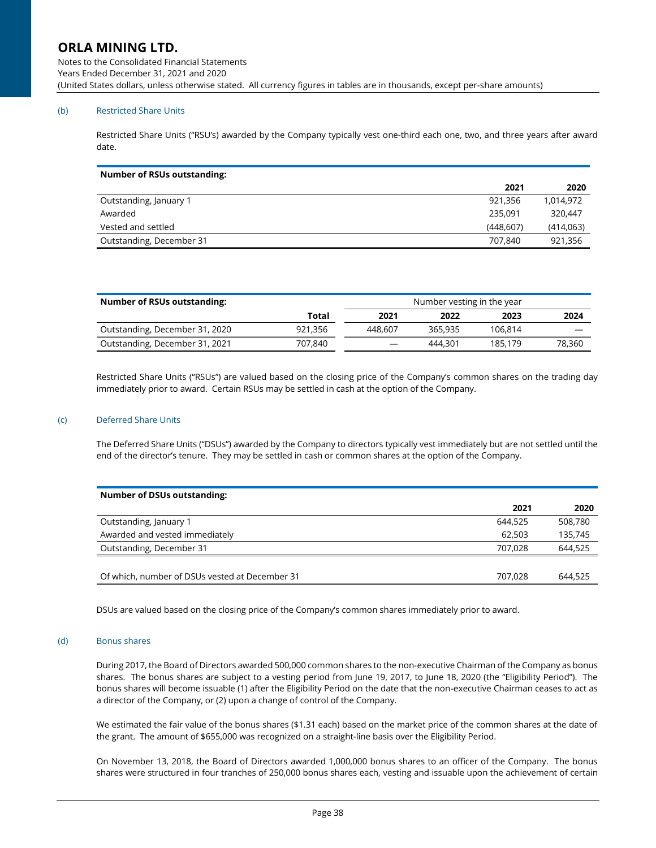#### <span id="page-37-1"></span>(b) Restricted Share Units

Restricted Share Units ("RSU's) awarded by the Company typically vest one-third each one, two, and three years after award date.

| <b>Number of RSUs outstanding:</b> |            |           |
|------------------------------------|------------|-----------|
|                                    | 2021       | 2020      |
| Outstanding, January 1             | 921.356    | 1,014,972 |
| Awarded                            | 235.091    | 320.447   |
| Vested and settled                 | (448, 607) | (414,063) |
| Outstanding, December 31           | 707.840    | 921,356   |

| <b>Number of RSUs outstanding:</b> |         | Number vesting in the year |         |         |        |
|------------------------------------|---------|----------------------------|---------|---------|--------|
|                                    | Total   | 2021                       | 2022    | 2023    | 2024   |
| Outstanding, December 31, 2020     | 921.356 | 448.607                    | 365.935 | 106.814 |        |
| Outstanding, December 31, 2021     | 707.840 |                            | 444.301 | 185,179 | 78,360 |

Restricted Share Units ("RSUs") are valued based on the closing price of the Company's common shares on the trading day immediately prior to award. Certain RSUs may be settled in cash at the option of the Company.

#### <span id="page-37-2"></span><span id="page-37-0"></span>(c) Deferred Share Units

The Deferred Share Units ("DSUs") awarded by the Company to directors typically vest immediately but are not settled until the end of the director's tenure. They may be settled in cash or common shares at the option of the Company.

| <b>Number of DSUs outstanding:</b>             |         |         |
|------------------------------------------------|---------|---------|
|                                                | 2021    | 2020    |
| Outstanding, January 1                         | 644,525 | 508,780 |
| Awarded and vested immediately                 | 62.503  | 135,745 |
| Outstanding, December 31                       | 707.028 | 644,525 |
|                                                |         |         |
| Of which, number of DSUs vested at December 31 | 707.028 | 644,525 |

DSUs are valued based on the closing price of the Company's common shares immediately prior to award.

### <span id="page-37-3"></span>(d) Bonus shares

During 2017, the Board of Directors awarded 500,000 common shares to the non‐executive Chairman of the Company as bonus shares. The bonus shares are subject to a vesting period from June 19, 2017, to June 18, 2020 (the "Eligibility Period"). The bonus shares will become issuable (1) after the Eligibility Period on the date that the non-executive Chairman ceases to act as a director of the Company, or (2) upon a change of control of the Company.

We estimated the fair value of the bonus shares (\$1.31 each) based on the market price of the common shares at the date of the grant. The amount of \$655,000 was recognized on a straight-line basis over the Eligibility Period.

On November 13, 2018, the Board of Directors awarded 1,000,000 bonus shares to an officer of the Company. The bonus shares were structured in four tranches of 250,000 bonus shares each, vesting and issuable upon the achievement of certain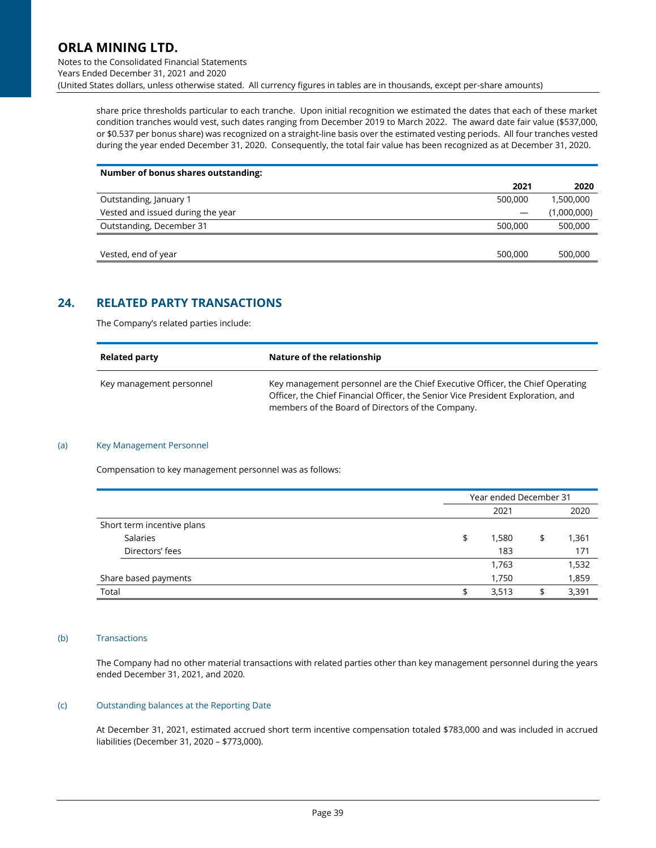share price thresholds particular to each tranche. Upon initial recognition we estimated the dates that each of these market condition tranches would vest, such dates ranging from December 2019 to March 2022. The award date fair value (\$537,000, or \$0.537 per bonus share) was recognized on a straight-line basis over the estimated vesting periods. All four tranches vested during the year ended December 31, 2020. Consequently, the total fair value has been recognized as at December 31, 2020.

| Number of bonus shares outstanding: |         |             |
|-------------------------------------|---------|-------------|
|                                     | 2021    | 2020        |
| Outstanding, January 1              | 500,000 | 1,500,000   |
| Vested and issued during the year   |         | (1,000,000) |
| Outstanding, December 31            | 500,000 | 500,000     |
|                                     |         |             |
| Vested, end of year                 | 500,000 | 500,000     |

## **24. RELATED PARTY TRANSACTIONS**

The Company's related parties include:

| <b>Related party</b>     | Nature of the relationship                                                                                                                                                                                             |
|--------------------------|------------------------------------------------------------------------------------------------------------------------------------------------------------------------------------------------------------------------|
| Key management personnel | Key management personnel are the Chief Executive Officer, the Chief Operating<br>Officer, the Chief Financial Officer, the Senior Vice President Exploration, and<br>members of the Board of Directors of the Company. |

### (a) Key Management Personnel

Compensation to key management personnel was as follows:

|                            | Year ended December 31 |       |    |       |  |  |  |
|----------------------------|------------------------|-------|----|-------|--|--|--|
|                            |                        | 2021  |    | 2020  |  |  |  |
| Short term incentive plans |                        |       |    |       |  |  |  |
| Salaries                   | \$                     | 1,580 | \$ | 1,361 |  |  |  |
| Directors' fees            |                        | 183   |    | 171   |  |  |  |
|                            |                        | 1,763 |    | 1,532 |  |  |  |
| Share based payments       |                        | 1,750 |    | 1,859 |  |  |  |
| Total                      |                        | 3,513 |    | 3,391 |  |  |  |

#### (b) Transactions

The Company had no other material transactions with related parties other than key management personnel during the years ended December 31, 2021, and 2020.

#### (c) Outstanding balances at the Reporting Date

At December 31, 2021, estimated accrued short term incentive compensation totaled \$783,000 and was included in accrued liabilities (December 31, 2020 – \$773,000).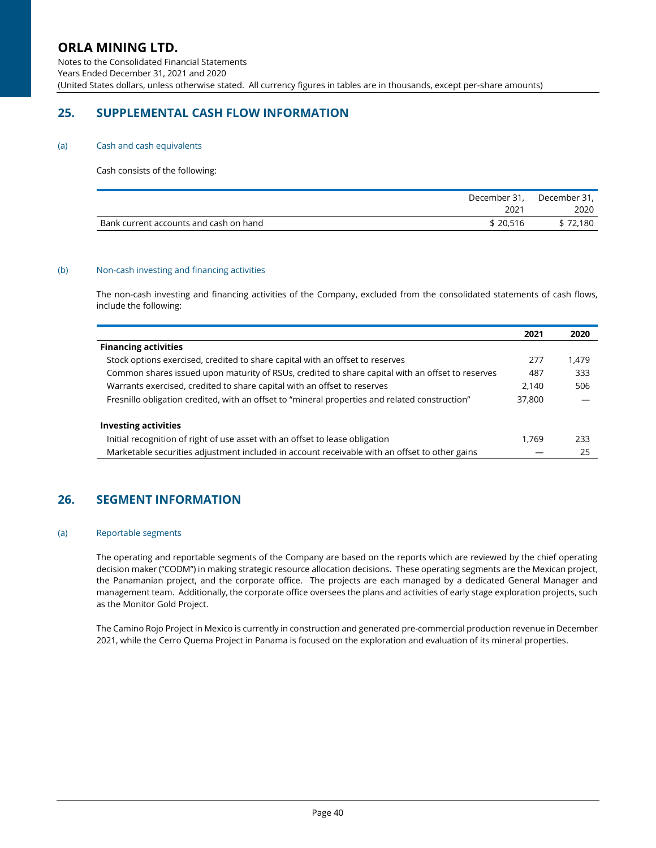Notes to the Consolidated Financial Statements Years Ended December 31, 2021 and 2020 (United States dollars, unless otherwise stated. All currency figures in tables are in thousands, except per-share amounts)

## **25. SUPPLEMENTAL CASH FLOW INFORMATION**

### (a) Cash and cash equivalents

Cash consists of the following:

| December 31,                                       | December 31, |
|----------------------------------------------------|--------------|
| 2021                                               | 2020         |
| Bank current accounts and cash on hand<br>\$20.516 | \$72,180     |

### (b) Non-cash investing and financing activities

The non-cash investing and financing activities of the Company, excluded from the consolidated statements of cash flows, include the following:

|                                                                                                  | 2021   | 2020  |
|--------------------------------------------------------------------------------------------------|--------|-------|
| <b>Financing activities</b>                                                                      |        |       |
| Stock options exercised, credited to share capital with an offset to reserves                    | 277    | 1.479 |
| Common shares issued upon maturity of RSUs, credited to share capital with an offset to reserves | 487    | 333   |
| Warrants exercised, credited to share capital with an offset to reserves                         | 2,140  | 506   |
| Fresnillo obligation credited, with an offset to "mineral properties and related construction"   | 37,800 |       |
| <b>Investing activities</b>                                                                      |        |       |
| Initial recognition of right of use asset with an offset to lease obligation                     | 1.769  | 233   |
| Marketable securities adjustment included in account receivable with an offset to other gains    |        | 25    |

## **26. SEGMENT INFORMATION**

### (a) Reportable segments

The operating and reportable segments of the Company are based on the reports which are reviewed by the chief operating decision maker ("CODM") in making strategic resource allocation decisions. These operating segments are the Mexican project, the Panamanian project, and the corporate office. The projects are each managed by a dedicated General Manager and management team. Additionally, the corporate office oversees the plans and activities of early stage exploration projects, such as the Monitor Gold Project.

The Camino Rojo Project in Mexico is currently in construction and generated pre-commercial production revenue in December 2021, while the Cerro Quema Project in Panama is focused on the exploration and evaluation of its mineral properties.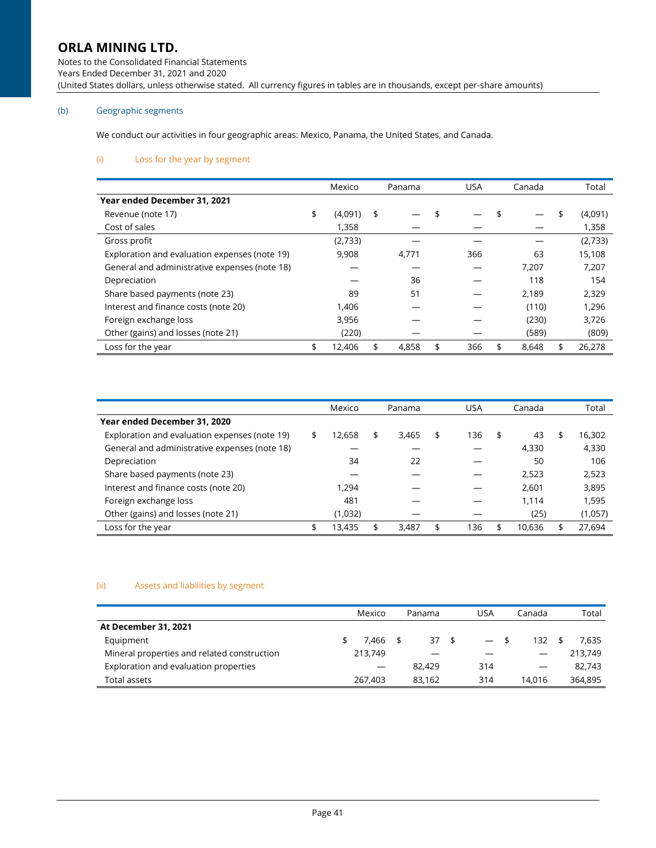Notes to the Consolidated Financial Statements Years Ended December 31, 2021 and 2020 (United States dollars, unless otherwise stated. All currency figures in tables are in thousands, except per-share amounts)

## (b) Geographic segments

We conduct our activities in four geographic areas: Mexico, Panama, the United States, and Canada.

## (i) Loss for the year by segment

|                                               | Mexico        | Panama |       |    | <b>USA</b> | Canada      | Total   |
|-----------------------------------------------|---------------|--------|-------|----|------------|-------------|---------|
| Year ended December 31, 2021                  |               |        |       |    |            |             |         |
| Revenue (note 17)                             | \$<br>(4,091) | \$     |       |    |            |             | (4,091) |
| Cost of sales                                 | 1,358         |        |       |    |            |             | 1,358   |
| Gross profit                                  | (2,733)       |        |       |    |            |             | (2,733) |
| Exploration and evaluation expenses (note 19) | 9,908         |        | 4,771 |    | 366        | 63          | 15,108  |
| General and administrative expenses (note 18) |               |        |       |    |            | 7,207       | 7,207   |
| Depreciation                                  |               |        | 36    |    |            | 118         | 154     |
| Share based payments (note 23)                | 89            |        | 51    |    |            | 2,189       | 2,329   |
| Interest and finance costs (note 20)          | 1,406         |        |       |    |            | (110)       | 1,296   |
| Foreign exchange loss                         | 3,956         |        |       |    |            | (230)       | 3,726   |
| Other (gains) and losses (note 21)            | (220)         |        |       |    |            | (589)       | (809)   |
| Loss for the year                             | \$<br>12,406  | \$     | 4,858 | \$ | 366        | \$<br>8,648 | 26,278  |

|                                               | Mexico       | Panama |       |    | <b>USA</b> | Canada       |   | Total   |
|-----------------------------------------------|--------------|--------|-------|----|------------|--------------|---|---------|
| Year ended December 31, 2020                  |              |        |       |    |            |              |   |         |
| Exploration and evaluation expenses (note 19) | \$<br>12,658 | \$     | 3,465 | \$ | 136        | \$<br>43     | S | 16,302  |
| General and administrative expenses (note 18) |              |        |       |    |            | 4,330        |   | 4,330   |
| Depreciation                                  | 34           |        | 22    |    |            | 50           |   | 106     |
| Share based payments (note 23)                |              |        |       |    |            | 2,523        |   | 2,523   |
| Interest and finance costs (note 20)          | 1.294        |        |       |    |            | 2,601        |   | 3,895   |
| Foreign exchange loss                         | 481          |        |       |    |            | 1.114        |   | 1,595   |
| Other (gains) and losses (note 21)            | (1,032)      |        |       |    |            | (25)         |   | (1,057) |
| Loss for the year                             | 3.435        | \$     | 3.487 | \$ | 136        | \$<br>10.636 |   | 27.694  |

## (ii) Assets and liabilities by segment

|                                             | Mexico  | Panama | USA |      | Canada |        | Total   |
|---------------------------------------------|---------|--------|-----|------|--------|--------|---------|
| At December 31, 2021                        |         |        |     |      |        |        |         |
| Equipment                                   | 7.466   | 37S    |     | — \$ |        | 132    | 7.635   |
| Mineral properties and related construction | 213.749 |        |     |      |        |        | 213,749 |
| Exploration and evaluation properties       |         | 82.429 |     | 314  |        | —      | 82.743  |
| Total assets                                | 267,403 | 83.162 |     | 314  |        | 14.016 | 364,895 |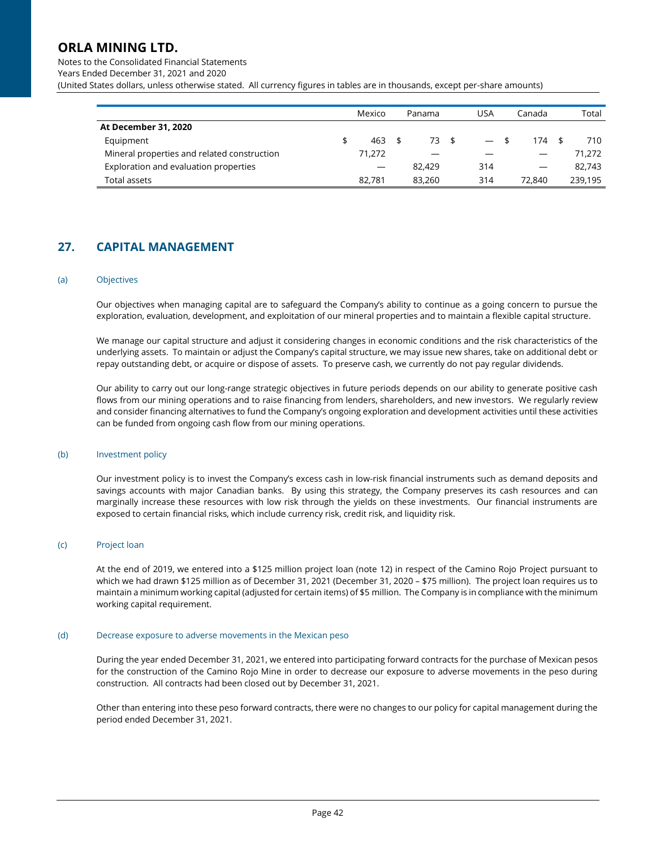Notes to the Consolidated Financial Statements

Years Ended December 31, 2021 and 2020

(United States dollars, unless otherwise stated. All currency figures in tables are in thousands, except per-share amounts)

|                                             | Mexico            | Panama |      | USA                      | Canada            | Total   |
|---------------------------------------------|-------------------|--------|------|--------------------------|-------------------|---------|
| At December 31, 2020                        |                   |        |      |                          |                   |         |
| Equipment                                   | 463               | 73     | - \$ | $\overline{\phantom{0}}$ | 174               | 710     |
| Mineral properties and related construction | 71,272            |        |      |                          |                   | 71,272  |
| Exploration and evaluation properties       | $\hspace{0.05cm}$ | 82,429 |      | 314                      | $\hspace{0.05cm}$ | 82.743  |
| Total assets                                | 82.781            | 83.260 |      | 314                      | 72.840            | 239.195 |

## **27. CAPITAL MANAGEMENT**

#### (a) Objectives

Our objectives when managing capital are to safeguard the Company's ability to continue as a going concern to pursue the exploration, evaluation, development, and exploitation of our mineral properties and to maintain a flexible capital structure.

We manage our capital structure and adjust it considering changes in economic conditions and the risk characteristics of the underlying assets. To maintain or adjust the Company's capital structure, we may issue new shares, take on additional debt or repay outstanding debt, or acquire or dispose of assets. To preserve cash, we currently do not pay regular dividends.

Our ability to carry out our long-range strategic objectives in future periods depends on our ability to generate positive cash flows from our mining operations and to raise financing from lenders, shareholders, and new investors. We regularly review and consider financing alternatives to fund the Company's ongoing exploration and development activities until these activities can be funded from ongoing cash flow from our mining operations.

#### (b) Investment policy

Our investment policy is to invest the Company's excess cash in low-risk financial instruments such as demand deposits and savings accounts with major Canadian banks. By using this strategy, the Company preserves its cash resources and can marginally increase these resources with low risk through the yields on these investments. Our financial instruments are exposed to certain financial risks, which include currency risk, credit risk, and liquidity risk.

#### (c) Project loan

At the end of 2019, we entered into a \$125 million project loan (note 12) in respect of the Camino Rojo Project pursuant to which we had drawn \$125 million as of December 31, 2021 (December 31, 2020 – \$75 million). The project loan requires us to maintain a minimum working capital (adjusted for certain items) of \$5 million. The Company is in compliance with the minimum working capital requirement.

#### <span id="page-41-0"></span>(d) Decrease exposure to adverse movements in the Mexican peso

During the year ended December 31, 2021, we entered into participating forward contracts for the purchase of Mexican pesos for the construction of the Camino Rojo Mine in order to decrease our exposure to adverse movements in the peso during construction. All contracts had been closed out by December 31, 2021.

Other than entering into these peso forward contracts, there were no changes to our policy for capital management during the period ended December 31, 2021.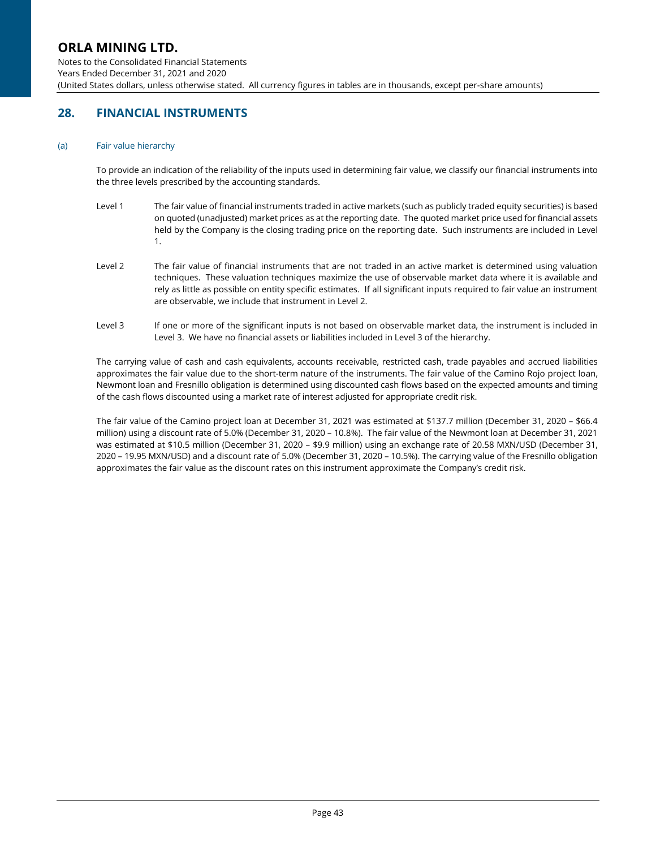Notes to the Consolidated Financial Statements Years Ended December 31, 2021 and 2020 (United States dollars, unless otherwise stated. All currency figures in tables are in thousands, except per-share amounts)

## **28. FINANCIAL INSTRUMENTS**

### (a) Fair value hierarchy

To provide an indication of the reliability of the inputs used in determining fair value, we classify our financial instruments into the three levels prescribed by the accounting standards.

- Level 1 The fair value of financial instruments traded in active markets (such as publicly traded equity securities) is based on quoted (unadjusted) market prices as at the reporting date. The quoted market price used for financial assets held by the Company is the closing trading price on the reporting date. Such instruments are included in Level 1.
- Level 2 The fair value of financial instruments that are not traded in an active market is determined using valuation techniques. These valuation techniques maximize the use of observable market data where it is available and rely as little as possible on entity specific estimates. If all significant inputs required to fair value an instrument are observable, we include that instrument in Level 2.
- Level 3 If one or more of the significant inputs is not based on observable market data, the instrument is included in Level 3. We have no financial assets or liabilities included in Level 3 of the hierarchy.

The carrying value of cash and cash equivalents, accounts receivable, restricted cash, trade payables and accrued liabilities approximates the fair value due to the short-term nature of the instruments. The fair value of the Camino Rojo project loan, Newmont loan and Fresnillo obligation is determined using discounted cash flows based on the expected amounts and timing of the cash flows discounted using a market rate of interest adjusted for appropriate credit risk.

The fair value of the Camino project loan at December 31, 2021 was estimated at \$137.7 million (December 31, 2020 – \$66.4 million) using a discount rate of 5.0% (December 31, 2020 – 10.8%). The fair value of the Newmont loan at December 31, 2021 was estimated at \$10.5 million (December 31, 2020 – \$9.9 million) using an exchange rate of 20.58 MXN/USD (December 31, 2020 – 19.95 MXN/USD) and a discount rate of 5.0% (December 31, 2020 – 10.5%). The carrying value of the Fresnillo obligation approximates the fair value as the discount rates on this instrument approximate the Company's credit risk.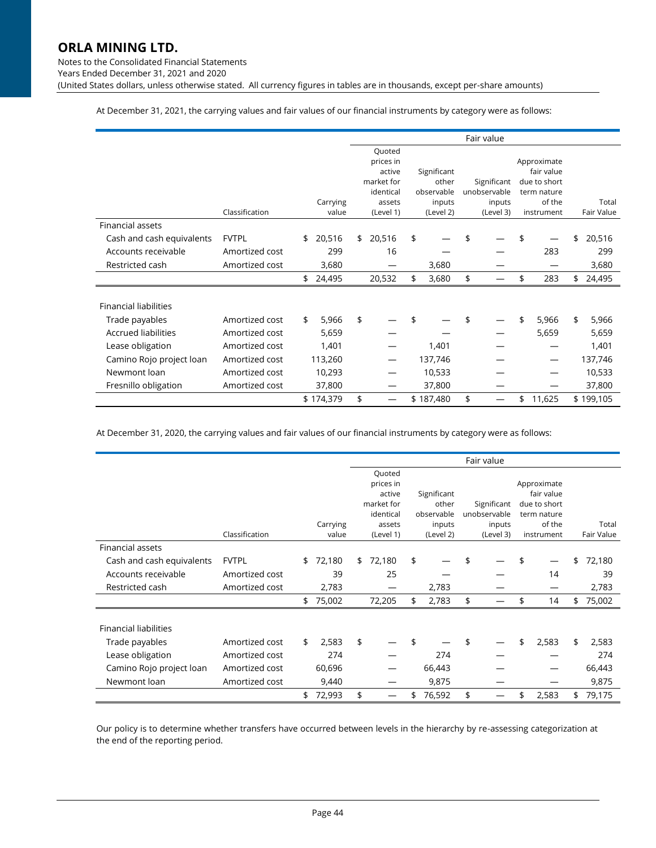Notes to the Consolidated Financial Statements Years Ended December 31, 2021 and 2020 (United States dollars, unless otherwise stated. All currency figures in tables are in thousands, except per-share amounts)

At December 31, 2021, the carrying values and fair values of our financial instruments by category were as follows:

|                              |                |              | Fair value |                     |    |                      |    |                        |    |                       |    |            |
|------------------------------|----------------|--------------|------------|---------------------|----|----------------------|----|------------------------|----|-----------------------|----|------------|
|                              |                |              |            | Quoted              |    |                      |    |                        |    |                       |    |            |
|                              |                |              |            | prices in           |    |                      |    |                        |    | Approximate           |    |            |
|                              |                |              |            | active              |    | Significant          |    |                        |    | fair value            |    |            |
|                              |                |              |            | market for          |    | other                |    | Significant            |    | due to short          |    |            |
|                              |                | Carrying     |            | identical<br>assets |    | observable<br>inputs |    | unobservable<br>inputs |    | term nature<br>of the |    | Total      |
|                              | Classification | value        |            | (Level 1)           |    | (Level 2)            |    | (Level 3)              |    | instrument            |    | Fair Value |
| Financial assets             |                |              |            |                     |    |                      |    |                        |    |                       |    |            |
| Cash and cash equivalents    | <b>FVTPL</b>   | \$<br>20,516 | \$         | 20,516              | \$ |                      | \$ |                        | \$ |                       | \$ | 20,516     |
| Accounts receivable          | Amortized cost | 299          |            | 16                  |    |                      |    |                        |    | 283                   |    | 299        |
| Restricted cash              | Amortized cost | 3,680        |            |                     |    | 3,680                |    |                        |    |                       |    | 3,680      |
|                              |                | \$<br>24,495 |            | 20,532              | \$ | 3,680                | \$ |                        | \$ | 283                   | \$ | 24,495     |
|                              |                |              |            |                     |    |                      |    |                        |    |                       |    |            |
| <b>Financial liabilities</b> |                |              |            |                     |    |                      |    |                        |    |                       |    |            |
| Trade payables               | Amortized cost | \$<br>5,966  | \$         |                     |    |                      | \$ |                        | \$ | 5,966                 | \$ | 5,966      |
| <b>Accrued liabilities</b>   | Amortized cost | 5,659        |            |                     |    |                      |    |                        |    | 5,659                 |    | 5,659      |
| Lease obligation             | Amortized cost | 1,401        |            |                     |    | 1,401                |    |                        |    |                       |    | 1,401      |
| Camino Rojo project loan     | Amortized cost | 113,260      |            |                     |    | 137,746              |    |                        |    |                       |    | 137,746    |
| Newmont loan                 | Amortized cost | 10,293       |            |                     |    | 10,533               |    |                        |    |                       |    | 10,533     |
| Fresnillo obligation         | Amortized cost | 37,800       |            |                     |    | 37,800               |    |                        |    |                       |    | 37,800     |
|                              |                | \$174,379    | \$         |                     |    | \$187,480            | \$ |                        | \$ | 11,625                |    | \$199,105  |

At December 31, 2020, the carrying values and fair values of our financial instruments by category were as follows:

|                              |                |              |                     |                      | Fair value             |                       |              |
|------------------------------|----------------|--------------|---------------------|----------------------|------------------------|-----------------------|--------------|
|                              |                |              | Quoted              |                      |                        |                       |              |
|                              |                |              | prices in           |                      |                        | Approximate           |              |
|                              |                |              | active              | Significant          |                        | fair value            |              |
|                              |                |              | market for          | other                | Significant            | due to short          |              |
|                              |                | Carrying     | identical<br>assets | observable<br>inputs | unobservable<br>inputs | term nature<br>of the | Total        |
|                              | Classification | value        | (Level 1)           | (Level 2)            | (Level 3)              | instrument            | Fair Value   |
| Financial assets             |                |              |                     |                      |                        |                       |              |
| Cash and cash equivalents    | <b>FVTPL</b>   | \$<br>72,180 | \$<br>72,180        | \$                   | \$                     | \$                    | \$<br>72,180 |
| Accounts receivable          | Amortized cost | 39           | 25                  |                      |                        | 14                    | 39           |
| Restricted cash              | Amortized cost | 2,783        |                     | 2,783                |                        |                       | 2,783        |
|                              |                | \$75,002     | 72,205              | \$<br>2,783          | \$                     | \$<br>14              | \$<br>75,002 |
|                              |                |              |                     |                      |                        |                       |              |
| <b>Financial liabilities</b> |                |              |                     |                      |                        |                       |              |
| Trade payables               | Amortized cost | \$<br>2,583  | \$                  | \$                   | \$                     | \$<br>2,583           | \$<br>2,583  |
| Lease obligation             | Amortized cost | 274          |                     | 274                  |                        |                       | 274          |
| Camino Rojo project loan     | Amortized cost | 60,696       |                     | 66,443               |                        |                       | 66,443       |
| Newmont loan                 | Amortized cost | 9,440        |                     | 9,875                |                        |                       | 9,875        |
|                              |                | \$<br>72,993 | \$                  | \$<br>76,592         | \$                     | \$<br>2,583           | \$<br>79,175 |

Our policy is to determine whether transfers have occurred between levels in the hierarchy by re-assessing categorization at the end of the reporting period.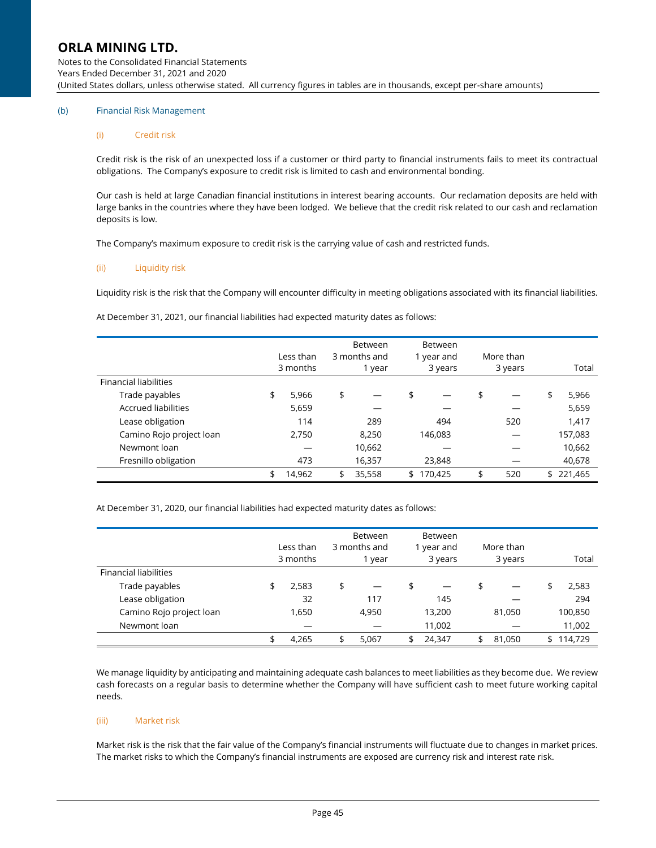#### (b) Financial Risk Management

#### (i) Credit risk

Credit risk is the risk of an unexpected loss if a customer or third party to financial instruments fails to meet its contractual obligations. The Company's exposure to credit risk is limited to cash and environmental bonding.

Our cash is held at large Canadian financial institutions in interest bearing accounts. Our reclamation deposits are held with large banks in the countries where they have been lodged. We believe that the credit risk related to our cash and reclamation deposits is low.

The Company's maximum exposure to credit risk is the carrying value of cash and restricted funds.

#### <span id="page-44-0"></span>(ii) Liquidity risk

Liquidity risk is the risk that the Company will encounter difficulty in meeting obligations associated with its financial liabilities.

At December 31, 2021, our financial liabilities had expected maturity dates as follows:

|                              | Less than<br>3 months | <b>Between</b><br>3 months and<br>1 year | <b>Between</b><br>1 year and<br>3 years |    | More than<br>3 years | Total       |
|------------------------------|-----------------------|------------------------------------------|-----------------------------------------|----|----------------------|-------------|
| <b>Financial liabilities</b> |                       |                                          |                                         |    |                      |             |
| Trade payables               | \$<br>5.966           | \$                                       | \$                                      | \$ |                      | \$<br>5,966 |
| Accrued liabilities          | 5,659                 |                                          |                                         |    |                      | 5,659       |
| Lease obligation             | 114                   | 289                                      | 494                                     |    | 520                  | 1,417       |
| Camino Rojo project loan     | 2,750                 | 8,250                                    | 146,083                                 |    |                      | 157,083     |
| Newmont loan                 |                       | 10,662                                   |                                         |    |                      | 10,662      |
| Fresnillo obligation         | 473                   | 16,357                                   | 23,848                                  |    |                      | 40,678      |
|                              | \$<br>14,962          | \$<br>35,558                             | \$<br>70,425                            | ፍ  | 520                  | \$221,465   |

At December 31, 2020, our financial liabilities had expected maturity dates as follows:

|                              | Less than   | <b>Between</b><br>3 months and | <b>Between</b><br>year and | More than    |               |
|------------------------------|-------------|--------------------------------|----------------------------|--------------|---------------|
|                              | 3 months    | l vear                         | 3 years                    | 3 years      | Total         |
| <b>Financial liabilities</b> |             |                                |                            |              |               |
| Trade payables               | \$<br>2,583 | \$                             | \$                         | \$           | 2,583         |
| Lease obligation             | 32          | 117                            | 145                        |              | 294           |
| Camino Rojo project loan     | 1,650       | 4.950                          | 13,200                     | 81,050       | 100,850       |
| Newmont loan                 |             |                                | 11,002                     |              | 11,002        |
|                              | 4,265       | \$<br>5,067                    | \$<br>24.347               | \$<br>81,050 | \$<br>114,729 |

We manage liquidity by anticipating and maintaining adequate cash balances to meet liabilities as they become due. We review cash forecasts on a regular basis to determine whether the Company will have sufficient cash to meet future working capital needs.

#### (iii) Market risk

Market risk is the risk that the fair value of the Company's financial instruments will fluctuate due to changes in market prices. The market risks to which the Company's financial instruments are exposed are currency risk and interest rate risk.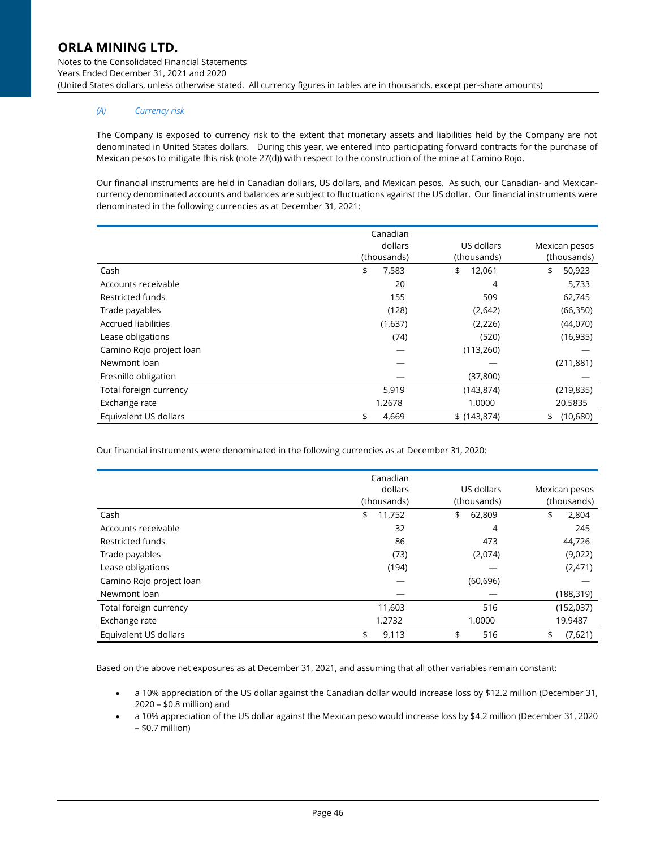## *(A) Currency risk*

The Company is exposed to currency risk to the extent that monetary assets and liabilities held by the Company are not denominated in United States dollars. During this year, we entered into participating forward contracts for the purchase of Mexican pesos to mitigate this risk (note [27\(d\)\)](#page-41-0) with respect to the construction of the mine at Camino Rojo.

Our financial instruments are held in Canadian dollars, US dollars, and Mexican pesos. As such, our Canadian- and Mexicancurrency denominated accounts and balances are subject to fluctuations against the US dollar. Our financial instruments were denominated in the following currencies as at December 31, 2021:

|                            | Canadian<br>dollars<br>(thousands) | US dollars<br>(thousands) | Mexican pesos<br>(thousands) |
|----------------------------|------------------------------------|---------------------------|------------------------------|
| Cash                       | \$<br>7,583                        | \$<br>12,061              | \$<br>50,923                 |
| Accounts receivable        | 20                                 | 4                         | 5,733                        |
| Restricted funds           | 155                                | 509                       | 62,745                       |
| Trade payables             | (128)                              | (2,642)                   | (66, 350)                    |
| <b>Accrued liabilities</b> | (1,637)                            | (2,226)                   | (44,070)                     |
| Lease obligations          | (74)                               | (520)                     | (16, 935)                    |
| Camino Rojo project loan   |                                    | (113,260)                 |                              |
| Newmont loan               |                                    |                           | (211, 881)                   |
| Fresnillo obligation       |                                    | (37,800)                  |                              |
| Total foreign currency     | 5,919                              | (143, 874)                | (219, 835)                   |
| Exchange rate              | 1.2678                             | 1.0000                    | 20.5835                      |
| Equivalent US dollars      | \$<br>4,669                        | \$(143, 874)              | (10,680)<br>\$               |

Our financial instruments were denominated in the following currencies as at December 31, 2020:

|                          | Canadian<br>dollars<br>(thousands) | US dollars<br>(thousands) | Mexican pesos<br>(thousands) |  |  |
|--------------------------|------------------------------------|---------------------------|------------------------------|--|--|
| Cash                     | 11,752<br>\$                       | 62,809<br>\$              | \$<br>2,804                  |  |  |
| Accounts receivable      | 32                                 | 4                         | 245                          |  |  |
| Restricted funds         | 86                                 | 473                       | 44,726                       |  |  |
| Trade payables           | (73)                               | (2,074)                   | (9,022)                      |  |  |
| Lease obligations        | (194)                              |                           | (2,471)                      |  |  |
| Camino Rojo project loan |                                    | (60, 696)                 |                              |  |  |
| Newmont loan             |                                    |                           | (188, 319)                   |  |  |
| Total foreign currency   | 11,603                             | 516                       | (152,037)                    |  |  |
| Exchange rate            | 1.2732                             | 1.0000                    | 19.9487                      |  |  |
| Equivalent US dollars    | 9,113<br>\$                        | \$<br>516                 | (7,621)<br>\$                |  |  |

Based on the above net exposures as at December 31, 2021, and assuming that all other variables remain constant:

- a 10% appreciation of the US dollar against the Canadian dollar would increase loss by \$12.2 million (December 31, 2020 – \$0.8 million) and
- a 10% appreciation of the US dollar against the Mexican peso would increase loss by \$4.2 million (December 31, 2020 – \$0.7 million)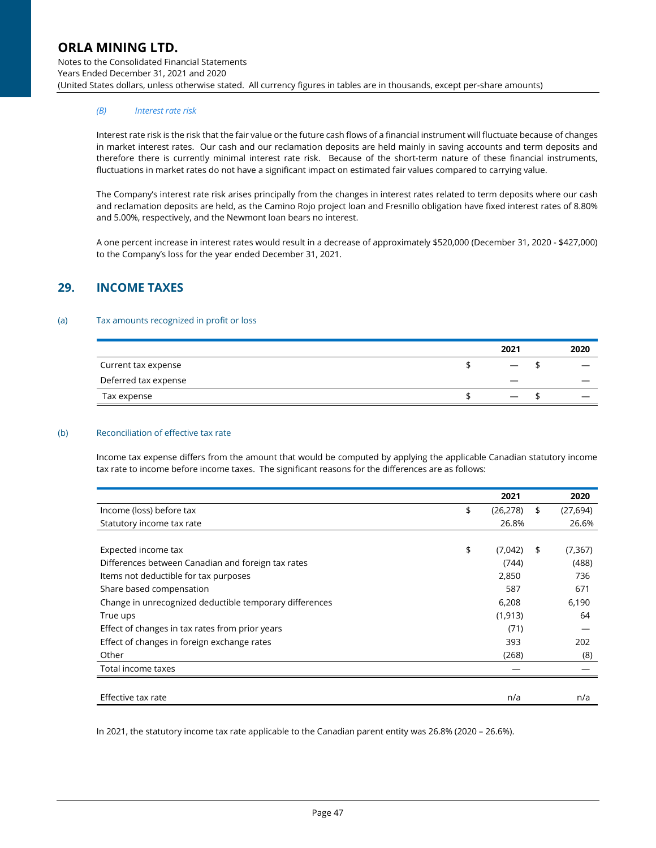### *(B) Interest rate risk*

Interest rate risk is the risk that the fair value or the future cash flows of a financial instrument will fluctuate because of changes in market interest rates. Our cash and our reclamation deposits are held mainly in saving accounts and term deposits and therefore there is currently minimal interest rate risk. Because of the short-term nature of these financial instruments, fluctuations in market rates do not have a significant impact on estimated fair values compared to carrying value.

The Company's interest rate risk arises principally from the changes in interest rates related to term deposits where our cash and reclamation deposits are held, as the Camino Rojo project loan and Fresnillo obligation have fixed interest rates of 8.80% and 5.00%, respectively, and the Newmont loan bears no interest.

A one percent increase in interest rates would result in a decrease of approximately \$520,000 (December 31, 2020 - \$427,000) to the Company's loss for the year ended December 31, 2021.

## **29. INCOME TAXES**

### (a) Tax amounts recognized in profit or loss

|                      | 2021                     | 2020 |
|----------------------|--------------------------|------|
| Current tax expense  | $\equiv$                 |      |
| Deferred tax expense |                          |      |
| Tax expense          | $\overline{\phantom{m}}$ |      |

#### (b) Reconciliation of effective tax rate

Income tax expense differs from the amount that would be computed by applying the applicable Canadian statutory income tax rate to income before income taxes. The significant reasons for the differences are as follows:

|                                                         | 2021            | 2020            |
|---------------------------------------------------------|-----------------|-----------------|
| Income (loss) before tax                                | \$<br>(26, 278) | \$<br>(27, 694) |
| Statutory income tax rate                               | 26.8%           | 26.6%           |
|                                                         |                 |                 |
| Expected income tax                                     | \$<br>(7,042)   | \$<br>(7, 367)  |
| Differences between Canadian and foreign tax rates      | (744)           | (488)           |
| Items not deductible for tax purposes                   | 2,850           | 736             |
| Share based compensation                                | 587             | 671             |
| Change in unrecognized deductible temporary differences | 6,208           | 6,190           |
| True ups                                                | (1, 913)        | 64              |
| Effect of changes in tax rates from prior years         | (71)            |                 |
| Effect of changes in foreign exchange rates             | 393             | 202             |
| Other                                                   | (268)           | (8)             |
| Total income taxes                                      |                 |                 |
|                                                         |                 |                 |
| Effective tax rate                                      | n/a             | n/a             |

In 2021, the statutory income tax rate applicable to the Canadian parent entity was 26.8% (2020 – 26.6%).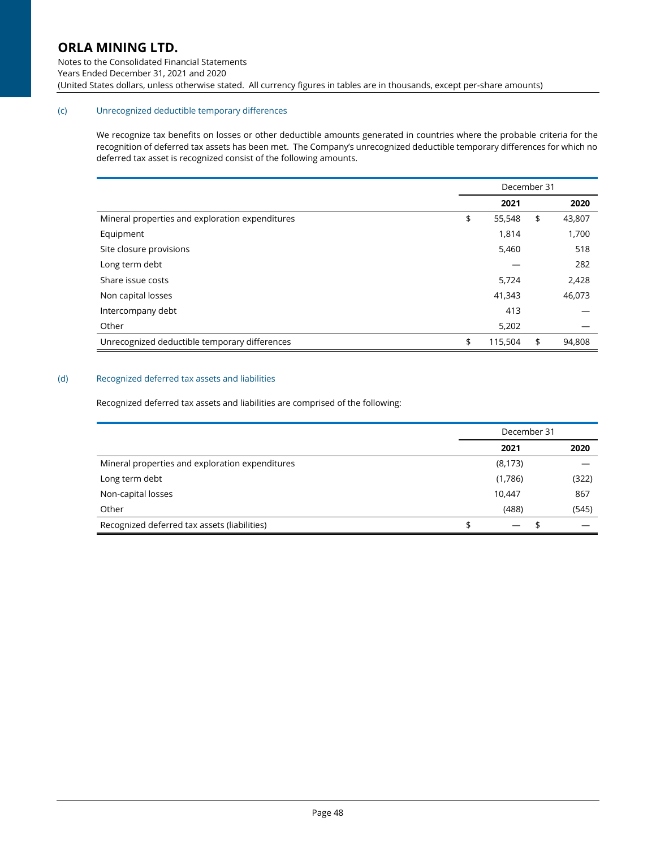Notes to the Consolidated Financial Statements Years Ended December 31, 2021 and 2020 (United States dollars, unless otherwise stated. All currency figures in tables are in thousands, except per-share amounts)

### (c) Unrecognized deductible temporary differences

We recognize tax benefits on losses or other deductible amounts generated in countries where the probable criteria for the recognition of deferred tax assets has been met. The Company's unrecognized deductible temporary differences for which no deferred tax asset is recognized consist of the following amounts.

|                                                 | December 31   |    |        |
|-------------------------------------------------|---------------|----|--------|
|                                                 | 2021          |    | 2020   |
| Mineral properties and exploration expenditures | \$<br>55,548  | \$ | 43,807 |
| Equipment                                       | 1,814         |    | 1,700  |
| Site closure provisions                         | 5,460         |    | 518    |
| Long term debt                                  |               |    | 282    |
| Share issue costs                               | 5,724         |    | 2,428  |
| Non capital losses                              | 41,343        |    | 46,073 |
| Intercompany debt                               | 413           |    |        |
| Other                                           | 5,202         |    |        |
| Unrecognized deductible temporary differences   | \$<br>115,504 | \$ | 94,808 |

### (d) Recognized deferred tax assets and liabilities

Recognized deferred tax assets and liabilities are comprised of the following:

|                                                 | December 31 |  |       |
|-------------------------------------------------|-------------|--|-------|
|                                                 | 2021        |  | 2020  |
| Mineral properties and exploration expenditures | (8, 173)    |  |       |
| Long term debt                                  | (1,786)     |  | (322) |
| Non-capital losses                              | 10.447      |  | 867   |
| Other                                           | (488)       |  | (545) |
| Recognized deferred tax assets (liabilities)    |             |  |       |